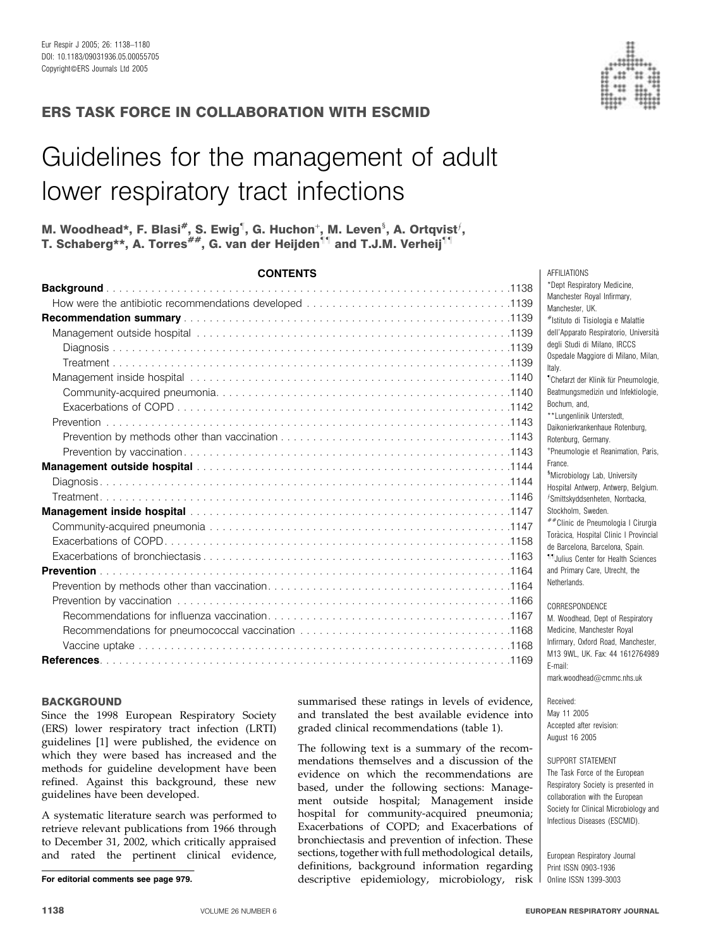

# ERS TASK FORCE IN COLLABORATION WITH ESCMID

# Guidelines for the management of adult lower respiratory tract infections

# M. Woodhead\*, F. Blasi<sup>#</sup>, S. Ewig<sup>¶</sup>, G. Huchon<sup>⊹</sup>, M. Leven<sup>§</sup>, A. Ortqvist<sup>*¦*</sup>, T. Schaberg\*\*, A. Torres<sup>##</sup>, G. van der Heijden<sup>11</sup> and T.J.M. Verheij<sup>11</sup>

| <b>CONTENTS</b> |  |
|-----------------|--|
|                 |  |
|                 |  |
|                 |  |
|                 |  |
|                 |  |
|                 |  |
|                 |  |
|                 |  |
|                 |  |
|                 |  |
|                 |  |
|                 |  |
|                 |  |
|                 |  |
|                 |  |
|                 |  |
|                 |  |
|                 |  |
|                 |  |
|                 |  |
|                 |  |
|                 |  |
|                 |  |
|                 |  |
|                 |  |
|                 |  |

#### **BACKGROUND**

Since the 1998 European Respiratory Society (ERS) lower respiratory tract infection (LRTI) guidelines [1] were published, the evidence on which they were based has increased and the methods for guideline development have been refined. Against this background, these new guidelines have been developed.

A systematic literature search was performed to retrieve relevant publications from 1966 through to December 31, 2002, which critically appraised and rated the pertinent clinical evidence, summarised these ratings in levels of evidence, and translated the best available evidence into graded clinical recommendations (table 1).

The following text is a summary of the recommendations themselves and a discussion of the evidence on which the recommendations are based, under the following sections: Management outside hospital; Management inside hospital for community-acquired pneumonia; Exacerbations of COPD; and Exacerbations of bronchiectasis and prevention of infection. These sections, together with full methodological details, definitions, background information regarding For editorial comments see page 979. descriptive epidemiology, microbiology, risk l 0nline ISSN 1399-3003

\*Dept Respiratory Medicine, Manchester Royal Infirmary, Manchester, UK. #Istituto di Tisiologia e Malattie dell'Apparato Respiratorio, Universita` degli Studi di Milano, IRCCS Ospedale Maggiore di Milano, Milan, Italy. " Chefarzt der Klinik fu¨r Pneumologie, Beatmungsmedizin und Infektiologie, Bochum, and, \*\*Lungenlinik Unterstedt Daikonierkrankenhaue Rotenburg, Rotenburg, Germany. + Pneumologie et Reanimation, Paris, France. <sup>§</sup>Microbiology Lab, University Hospital Antwerp, Antwerp, Belgium.  $f$ Smittskyddsenheten, Norrbacka, Stockholm, Sweden. ##Clinic de Pneumologia I Cirurgia Tora`cica, Hospital Clinic I Provincial de Barcelona, Barcelona, Spain. ""Julius Center for Health Sciences and Primary Care, Utrecht, the **Netherlands** CORRESPONDENCE

AFFILIATIONS

M. Woodhead, Dept of Respiratory Medicine, Manchester Royal Infirmary, Oxford Road, Manchester, M13 9WL, UK. Fax: 44 1612764989 E-mail: mark.woodhead@cmmc.nhs.uk

Received: May 11 2005 Accepted after revision: August 16 2005

#### SUPPORT STATEMENT

The Task Force of the European Respiratory Society is presented in collaboration with the European Society for Clinical Microbiology and Infectious Diseases (ESCMID).

European Respiratory Journal Print ISSN 0903-1936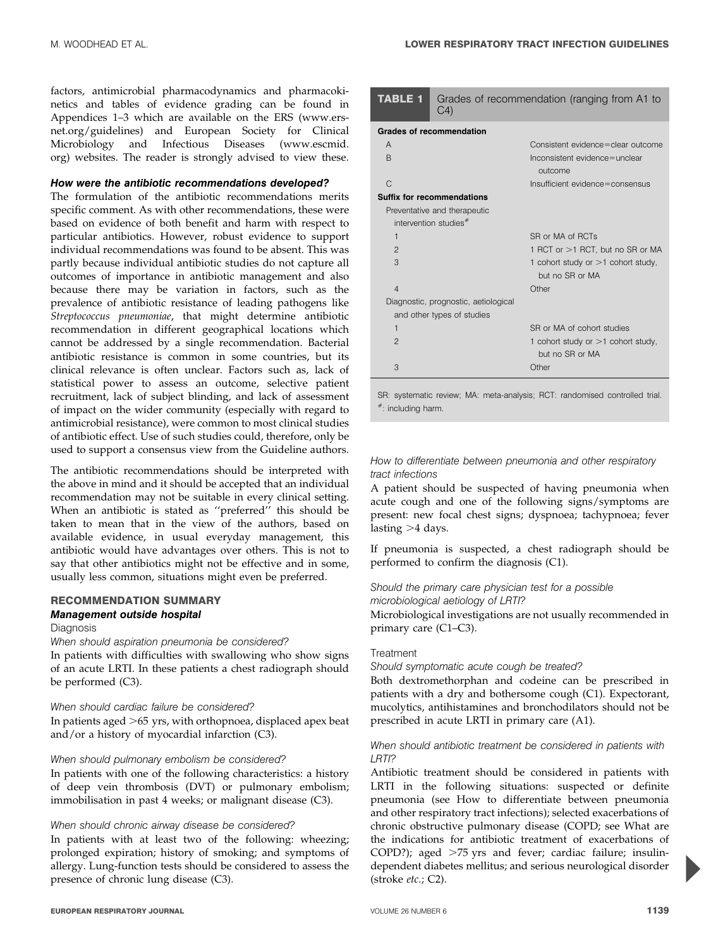factors, antimicrobial pharmacodynamics and pharmacokinetics and tables of evidence grading can be found in Appendices 1–3 which are available on the ERS (www.ersnet.org/guidelines) and European Society for Clinical Microbiology and Infectious Diseases (www.escmid. org) websites. The reader is strongly advised to view these.

#### How were the antibiotic recommendations developed?

The formulation of the antibiotic recommendations merits specific comment. As with other recommendations, these were based on evidence of both benefit and harm with respect to particular antibiotics. However, robust evidence to support individual recommendations was found to be absent. This was partly because individual antibiotic studies do not capture all outcomes of importance in antibiotic management and also because there may be variation in factors, such as the prevalence of antibiotic resistance of leading pathogens like Streptococcus pneumoniae, that might determine antibiotic recommendation in different geographical locations which cannot be addressed by a single recommendation. Bacterial antibiotic resistance is common in some countries, but its clinical relevance is often unclear. Factors such as, lack of statistical power to assess an outcome, selective patient recruitment, lack of subject blinding, and lack of assessment of impact on the wider community (especially with regard to antimicrobial resistance), were common to most clinical studies of antibiotic effect. Use of such studies could, therefore, only be used to support a consensus view from the Guideline authors.

The antibiotic recommendations should be interpreted with the above in mind and it should be accepted that an individual recommendation may not be suitable in every clinical setting. When an antibiotic is stated as ''preferred'' this should be taken to mean that in the view of the authors, based on available evidence, in usual everyday management, this antibiotic would have advantages over others. This is not to say that other antibiotics might not be effective and in some, usually less common, situations might even be preferred.

#### RECOMMENDATION SUMMARY Management outside hospital

#### Diagnosis

When should aspiration pneumonia be considered? In patients with difficulties with swallowing who show signs of an acute LRTI. In these patients a chest radiograph should be performed (C3).

#### When should cardiac failure be considered?

In patients aged  $>65$  yrs, with orthopnoea, displaced apex beat and/or a history of myocardial infarction (C3).

#### When should pulmonary embolism be considered?

In patients with one of the following characteristics: a history of deep vein thrombosis (DVT) or pulmonary embolism; immobilisation in past 4 weeks; or malignant disease (C3).

#### When should chronic airway disease be considered?

In patients with at least two of the following: wheezing; prolonged expiration; history of smoking; and symptoms of allergy. Lung-function tests should be considered to assess the presence of chronic lung disease (C3).

| TABLE 1        | Grades of recommendation (ranging from A1 to<br>C <sub>4</sub> |                                                         |  |
|----------------|----------------------------------------------------------------|---------------------------------------------------------|--|
|                | <b>Grades of recommendation</b>                                |                                                         |  |
| A              |                                                                | Consistent evidence=clear outcome                       |  |
| <sub>R</sub>   |                                                                | Inconsistent evidence=unclear<br>outcome                |  |
| C              |                                                                | Insufficient evidence=consensus                         |  |
|                | <b>Suffix for recommendations</b>                              |                                                         |  |
|                | Preventative and therapeutic                                   |                                                         |  |
|                | intervention studies <sup>#</sup>                              |                                                         |  |
| $\mathbf{1}$   |                                                                | SR or MA of RCTs                                        |  |
| $\mathfrak{p}$ |                                                                | 1 RCT or >1 RCT, but no SR or MA                        |  |
| 3              |                                                                | 1 cohort study or $>1$ cohort study,<br>but no SR or MA |  |
| $\overline{4}$ |                                                                | Other                                                   |  |
|                | Diagnostic, prognostic, aetiological                           |                                                         |  |
|                | and other types of studies                                     |                                                         |  |
| $\mathbf{1}$   |                                                                | SR or MA of cohort studies                              |  |
| $\mathfrak{D}$ |                                                                | 1 cohort study or $>1$ cohort study,<br>but no SR or MA |  |
| 3              |                                                                | Other                                                   |  |
|                |                                                                |                                                         |  |

SR: systematic review; MA: meta-analysis; RCT: randomised controlled trial. #: including harm.

#### How to differentiate between pneumonia and other respiratory tract infections

A patient should be suspected of having pneumonia when acute cough and one of the following signs/symptoms are present: new focal chest signs; dyspnoea; tachypnoea; fever lasting  $>4$  days.

If pneumonia is suspected, a chest radiograph should be performed to confirm the diagnosis (C1).

#### Should the primary care physician test for a possible

microbiological aetiology of LRTI?

Microbiological investigations are not usually recommended in primary care (C1–C3).

#### Treatment

Should symptomatic acute cough be treated?

Both dextromethorphan and codeine can be prescribed in patients with a dry and bothersome cough (C1). Expectorant, mucolytics, antihistamines and bronchodilators should not be prescribed in acute LRTI in primary care (A1).

#### When should antibiotic treatment be considered in patients with LRTI?

Antibiotic treatment should be considered in patients with LRTI in the following situations: suspected or definite pneumonia (see How to differentiate between pneumonia and other respiratory tract infections); selected exacerbations of chronic obstructive pulmonary disease (COPD; see What are the indications for antibiotic treatment of exacerbations of COPD?); aged  $>75$  yrs and fever; cardiac failure; insulindependent diabetes mellitus; and serious neurological disorder (stroke etc.; C2).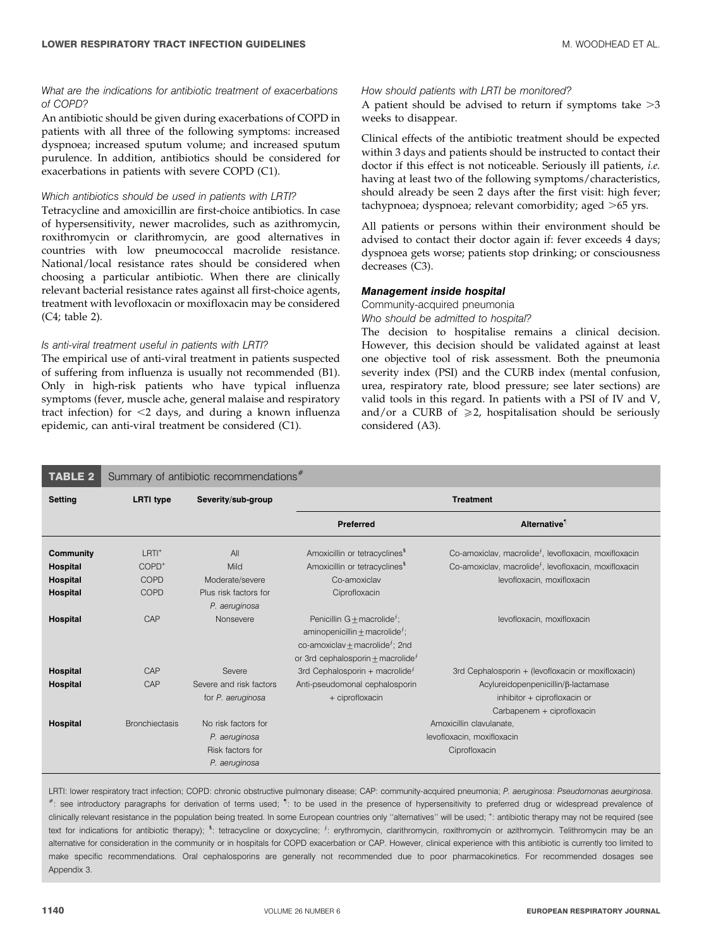#### What are the indications for antibiotic treatment of exacerbations of COPD?

An antibiotic should be given during exacerbations of COPD in patients with all three of the following symptoms: increased dyspnoea; increased sputum volume; and increased sputum purulence. In addition, antibiotics should be considered for exacerbations in patients with severe COPD (C1).

#### Which antibiotics should be used in patients with LRTI?

Tetracycline and amoxicillin are first-choice antibiotics. In case of hypersensitivity, newer macrolides, such as azithromycin, roxithromycin or clarithromycin, are good alternatives in countries with low pneumococcal macrolide resistance. National/local resistance rates should be considered when choosing a particular antibiotic. When there are clinically relevant bacterial resistance rates against all first-choice agents, treatment with levofloxacin or moxifloxacin may be considered (C4; table 2).

#### Is anti-viral treatment useful in patients with LRTI?

The empirical use of anti-viral treatment in patients suspected of suffering from influenza is usually not recommended (B1). Only in high-risk patients who have typical influenza symptoms (fever, muscle ache, general malaise and respiratory tract infection) for  $\leq$ 2 days, and during a known influenza epidemic, can anti-viral treatment be considered (C1).

#### How should patients with LRTI be monitored?

A patient should be advised to return if symptoms take  $>3$ weeks to disappear.

Clinical effects of the antibiotic treatment should be expected within 3 days and patients should be instructed to contact their doctor if this effect is not noticeable. Seriously ill patients, i.e. having at least two of the following symptoms/characteristics, should already be seen 2 days after the first visit: high fever; tachypnoea; dyspnoea; relevant comorbidity; aged  $>65$  yrs.

All patients or persons within their environment should be advised to contact their doctor again if: fever exceeds 4 days; dyspnoea gets worse; patients stop drinking; or consciousness decreases (C3).

#### Management inside hospital

Community-acquired pneumonia

Who should be admitted to hospital?

The decision to hospitalise remains a clinical decision. However, this decision should be validated against at least one objective tool of risk assessment. Both the pneumonia severity index (PSI) and the CURB index (mental confusion, urea, respiratory rate, blood pressure; see later sections) are valid tools in this regard. In patients with a PSI of IV and V, and/or a CURB of  $\geq 2$ , hospitalisation should be seriously considered (A3).

#### **TABLE 2** Summary of antibiotic recommendations<sup>#</sup> Setting LRTI type Severity/sub-group Communication Communication Treatment Preferred Alternative" **Community** LRTI<sup>+</sup> All Amoxicillin or tetracyclines<sup>5</sup> Co-amoxiclav, macrolide<sup> $f$ </sup>, levofloxacin, moxifloxacin Hospital COPD<sup>+</sup> Mild Amoxicillin or tetracyclines<sup>1</sup> COPD<sup>+</sup> Co-amoxiclav, macrolide<sup>f</sup>, levofloxacin, moxifloxacin **Hospital** COPD Moderate/severe Co-amoxiclav Co-amoxiclav levofloxacin, moxifloxacin **Hospital** COPD Plus risk factors for P. aeruginosa Ciprofloxacin **Hospital** CAP Nonsevere Penicillin G + macrolide<sup>f</sup>; aminopenicillin $\pm$ macrolide $^f$ ; co-amoxiclav $\pm$ macrolide ${}^{\overline{f}}$ ; 2nd or 3rd cephalosporin + macrolide $^f$ levofloxacin, moxifloxacin **Hospital** CAP Severe 3rd Cephalosporin + macrolide<sup> $f$ </sup> 3rd Cephalosporin + (levofloxacin or moxifloxacin) **Hospital** CAP Severe and risk factors for P. aeruginosa Anti-pseudomonal cephalosporin + ciprofloxacin Acylureidopenpenicillin/b-lactamase inhibitor + ciprofloxacin or Carbapenem + ciprofloxacin **Hospital** Bronchiectasis No risk factors for P. aeruginosa Amoxicillin clavulanate, levofloxacin, moxifloxacin Risk factors for P. aeruginosa Ciprofloxacin

LRTI: lower respiratory tract infection; COPD: chronic obstructive pulmonary disease; CAP: community-acquired pneumonia; P. aeruginosa: Pseudomonas aeurginosa. #: see introductory paragraphs for derivation of terms used; 1: to be used in the presence of hypersensitivity to preferred drug or widespread prevalence of clinically relevant resistance in the population being treated. In some European countries only "alternatives" will be used;  $^+$ : antibiotic therapy may not be required (see text for indications for antibiotic therapy); <sup>§</sup>: tetracycline or doxycycline; <sup>f</sup>: erythromycin, clarithromycin, roxithromycin or azithromycin. Telithromycin may be an alternative for consideration in the community or in hospitals for COPD exacerbation or CAP. However, clinical experience with this antibiotic is currently too limited to make specific recommendations. Oral cephalosporins are generally not recommended due to poor pharmacokinetics. For recommended dosages see Appendix 3.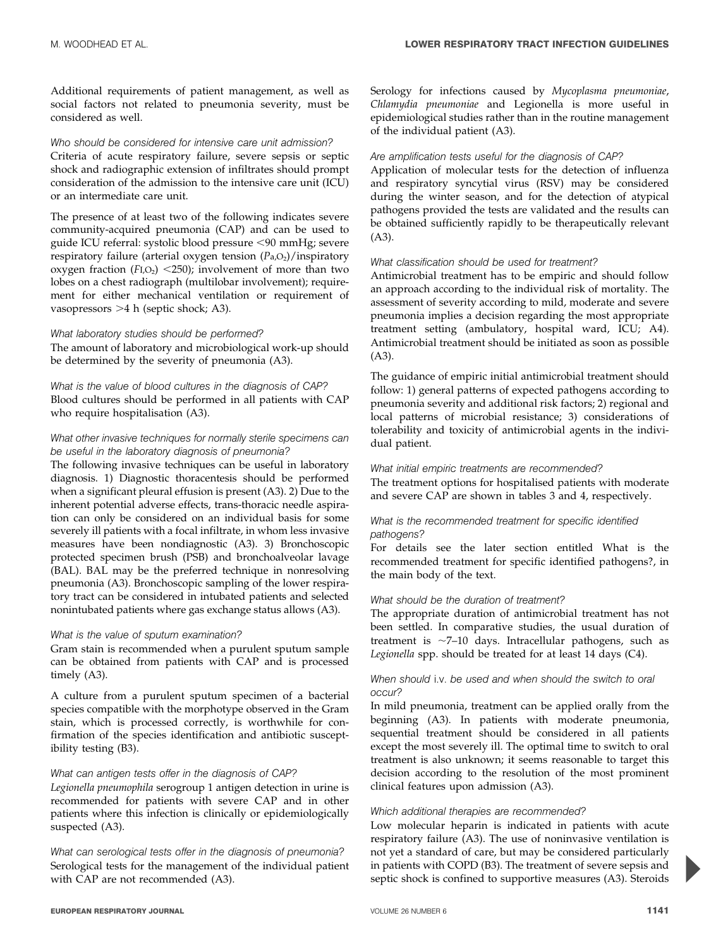Additional requirements of patient management, as well as social factors not related to pneumonia severity, must be considered as well.

#### Who should be considered for intensive care unit admission?

Criteria of acute respiratory failure, severe sepsis or septic shock and radiographic extension of infiltrates should prompt consideration of the admission to the intensive care unit (ICU) or an intermediate care unit.

The presence of at least two of the following indicates severe community-acquired pneumonia (CAP) and can be used to guide ICU referral: systolic blood pressure <90 mmHg; severe respiratory failure (arterial oxygen tension  $(P_{a},O_{2})$ /inspiratory oxygen fraction  $(FI, O<sub>2</sub>)$  <250); involvement of more than two lobes on a chest radiograph (multilobar involvement); requirement for either mechanical ventilation or requirement of vasopressors > 4 h (septic shock; A3).

#### What laboratory studies should be performed?

The amount of laboratory and microbiological work-up should be determined by the severity of pneumonia (A3).

What is the value of blood cultures in the diagnosis of CAP? Blood cultures should be performed in all patients with CAP who require hospitalisation (A3).

#### What other invasive techniques for normally sterile specimens can be useful in the laboratory diagnosis of pneumonia?

The following invasive techniques can be useful in laboratory diagnosis. 1) Diagnostic thoracentesis should be performed when a significant pleural effusion is present (A3). 2) Due to the inherent potential adverse effects, trans-thoracic needle aspiration can only be considered on an individual basis for some severely ill patients with a focal infiltrate, in whom less invasive measures have been nondiagnostic (A3). 3) Bronchoscopic protected specimen brush (PSB) and bronchoalveolar lavage (BAL). BAL may be the preferred technique in nonresolving pneumonia (A3). Bronchoscopic sampling of the lower respiratory tract can be considered in intubated patients and selected nonintubated patients where gas exchange status allows (A3).

#### What is the value of sputum examination?

Gram stain is recommended when a purulent sputum sample can be obtained from patients with CAP and is processed timely (A3).

A culture from a purulent sputum specimen of a bacterial species compatible with the morphotype observed in the Gram stain, which is processed correctly, is worthwhile for confirmation of the species identification and antibiotic susceptibility testing (B3).

#### What can antigen tests offer in the diagnosis of CAP?

Legionella pneumophila serogroup 1 antigen detection in urine is recommended for patients with severe CAP and in other patients where this infection is clinically or epidemiologically suspected (A3).

What can serological tests offer in the diagnosis of pneumonia? Serological tests for the management of the individual patient with CAP are not recommended (A3).

Serology for infections caused by Mycoplasma pneumoniae, Chlamydia pneumoniae and Legionella is more useful in epidemiological studies rather than in the routine management of the individual patient (A3).

#### Are amplification tests useful for the diagnosis of CAP?

Application of molecular tests for the detection of influenza and respiratory syncytial virus (RSV) may be considered during the winter season, and for the detection of atypical pathogens provided the tests are validated and the results can be obtained sufficiently rapidly to be therapeutically relevant  $(A3)$ .

#### What classification should be used for treatment?

Antimicrobial treatment has to be empiric and should follow an approach according to the individual risk of mortality. The assessment of severity according to mild, moderate and severe pneumonia implies a decision regarding the most appropriate treatment setting (ambulatory, hospital ward, ICU; A4). Antimicrobial treatment should be initiated as soon as possible  $(A3)$ .

The guidance of empiric initial antimicrobial treatment should follow: 1) general patterns of expected pathogens according to pneumonia severity and additional risk factors; 2) regional and local patterns of microbial resistance; 3) considerations of tolerability and toxicity of antimicrobial agents in the individual patient.

#### What initial empiric treatments are recommended?

The treatment options for hospitalised patients with moderate and severe CAP are shown in tables 3 and 4, respectively.

#### What is the recommended treatment for specific identified pathogens?

For details see the later section entitled What is the recommended treatment for specific identified pathogens?, in the main body of the text.

#### What should be the duration of treatment?

The appropriate duration of antimicrobial treatment has not been settled. In comparative studies, the usual duration of treatment is  $\sim$ 7–10 days. Intracellular pathogens, such as Legionella spp. should be treated for at least 14 days (C4).

#### When should i.v. be used and when should the switch to oral occur?

In mild pneumonia, treatment can be applied orally from the beginning (A3). In patients with moderate pneumonia, sequential treatment should be considered in all patients except the most severely ill. The optimal time to switch to oral treatment is also unknown; it seems reasonable to target this decision according to the resolution of the most prominent clinical features upon admission (A3).

#### Which additional therapies are recommended?

Low molecular heparin is indicated in patients with acute respiratory failure (A3). The use of noninvasive ventilation is not yet a standard of care, but may be considered particularly in patients with COPD (B3). The treatment of severe sepsis and septic shock is confined to supportive measures (A3). Steroids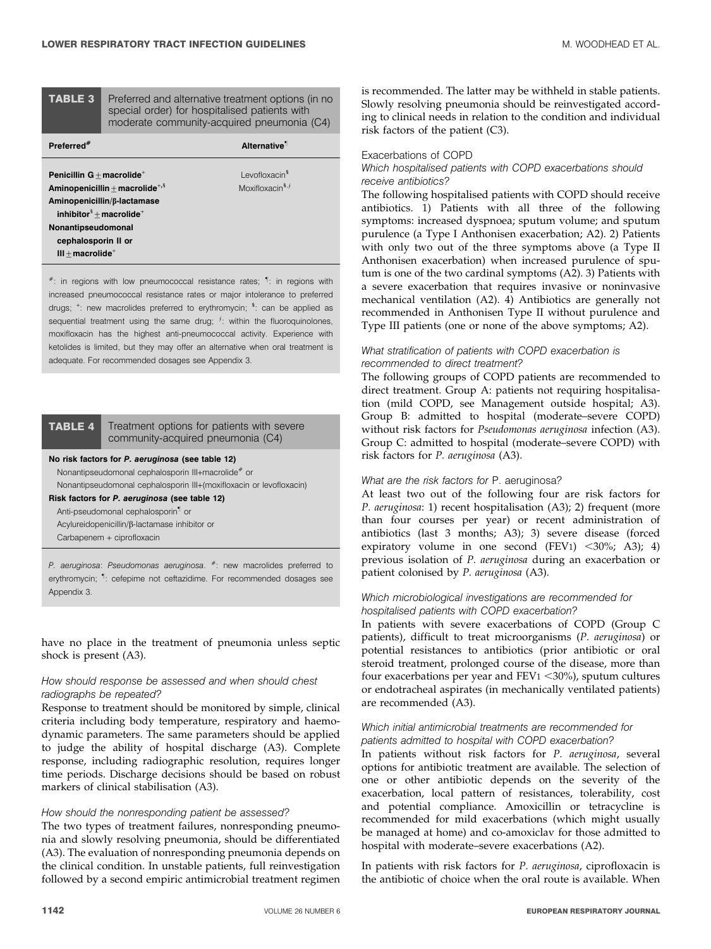TABLE 3 Preferred and alternative treatment options (in no special order) for hospitalised patients with moderate community-acquired pneumonia (C4)

| Preferred <sup>#</sup>                                             | Alternative <sup>1</sup>                  |
|--------------------------------------------------------------------|-------------------------------------------|
| Penicillin $G +$ macrolide <sup>+</sup>                            | Levofloxacin <sup>3</sup>                 |
| Aminopenicillin + macrolide <sup>+, <math>\frac{1}{2}</math></sup> | Moxifloxacin <sup>§, <math>f</math></sup> |
| Aminopenicillin/β-lactamase                                        |                                           |
| inhibitor ${}^{5}$ + macrolide <sup>+</sup>                        |                                           |
| Nonantipseudomonal                                                 |                                           |
| cephalosporin II or                                                |                                           |
| $III + macrolide^+$                                                |                                           |

 $*$ : in regions with low pneumococcal resistance rates;  $1$ : in regions with increased pneumococcal resistance rates or major intolerance to preferred drugs; <sup>+</sup>: new macrolides preferred to erythromycin; <sup>s</sup>: can be applied as sequential treatment using the same drug;  $f$ : within the fluoroquinolones, moxifloxacin has the highest anti-pneumococcal activity. Experience with ketolides is limited, but they may offer an alternative when oral treatment is adequate. For recommended dosages see Appendix 3.

TABLE 4 Treatment options for patients with severe community-acquired pneumonia (C4)

#### No risk factors for P. aeruginosa (see table 12)

Nonantipseudomonal cephalosporin III+macrolide<sup>#</sup> or Nonantipseudomonal cephalosporin III+(moxifloxacin or levofloxacin)

Risk factors for P. aeruginosa (see table 12)

Anti-pseudomonal cephalosporin" or

Acylureidopenicillin/b-lactamase inhibitor or

Carbapenem + ciprofloxacin

P. aeruginosa: Pseudomonas aeruginosa.  $*$ : new macrolides preferred to erythromycin; <sup>1</sup>: cefepime not ceftazidime. For recommended dosages see Appendix 3.

have no place in the treatment of pneumonia unless septic shock is present (A3).

#### How should response be assessed and when should chest radiographs be repeated?

Response to treatment should be monitored by simple, clinical criteria including body temperature, respiratory and haemodynamic parameters. The same parameters should be applied to judge the ability of hospital discharge (A3). Complete response, including radiographic resolution, requires longer time periods. Discharge decisions should be based on robust markers of clinical stabilisation (A3).

#### How should the nonresponding patient be assessed?

The two types of treatment failures, nonresponding pneumonia and slowly resolving pneumonia, should be differentiated (A3). The evaluation of nonresponding pneumonia depends on the clinical condition. In unstable patients, full reinvestigation followed by a second empiric antimicrobial treatment regimen

is recommended. The latter may be withheld in stable patients. Slowly resolving pneumonia should be reinvestigated according to clinical needs in relation to the condition and individual risk factors of the patient (C3).

#### Exacerbations of COPD

Which hospitalised patients with COPD exacerbations should receive antibiotics?

The following hospitalised patients with COPD should receive antibiotics. 1) Patients with all three of the following symptoms: increased dyspnoea; sputum volume; and sputum purulence (a Type I Anthonisen exacerbation; A2). 2) Patients with only two out of the three symptoms above (a Type II Anthonisen exacerbation) when increased purulence of sputum is one of the two cardinal symptoms (A2). 3) Patients with a severe exacerbation that requires invasive or noninvasive mechanical ventilation (A2). 4) Antibiotics are generally not recommended in Anthonisen Type II without purulence and Type III patients (one or none of the above symptoms; A2).

#### What stratification of patients with COPD exacerbation is recommended to direct treatment?

The following groups of COPD patients are recommended to direct treatment. Group A: patients not requiring hospitalisation (mild COPD, see Management outside hospital; A3). Group B: admitted to hospital (moderate–severe COPD) without risk factors for Pseudomonas aeruginosa infection (A3). Group C: admitted to hospital (moderate–severe COPD) with risk factors for P. aeruginosa (A3).

#### What are the risk factors for P. aeruginosa?

At least two out of the following four are risk factors for P. aeruginosa: 1) recent hospitalisation (A3); 2) frequent (more than four courses per year) or recent administration of antibiotics (last 3 months; A3); 3) severe disease (forced expiratory volume in one second  $(FEV1)$  <30%; A3); 4) previous isolation of P. aeruginosa during an exacerbation or patient colonised by P. aeruginosa (A3).

#### Which microbiological investigations are recommended for hospitalised patients with COPD exacerbation?

In patients with severe exacerbations of COPD (Group C patients), difficult to treat microorganisms (P. aeruginosa) or potential resistances to antibiotics (prior antibiotic or oral steroid treatment, prolonged course of the disease, more than four exacerbations per year and  $FEV1 < 30\%$ ), sputum cultures or endotracheal aspirates (in mechanically ventilated patients) are recommended (A3).

#### Which initial antimicrobial treatments are recommended for patients admitted to hospital with COPD exacerbation?

In patients without risk factors for P. aeruginosa, several options for antibiotic treatment are available. The selection of one or other antibiotic depends on the severity of the exacerbation, local pattern of resistances, tolerability, cost and potential compliance. Amoxicillin or tetracycline is recommended for mild exacerbations (which might usually be managed at home) and co-amoxiclav for those admitted to hospital with moderate–severe exacerbations (A2).

In patients with risk factors for P. aeruginosa, ciprofloxacin is the antibiotic of choice when the oral route is available. When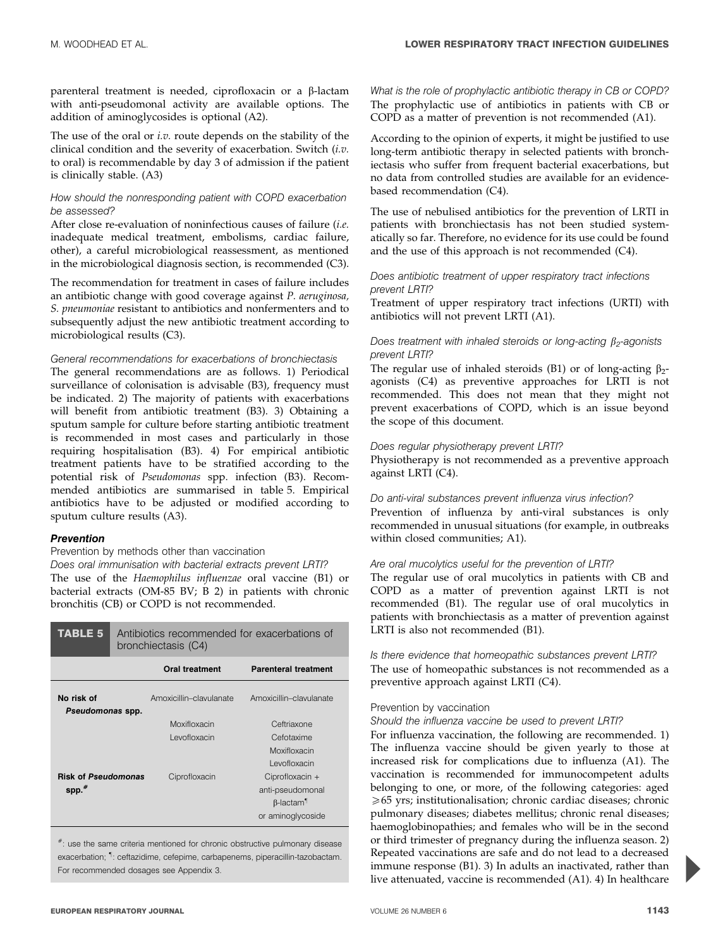parenteral treatment is needed, ciprofloxacin or a b-lactam with anti-pseudomonal activity are available options. The addition of aminoglycosides is optional (A2).

The use of the oral or i.v. route depends on the stability of the clinical condition and the severity of exacerbation. Switch (i.v. to oral) is recommendable by day 3 of admission if the patient is clinically stable. (A3)

#### How should the nonresponding patient with COPD exacerbation be assessed?

After close re-evaluation of noninfectious causes of failure (i.e. inadequate medical treatment, embolisms, cardiac failure, other), a careful microbiological reassessment, as mentioned in the microbiological diagnosis section, is recommended (C3).

The recommendation for treatment in cases of failure includes an antibiotic change with good coverage against P. aeruginosa, S. pneumoniae resistant to antibiotics and nonfermenters and to subsequently adjust the new antibiotic treatment according to microbiological results (C3).

#### General recommendations for exacerbations of bronchiectasis

The general recommendations are as follows. 1) Periodical surveillance of colonisation is advisable (B3), frequency must be indicated. 2) The majority of patients with exacerbations will benefit from antibiotic treatment (B3). 3) Obtaining a sputum sample for culture before starting antibiotic treatment is recommended in most cases and particularly in those requiring hospitalisation (B3). 4) For empirical antibiotic treatment patients have to be stratified according to the potential risk of Pseudomonas spp. infection (B3). Recommended antibiotics are summarised in table 5. Empirical antibiotics have to be adjusted or modified according to sputum culture results (A3).

#### Prevention

#### Prevention by methods other than vaccination

Does oral immunisation with bacterial extracts prevent LRTI? The use of the Haemophilus influenzae oral vaccine (B1) or bacterial extracts (OM-85 BV; B 2) in patients with chronic bronchitis (CB) or COPD is not recommended.

| TABLE 5                        | Antibiotics recommended for exacerbations of<br>bronchiectasis (C4) |                         |                              |
|--------------------------------|---------------------------------------------------------------------|-------------------------|------------------------------|
|                                |                                                                     | <b>Oral treatment</b>   | <b>Parenteral treatment</b>  |
| No risk of<br>Pseudomonas spp. |                                                                     | Amoxicillin-clavulanate | Amoxicillin-clavulanate      |
|                                |                                                                     | Moxifloxacin            | Ceftriaxone                  |
|                                |                                                                     | Levofloxacin            | Cefotaxime                   |
|                                |                                                                     |                         | Moxifloxacin                 |
|                                |                                                                     |                         | Levofloxacin                 |
| <b>Risk of Pseudomonas</b>     |                                                                     | Ciprofloxacin           | Ciprofloxacin +              |
| $spp.*$                        |                                                                     |                         | anti-pseudomonal             |
|                                |                                                                     |                         | $\beta$ -lactam <sup>1</sup> |
|                                |                                                                     |                         | or aminoglycoside            |

#: use the same criteria mentioned for chronic obstructive pulmonary disease exacerbation; " : ceftazidime, cefepime, carbapenems, piperacillin-tazobactam. For recommended dosages see Appendix 3.

What is the role of prophylactic antibiotic therapy in CB or COPD? The prophylactic use of antibiotics in patients with CB or COPD as a matter of prevention is not recommended (A1).

According to the opinion of experts, it might be justified to use long-term antibiotic therapy in selected patients with bronchiectasis who suffer from frequent bacterial exacerbations, but no data from controlled studies are available for an evidencebased recommendation (C4).

The use of nebulised antibiotics for the prevention of LRTI in patients with bronchiectasis has not been studied systematically so far. Therefore, no evidence for its use could be found and the use of this approach is not recommended (C4).

#### Does antibiotic treatment of upper respiratory tract infections prevent LRTI?

Treatment of upper respiratory tract infections (URTI) with antibiotics will not prevent LRTI (A1).

#### Does treatment with inhaled steroids or long-acting  $\beta_2$ -agonists prevent LRTI?

The regular use of inhaled steroids (B1) or of long-acting  $\beta_2$ agonists (C4) as preventive approaches for LRTI is not recommended. This does not mean that they might not prevent exacerbations of COPD, which is an issue beyond the scope of this document.

#### Does regular physiotherapy prevent LRTI?

Physiotherapy is not recommended as a preventive approach against LRTI (C4).

#### Do anti-viral substances prevent influenza virus infection?

Prevention of influenza by anti-viral substances is only recommended in unusual situations (for example, in outbreaks within closed communities; A1).

#### Are oral mucolytics useful for the prevention of LRTI?

The regular use of oral mucolytics in patients with CB and COPD as a matter of prevention against LRTI is not recommended (B1). The regular use of oral mucolytics in patients with bronchiectasis as a matter of prevention against LRTI is also not recommended (B1).

## Is there evidence that homeopathic substances prevent LRTI?

The use of homeopathic substances is not recommended as a preventive approach against LRTI (C4).

### Prevention by vaccination

### Should the influenza vaccine be used to prevent LRTI?

For influenza vaccination, the following are recommended. 1) The influenza vaccine should be given yearly to those at increased risk for complications due to influenza (A1). The vaccination is recommended for immunocompetent adults belonging to one, or more, of the following categories: aged  $\geq 65$  yrs; institutionalisation; chronic cardiac diseases; chronic pulmonary diseases; diabetes mellitus; chronic renal diseases; haemoglobinopathies; and females who will be in the second or third trimester of pregnancy during the influenza season. 2) Repeated vaccinations are safe and do not lead to a decreased immune response (B1). 3) In adults an inactivated, rather than live attenuated, vaccine is recommended (A1). 4) In healthcare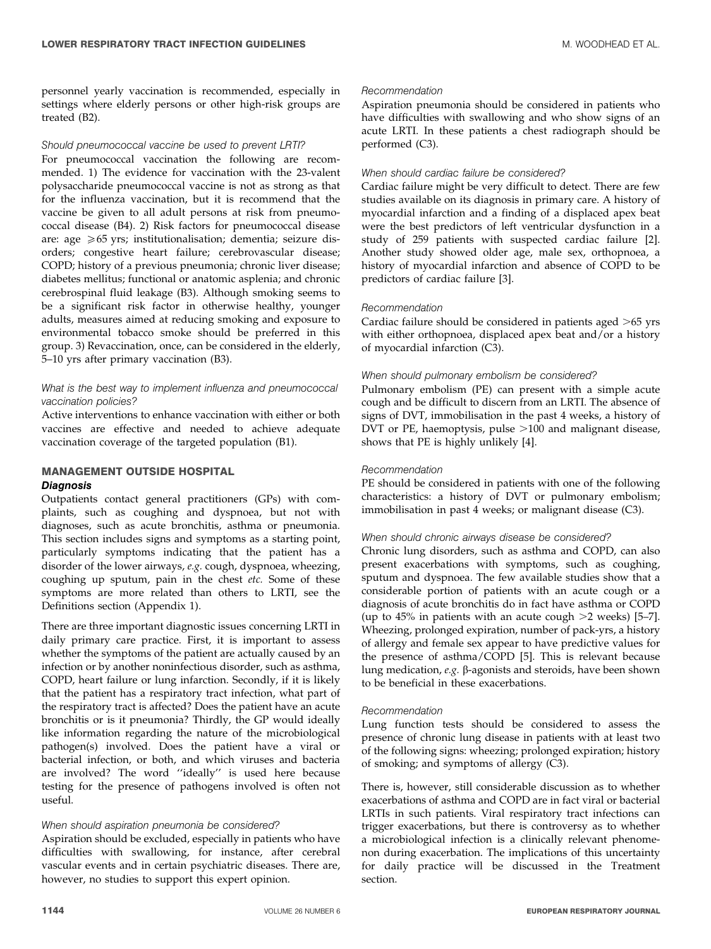personnel yearly vaccination is recommended, especially in settings where elderly persons or other high-risk groups are treated (B2).

#### Should pneumococcal vaccine be used to prevent LRTI?

For pneumococcal vaccination the following are recommended. 1) The evidence for vaccination with the 23-valent polysaccharide pneumococcal vaccine is not as strong as that for the influenza vaccination, but it is recommend that the vaccine be given to all adult persons at risk from pneumococcal disease (B4). 2) Risk factors for pneumococcal disease are: age  $\geq 65$  yrs; institutionalisation; dementia; seizure disorders; congestive heart failure; cerebrovascular disease; COPD; history of a previous pneumonia; chronic liver disease; diabetes mellitus; functional or anatomic asplenia; and chronic cerebrospinal fluid leakage (B3). Although smoking seems to be a significant risk factor in otherwise healthy, younger adults, measures aimed at reducing smoking and exposure to environmental tobacco smoke should be preferred in this group. 3) Revaccination, once, can be considered in the elderly, 5–10 yrs after primary vaccination (B3).

#### What is the best way to implement influenza and pneumococcal vaccination policies?

Active interventions to enhance vaccination with either or both vaccines are effective and needed to achieve adequate vaccination coverage of the targeted population (B1).

#### MANAGEMENT OUTSIDE HOSPITAL **Diagnosis**

Outpatients contact general practitioners (GPs) with complaints, such as coughing and dyspnoea, but not with diagnoses, such as acute bronchitis, asthma or pneumonia. This section includes signs and symptoms as a starting point, particularly symptoms indicating that the patient has a disorder of the lower airways, e.g. cough, dyspnoea, wheezing, coughing up sputum, pain in the chest etc. Some of these symptoms are more related than others to LRTI, see the Definitions section (Appendix 1).

There are three important diagnostic issues concerning LRTI in daily primary care practice. First, it is important to assess whether the symptoms of the patient are actually caused by an infection or by another noninfectious disorder, such as asthma, COPD, heart failure or lung infarction. Secondly, if it is likely that the patient has a respiratory tract infection, what part of the respiratory tract is affected? Does the patient have an acute bronchitis or is it pneumonia? Thirdly, the GP would ideally like information regarding the nature of the microbiological pathogen(s) involved. Does the patient have a viral or bacterial infection, or both, and which viruses and bacteria are involved? The word ''ideally'' is used here because testing for the presence of pathogens involved is often not useful.

#### When should aspiration pneumonia be considered?

Aspiration should be excluded, especially in patients who have difficulties with swallowing, for instance, after cerebral vascular events and in certain psychiatric diseases. There are, however, no studies to support this expert opinion.

#### Recommendation

Aspiration pneumonia should be considered in patients who have difficulties with swallowing and who show signs of an acute LRTI. In these patients a chest radiograph should be performed (C3).

#### When should cardiac failure be considered?

Cardiac failure might be very difficult to detect. There are few studies available on its diagnosis in primary care. A history of myocardial infarction and a finding of a displaced apex beat were the best predictors of left ventricular dysfunction in a study of 259 patients with suspected cardiac failure [2]. Another study showed older age, male sex, orthopnoea, a history of myocardial infarction and absence of COPD to be predictors of cardiac failure [3].

#### Recommendation

Cardiac failure should be considered in patients aged  $>65$  yrs with either orthopnoea, displaced apex beat and/or a history of myocardial infarction (C3).

#### When should pulmonary embolism be considered?

Pulmonary embolism (PE) can present with a simple acute cough and be difficult to discern from an LRTI. The absence of signs of DVT, immobilisation in the past 4 weeks, a history of DVT or PE, haemoptysis, pulse  $>100$  and malignant disease, shows that PE is highly unlikely [4].

#### Recommendation

PE should be considered in patients with one of the following characteristics: a history of DVT or pulmonary embolism; immobilisation in past 4 weeks; or malignant disease (C3).

#### When should chronic airways disease be considered?

Chronic lung disorders, such as asthma and COPD, can also present exacerbations with symptoms, such as coughing, sputum and dyspnoea. The few available studies show that a considerable portion of patients with an acute cough or a diagnosis of acute bronchitis do in fact have asthma or COPD (up to 45% in patients with an acute cough  $>2$  weeks) [5–7]. Wheezing, prolonged expiration, number of pack-yrs, a history of allergy and female sex appear to have predictive values for the presence of asthma/COPD [5]. This is relevant because lung medication, e.g. b-agonists and steroids, have been shown to be beneficial in these exacerbations.

#### Recommendation

Lung function tests should be considered to assess the presence of chronic lung disease in patients with at least two of the following signs: wheezing; prolonged expiration; history of smoking; and symptoms of allergy (C3).

There is, however, still considerable discussion as to whether exacerbations of asthma and COPD are in fact viral or bacterial LRTIs in such patients. Viral respiratory tract infections can trigger exacerbations, but there is controversy as to whether a microbiological infection is a clinically relevant phenomenon during exacerbation. The implications of this uncertainty for daily practice will be discussed in the Treatment section.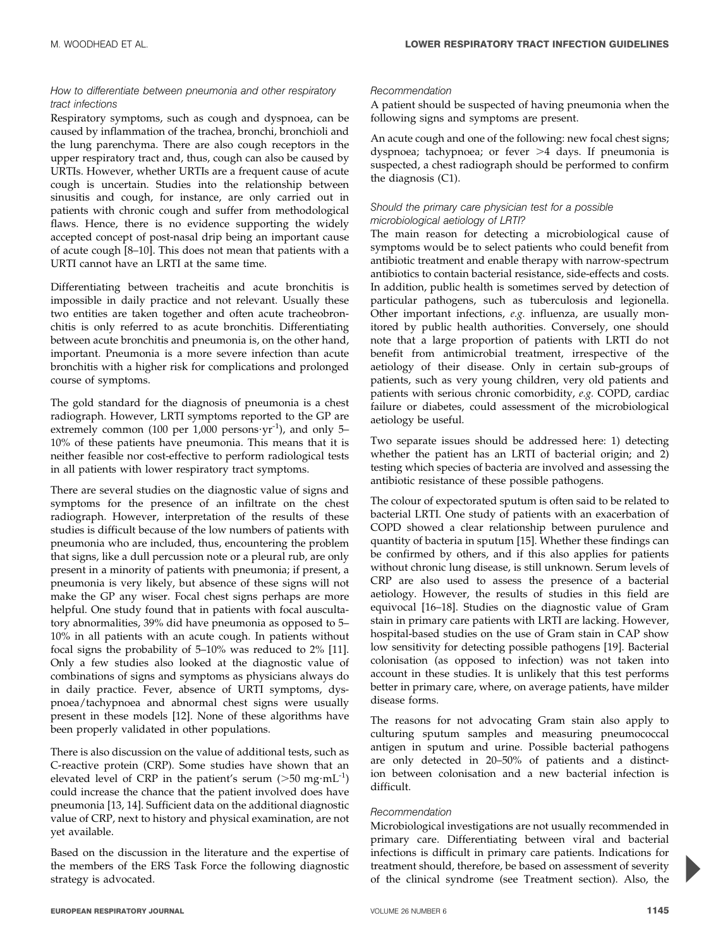#### How to differentiate between pneumonia and other respiratory tract infections

Respiratory symptoms, such as cough and dyspnoea, can be caused by inflammation of the trachea, bronchi, bronchioli and the lung parenchyma. There are also cough receptors in the upper respiratory tract and, thus, cough can also be caused by URTIs. However, whether URTIs are a frequent cause of acute cough is uncertain. Studies into the relationship between sinusitis and cough, for instance, are only carried out in patients with chronic cough and suffer from methodological flaws. Hence, there is no evidence supporting the widely accepted concept of post-nasal drip being an important cause of acute cough [8–10]. This does not mean that patients with a URTI cannot have an LRTI at the same time.

Differentiating between tracheitis and acute bronchitis is impossible in daily practice and not relevant. Usually these two entities are taken together and often acute tracheobronchitis is only referred to as acute bronchitis. Differentiating between acute bronchitis and pneumonia is, on the other hand, important. Pneumonia is a more severe infection than acute bronchitis with a higher risk for complications and prolonged course of symptoms.

The gold standard for the diagnosis of pneumonia is a chest radiograph. However, LRTI symptoms reported to the GP are extremely common (100 per 1,000 persons $vr^{-1}$ ), and only 5– 10% of these patients have pneumonia. This means that it is neither feasible nor cost-effective to perform radiological tests in all patients with lower respiratory tract symptoms.

There are several studies on the diagnostic value of signs and symptoms for the presence of an infiltrate on the chest radiograph. However, interpretation of the results of these studies is difficult because of the low numbers of patients with pneumonia who are included, thus, encountering the problem that signs, like a dull percussion note or a pleural rub, are only present in a minority of patients with pneumonia; if present, a pneumonia is very likely, but absence of these signs will not make the GP any wiser. Focal chest signs perhaps are more helpful. One study found that in patients with focal auscultatory abnormalities, 39% did have pneumonia as opposed to 5– 10% in all patients with an acute cough. In patients without focal signs the probability of 5–10% was reduced to 2% [11]. Only a few studies also looked at the diagnostic value of combinations of signs and symptoms as physicians always do in daily practice. Fever, absence of URTI symptoms, dyspnoea/tachypnoea and abnormal chest signs were usually present in these models [12]. None of these algorithms have been properly validated in other populations.

There is also discussion on the value of additional tests, such as C-reactive protein (CRP). Some studies have shown that an elevated level of CRP in the patient's serum ( $>50$  mg·mL<sup>-1</sup>) could increase the chance that the patient involved does have pneumonia [13, 14]. Sufficient data on the additional diagnostic value of CRP, next to history and physical examination, are not yet available.

Based on the discussion in the literature and the expertise of the members of the ERS Task Force the following diagnostic strategy is advocated.

#### Recommendation

A patient should be suspected of having pneumonia when the following signs and symptoms are present.

An acute cough and one of the following: new focal chest signs; dyspnoea; tachypnoea; or fever  $>4$  days. If pneumonia is suspected, a chest radiograph should be performed to confirm the diagnosis (C1).

#### Should the primary care physician test for a possible microbiological aetiology of LRTI?

The main reason for detecting a microbiological cause of symptoms would be to select patients who could benefit from antibiotic treatment and enable therapy with narrow-spectrum antibiotics to contain bacterial resistance, side-effects and costs. In addition, public health is sometimes served by detection of particular pathogens, such as tuberculosis and legionella. Other important infections, e.g. influenza, are usually monitored by public health authorities. Conversely, one should note that a large proportion of patients with LRTI do not benefit from antimicrobial treatment, irrespective of the aetiology of their disease. Only in certain sub-groups of patients, such as very young children, very old patients and patients with serious chronic comorbidity, e.g. COPD, cardiac failure or diabetes, could assessment of the microbiological aetiology be useful.

Two separate issues should be addressed here: 1) detecting whether the patient has an LRTI of bacterial origin; and 2) testing which species of bacteria are involved and assessing the antibiotic resistance of these possible pathogens.

The colour of expectorated sputum is often said to be related to bacterial LRTI. One study of patients with an exacerbation of COPD showed a clear relationship between purulence and quantity of bacteria in sputum [15]. Whether these findings can be confirmed by others, and if this also applies for patients without chronic lung disease, is still unknown. Serum levels of CRP are also used to assess the presence of a bacterial aetiology. However, the results of studies in this field are equivocal [16–18]. Studies on the diagnostic value of Gram stain in primary care patients with LRTI are lacking. However, hospital-based studies on the use of Gram stain in CAP show low sensitivity for detecting possible pathogens [19]. Bacterial colonisation (as opposed to infection) was not taken into account in these studies. It is unlikely that this test performs better in primary care, where, on average patients, have milder disease forms.

The reasons for not advocating Gram stain also apply to culturing sputum samples and measuring pneumococcal antigen in sputum and urine. Possible bacterial pathogens are only detected in 20–50% of patients and a distinction between colonisation and a new bacterial infection is difficult.

#### Recommendation

Microbiological investigations are not usually recommended in primary care. Differentiating between viral and bacterial infections is difficult in primary care patients. Indications for treatment should, therefore, be based on assessment of severity of the clinical syndrome (see Treatment section). Also, the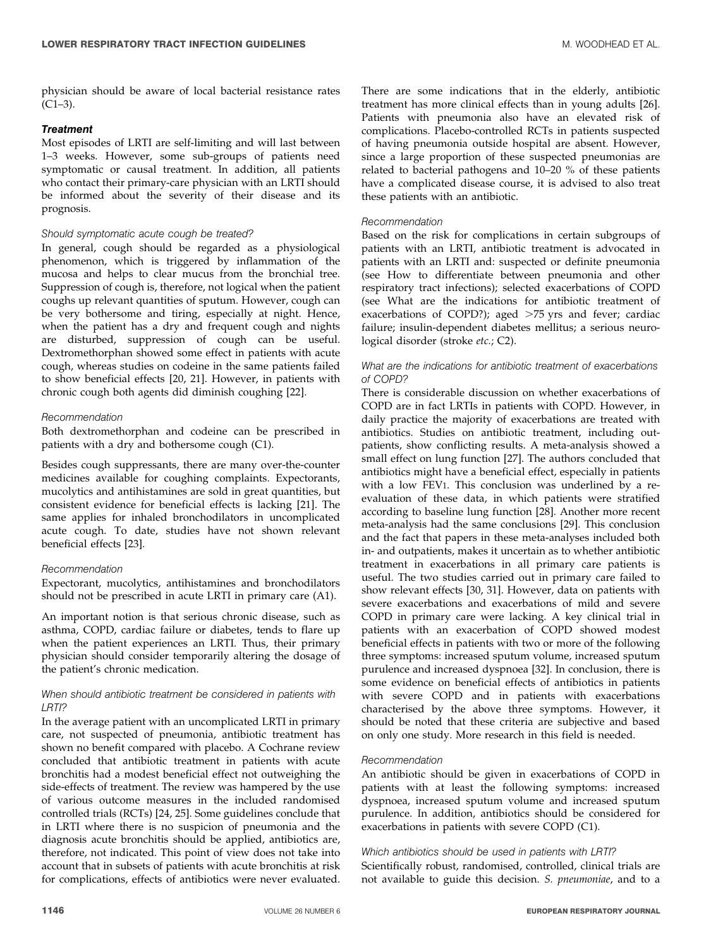#### **Treatment**

Most episodes of LRTI are self-limiting and will last between 1–3 weeks. However, some sub-groups of patients need symptomatic or causal treatment. In addition, all patients who contact their primary-care physician with an LRTI should be informed about the severity of their disease and its prognosis.

#### Should symptomatic acute cough be treated?

In general, cough should be regarded as a physiological phenomenon, which is triggered by inflammation of the mucosa and helps to clear mucus from the bronchial tree. Suppression of cough is, therefore, not logical when the patient coughs up relevant quantities of sputum. However, cough can be very bothersome and tiring, especially at night. Hence, when the patient has a dry and frequent cough and nights are disturbed, suppression of cough can be useful. Dextromethorphan showed some effect in patients with acute cough, whereas studies on codeine in the same patients failed to show beneficial effects [20, 21]. However, in patients with chronic cough both agents did diminish coughing [22].

#### Recommendation

Both dextromethorphan and codeine can be prescribed in patients with a dry and bothersome cough (C1).

Besides cough suppressants, there are many over-the-counter medicines available for coughing complaints. Expectorants, mucolytics and antihistamines are sold in great quantities, but consistent evidence for beneficial effects is lacking [21]. The same applies for inhaled bronchodilators in uncomplicated acute cough. To date, studies have not shown relevant beneficial effects [23].

#### Recommendation

Expectorant, mucolytics, antihistamines and bronchodilators should not be prescribed in acute LRTI in primary care (A1).

An important notion is that serious chronic disease, such as asthma, COPD, cardiac failure or diabetes, tends to flare up when the patient experiences an LRTI. Thus, their primary physician should consider temporarily altering the dosage of the patient's chronic medication.

#### When should antibiotic treatment be considered in patients with LRTI?

In the average patient with an uncomplicated LRTI in primary care, not suspected of pneumonia, antibiotic treatment has shown no benefit compared with placebo. A Cochrane review concluded that antibiotic treatment in patients with acute bronchitis had a modest beneficial effect not outweighing the side-effects of treatment. The review was hampered by the use of various outcome measures in the included randomised controlled trials (RCTs) [24, 25]. Some guidelines conclude that in LRTI where there is no suspicion of pneumonia and the diagnosis acute bronchitis should be applied, antibiotics are, therefore, not indicated. This point of view does not take into account that in subsets of patients with acute bronchitis at risk for complications, effects of antibiotics were never evaluated.

There are some indications that in the elderly, antibiotic treatment has more clinical effects than in young adults [26]. Patients with pneumonia also have an elevated risk of complications. Placebo-controlled RCTs in patients suspected of having pneumonia outside hospital are absent. However, since a large proportion of these suspected pneumonias are related to bacterial pathogens and 10–20 % of these patients have a complicated disease course, it is advised to also treat these patients with an antibiotic.

#### Recommendation

Based on the risk for complications in certain subgroups of patients with an LRTI, antibiotic treatment is advocated in patients with an LRTI and: suspected or definite pneumonia (see How to differentiate between pneumonia and other respiratory tract infections); selected exacerbations of COPD (see What are the indications for antibiotic treatment of exacerbations of COPD?); aged  $>75$  yrs and fever; cardiac failure; insulin-dependent diabetes mellitus; a serious neurological disorder (stroke etc.; C2).

#### What are the indications for antibiotic treatment of exacerbations of COPD?

There is considerable discussion on whether exacerbations of COPD are in fact LRTIs in patients with COPD. However, in daily practice the majority of exacerbations are treated with antibiotics. Studies on antibiotic treatment, including outpatients, show conflicting results. A meta-analysis showed a small effect on lung function [27]. The authors concluded that antibiotics might have a beneficial effect, especially in patients with a low FEV1. This conclusion was underlined by a reevaluation of these data, in which patients were stratified according to baseline lung function [28]. Another more recent meta-analysis had the same conclusions [29]. This conclusion and the fact that papers in these meta-analyses included both in- and outpatients, makes it uncertain as to whether antibiotic treatment in exacerbations in all primary care patients is useful. The two studies carried out in primary care failed to show relevant effects [30, 31]. However, data on patients with severe exacerbations and exacerbations of mild and severe COPD in primary care were lacking. A key clinical trial in patients with an exacerbation of COPD showed modest beneficial effects in patients with two or more of the following three symptoms: increased sputum volume, increased sputum purulence and increased dyspnoea [32]. In conclusion, there is some evidence on beneficial effects of antibiotics in patients with severe COPD and in patients with exacerbations characterised by the above three symptoms. However, it should be noted that these criteria are subjective and based on only one study. More research in this field is needed.

#### Recommendation

An antibiotic should be given in exacerbations of COPD in patients with at least the following symptoms: increased dyspnoea, increased sputum volume and increased sputum purulence. In addition, antibiotics should be considered for exacerbations in patients with severe COPD (C1).

#### Which antibiotics should be used in patients with LRTI?

Scientifically robust, randomised, controlled, clinical trials are not available to guide this decision. S. pneumoniae, and to a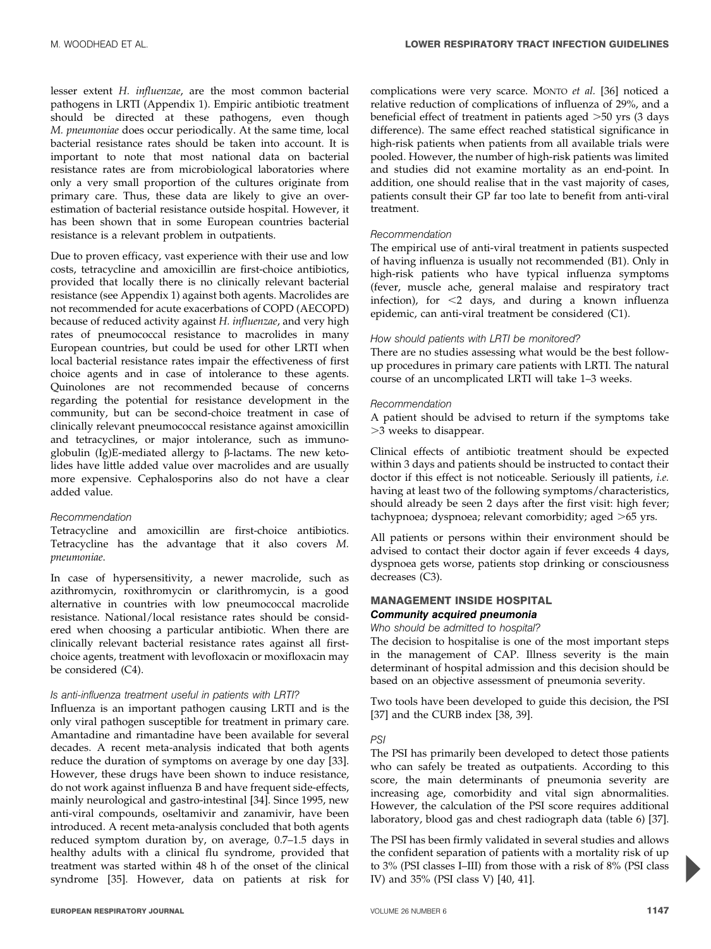lesser extent H. influenzae, are the most common bacterial pathogens in LRTI (Appendix 1). Empiric antibiotic treatment should be directed at these pathogens, even though M. pneumoniae does occur periodically. At the same time, local bacterial resistance rates should be taken into account. It is important to note that most national data on bacterial resistance rates are from microbiological laboratories where only a very small proportion of the cultures originate from primary care. Thus, these data are likely to give an overestimation of bacterial resistance outside hospital. However, it has been shown that in some European countries bacterial resistance is a relevant problem in outpatients.

Due to proven efficacy, vast experience with their use and low costs, tetracycline and amoxicillin are first-choice antibiotics, provided that locally there is no clinically relevant bacterial resistance (see Appendix 1) against both agents. Macrolides are not recommended for acute exacerbations of COPD (AECOPD) because of reduced activity against H. influenzae, and very high rates of pneumococcal resistance to macrolides in many European countries, but could be used for other LRTI when local bacterial resistance rates impair the effectiveness of first choice agents and in case of intolerance to these agents. Quinolones are not recommended because of concerns regarding the potential for resistance development in the community, but can be second-choice treatment in case of clinically relevant pneumococcal resistance against amoxicillin and tetracyclines, or major intolerance, such as immunoglobulin (Ig)E-mediated allergy to  $\beta$ -lactams. The new ketolides have little added value over macrolides and are usually more expensive. Cephalosporins also do not have a clear added value.

### Recommendation

Tetracycline and amoxicillin are first-choice antibiotics. Tetracycline has the advantage that it also covers M. pneumoniae.

In case of hypersensitivity, a newer macrolide, such as azithromycin, roxithromycin or clarithromycin, is a good alternative in countries with low pneumococcal macrolide resistance. National/local resistance rates should be considered when choosing a particular antibiotic. When there are clinically relevant bacterial resistance rates against all firstchoice agents, treatment with levofloxacin or moxifloxacin may be considered (C4).

#### Is anti-influenza treatment useful in patients with LRTI?

Influenza is an important pathogen causing LRTI and is the only viral pathogen susceptible for treatment in primary care. Amantadine and rimantadine have been available for several decades. A recent meta-analysis indicated that both agents reduce the duration of symptoms on average by one day [33]. However, these drugs have been shown to induce resistance, do not work against influenza B and have frequent side-effects, mainly neurological and gastro-intestinal [34]. Since 1995, new anti-viral compounds, oseltamivir and zanamivir, have been introduced. A recent meta-analysis concluded that both agents reduced symptom duration by, on average, 0.7–1.5 days in healthy adults with a clinical flu syndrome, provided that treatment was started within 48 h of the onset of the clinical syndrome [35]. However, data on patients at risk for complications were very scarce. MONTO et al. [36] noticed a relative reduction of complications of influenza of 29%, and a beneficial effect of treatment in patients aged  $>50$  yrs (3 days difference). The same effect reached statistical significance in high-risk patients when patients from all available trials were pooled. However, the number of high-risk patients was limited and studies did not examine mortality as an end-point. In addition, one should realise that in the vast majority of cases, patients consult their GP far too late to benefit from anti-viral treatment.

#### Recommendation

The empirical use of anti-viral treatment in patients suspected of having influenza is usually not recommended (B1). Only in high-risk patients who have typical influenza symptoms (fever, muscle ache, general malaise and respiratory tract infection), for  $\leq 2$  days, and during a known influenza epidemic, can anti-viral treatment be considered (C1).

#### How should patients with LRTI be monitored?

There are no studies assessing what would be the best followup procedures in primary care patients with LRTI. The natural course of an uncomplicated LRTI will take 1–3 weeks.

#### Recommendation

A patient should be advised to return if the symptoms take .3 weeks to disappear.

Clinical effects of antibiotic treatment should be expected within 3 days and patients should be instructed to contact their doctor if this effect is not noticeable. Seriously ill patients, i.e. having at least two of the following symptoms/characteristics, should already be seen 2 days after the first visit: high fever; tachypnoea; dyspnoea; relevant comorbidity; aged  $>65$  yrs.

All patients or persons within their environment should be advised to contact their doctor again if fever exceeds 4 days, dyspnoea gets worse, patients stop drinking or consciousness decreases (C3).

#### MANAGEMENT INSIDE HOSPITAL

#### Community acquired pneumonia

Who should be admitted to hospital?

The decision to hospitalise is one of the most important steps in the management of CAP. Illness severity is the main determinant of hospital admission and this decision should be based on an objective assessment of pneumonia severity.

Two tools have been developed to guide this decision, the PSI [37] and the CURB index [38, 39].

#### PSI

The PSI has primarily been developed to detect those patients who can safely be treated as outpatients. According to this score, the main determinants of pneumonia severity are increasing age, comorbidity and vital sign abnormalities. However, the calculation of the PSI score requires additional laboratory, blood gas and chest radiograph data (table 6) [37].

The PSI has been firmly validated in several studies and allows the confident separation of patients with a mortality risk of up to 3% (PSI classes I–III) from those with a risk of 8% (PSI class IV) and 35% (PSI class V) [40, 41].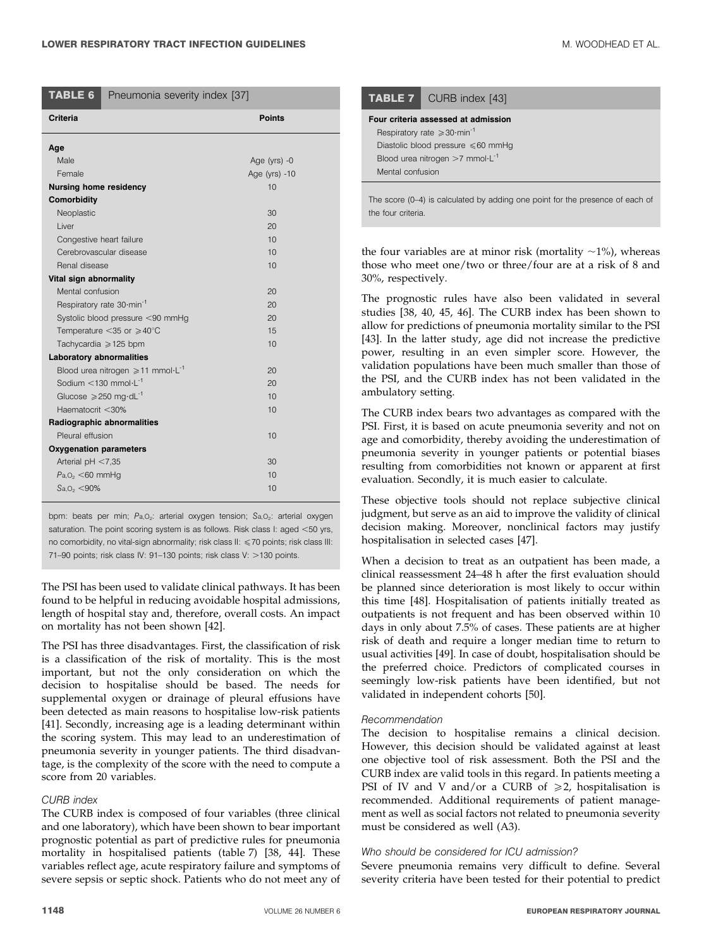| TABLE 6                                           | Pneumonia severity index [37]                     |               |  |
|---------------------------------------------------|---------------------------------------------------|---------------|--|
| <b>Criteria</b>                                   |                                                   | <b>Points</b> |  |
| Age                                               |                                                   |               |  |
| Male                                              |                                                   | Age (yrs) -0  |  |
| Female                                            |                                                   | Age (yrs) -10 |  |
| <b>Nursing home residency</b>                     |                                                   | 10            |  |
| Comorbidity                                       |                                                   |               |  |
| Neoplastic                                        |                                                   | 30            |  |
| I iver                                            |                                                   | 20            |  |
| Congestive heart failure                          |                                                   | 10            |  |
|                                                   | Cerebrovascular disease                           | 10            |  |
| Renal disease                                     |                                                   | 10            |  |
| Vital sign abnormality                            |                                                   |               |  |
| Mental confusion                                  |                                                   | 20            |  |
| Respiratory rate 30 min <sup>-1</sup>             |                                                   | 20            |  |
| Systolic blood pressure <90 mmHg                  |                                                   | 20            |  |
| Temperature $<$ 35 or $\geqslant$ 40 $^{\circ}$ C |                                                   | 15            |  |
| Tachycardia $\geqslant$ 125 bpm<br>10             |                                                   |               |  |
| <b>Laboratory abnormalities</b>                   |                                                   |               |  |
|                                                   | Blood urea nitrogen $\geq 11$ mmol $\cdot L^{-1}$ | 20            |  |
| Sodium $\leq$ 130 mmol·L <sup>-1</sup>            |                                                   | 20            |  |
| Glucose $\geqslant$ 250 mg·dL <sup>-1</sup>       |                                                   | 10            |  |
| Haematocrit <30%                                  |                                                   | 10            |  |
|                                                   | Radiographic abnormalities                        |               |  |
| Pleural effusion                                  |                                                   | 10            |  |
| <b>Oxygenation parameters</b>                     |                                                   |               |  |
| Arterial $pH < 7.35$                              |                                                   | 30            |  |
| $Pa1O2 < 60$ mmHg                                 |                                                   | 10            |  |
| $Sa.O_2 < 90\%$                                   |                                                   | 10            |  |

bpm: beats per min: Pa,O<sub>2</sub>: arterial oxygen tension: Sa,O<sub>2</sub>: arterial oxygen saturation. The point scoring system is as follows. Risk class I: aged  $<50$  yrs, no comorbidity, no vital-sign abnormality; risk class II:  $\leq$  70 points; risk class III: 71–90 points; risk class IV: 91–130 points; risk class V: >130 points.

The PSI has been used to validate clinical pathways. It has been found to be helpful in reducing avoidable hospital admissions, length of hospital stay and, therefore, overall costs. An impact on mortality has not been shown [42].

The PSI has three disadvantages. First, the classification of risk is a classification of the risk of mortality. This is the most important, but not the only consideration on which the decision to hospitalise should be based. The needs for supplemental oxygen or drainage of pleural effusions have been detected as main reasons to hospitalise low-risk patients [41]. Secondly, increasing age is a leading determinant within the scoring system. This may lead to an underestimation of pneumonia severity in younger patients. The third disadvantage, is the complexity of the score with the need to compute a score from 20 variables.

#### CURB index

The CURB index is composed of four variables (three clinical and one laboratory), which have been shown to bear important prognostic potential as part of predictive rules for pneumonia mortality in hospitalised patients (table 7) [38, 44]. These variables reflect age, acute respiratory failure and symptoms of severe sepsis or septic shock. Patients who do not meet any of

| <b>ABLE 7</b> CURB index [43]                         |
|-------------------------------------------------------|
| ur criteria assessed at admission                     |
| Respiratory rate $\geqslant$ 30 min <sup>-1</sup>     |
| Diastolic blood pressure $\leq 60$ mmHq               |
| Blood urea nitrogen $>7$ mmol $\cdot$ L <sup>-1</sup> |

The score (0–4) is calculated by adding one point for the presence of each of the four criteria.

the four variables are at minor risk (mortality  $\sim$ 1%), whereas those who meet one/two or three/four are at a risk of 8 and 30%, respectively.

The prognostic rules have also been validated in several studies [38, 40, 45, 46]. The CURB index has been shown to allow for predictions of pneumonia mortality similar to the PSI [43]. In the latter study, age did not increase the predictive power, resulting in an even simpler score. However, the validation populations have been much smaller than those of the PSI, and the CURB index has not been validated in the ambulatory setting.

The CURB index bears two advantages as compared with the PSI. First, it is based on acute pneumonia severity and not on age and comorbidity, thereby avoiding the underestimation of pneumonia severity in younger patients or potential biases resulting from comorbidities not known or apparent at first evaluation. Secondly, it is much easier to calculate.

These objective tools should not replace subjective clinical judgment, but serve as an aid to improve the validity of clinical decision making. Moreover, nonclinical factors may justify hospitalisation in selected cases [47].

When a decision to treat as an outpatient has been made, a clinical reassessment 24–48 h after the first evaluation should be planned since deterioration is most likely to occur within this time [48]. Hospitalisation of patients initially treated as outpatients is not frequent and has been observed within 10 days in only about 7.5% of cases. These patients are at higher risk of death and require a longer median time to return to usual activities [49]. In case of doubt, hospitalisation should be the preferred choice. Predictors of complicated courses in seemingly low-risk patients have been identified, but not validated in independent cohorts [50].

#### Recommendation

**TAB** Four

Mental confusion

The decision to hospitalise remains a clinical decision. However, this decision should be validated against at least one objective tool of risk assessment. Both the PSI and the CURB index are valid tools in this regard. In patients meeting a PSI of IV and V and/or a CURB of  $\geq 2$ , hospitalisation is recommended. Additional requirements of patient management as well as social factors not related to pneumonia severity must be considered as well (A3).

#### Who should be considered for ICU admission?

Severe pneumonia remains very difficult to define. Several severity criteria have been tested for their potential to predict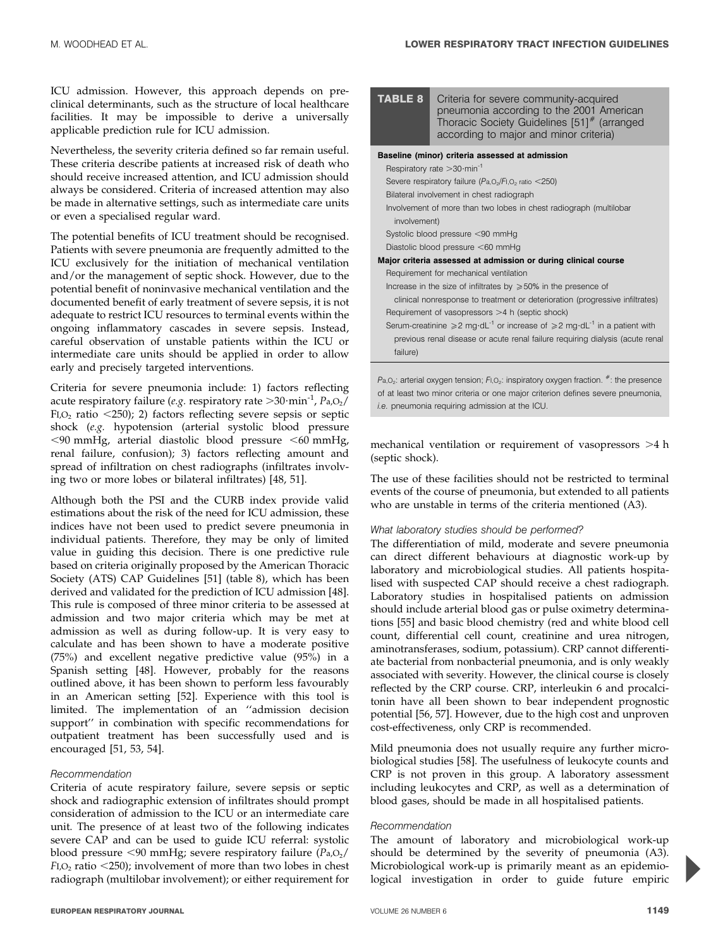TABLE 8 Criteria for severe community-acquired

ICU admission. However, this approach depends on preclinical determinants, such as the structure of local healthcare facilities. It may be impossible to derive a universally applicable prediction rule for ICU admission.

Nevertheless, the severity criteria defined so far remain useful. These criteria describe patients at increased risk of death who should receive increased attention, and ICU admission should always be considered. Criteria of increased attention may also be made in alternative settings, such as intermediate care units or even a specialised regular ward.

The potential benefits of ICU treatment should be recognised. Patients with severe pneumonia are frequently admitted to the ICU exclusively for the initiation of mechanical ventilation and/or the management of septic shock. However, due to the potential benefit of noninvasive mechanical ventilation and the documented benefit of early treatment of severe sepsis, it is not adequate to restrict ICU resources to terminal events within the ongoing inflammatory cascades in severe sepsis. Instead, careful observation of unstable patients within the ICU or intermediate care units should be applied in order to allow early and precisely targeted interventions.

Criteria for severe pneumonia include: 1) factors reflecting acute respiratory failure (e.g. respiratory rate  $>$ 30 $\cdot$ min<sup>-1</sup>, Pa,O<sub>2</sub>/ FI, $O<sub>2</sub>$  ratio <250); 2) factors reflecting severe sepsis or septic shock (e.g. hypotension (arterial systolic blood pressure  $<$ 90 mmHg, arterial diastolic blood pressure  $<$ 60 mmHg, renal failure, confusion); 3) factors reflecting amount and spread of infiltration on chest radiographs (infiltrates involving two or more lobes or bilateral infiltrates) [48, 51].

Although both the PSI and the CURB index provide valid estimations about the risk of the need for ICU admission, these indices have not been used to predict severe pneumonia in individual patients. Therefore, they may be only of limited value in guiding this decision. There is one predictive rule based on criteria originally proposed by the American Thoracic Society (ATS) CAP Guidelines [51] (table 8), which has been derived and validated for the prediction of ICU admission [48]. This rule is composed of three minor criteria to be assessed at admission and two major criteria which may be met at admission as well as during follow-up. It is very easy to calculate and has been shown to have a moderate positive (75%) and excellent negative predictive value (95%) in a Spanish setting [48]. However, probably for the reasons outlined above, it has been shown to perform less favourably in an American setting [52]. Experience with this tool is limited. The implementation of an ''admission decision support'' in combination with specific recommendations for outpatient treatment has been successfully used and is encouraged [51, 53, 54].

#### Recommendation

Criteria of acute respiratory failure, severe sepsis or septic shock and radiographic extension of infiltrates should prompt consideration of admission to the ICU or an intermediate care unit. The presence of at least two of the following indicates severe CAP and can be used to guide ICU referral: systolic blood pressure  $\leq 90$  mmHg; severe respiratory failure ( $P_{a,0}$ )  $F<sub>1,0<sub>2</sub></sub>$  ratio <250); involvement of more than two lobes in chest radiograph (multilobar involvement); or either requirement for

|              | pneumonia according to the 2001 American<br>Thoracic Society Guidelines [51] <sup>#</sup> (arranged<br>according to major and minor criteria) |
|--------------|-----------------------------------------------------------------------------------------------------------------------------------------------|
|              | Baseline (minor) criteria assessed at admission                                                                                               |
|              | Respiratory rate $>$ 30 $\cdot$ min <sup>-1</sup>                                                                                             |
|              | Severe respiratory failure ( $Pa, O_2/FI, O_2$ ratio <250)                                                                                    |
|              | Bilateral involvement in chest radiograph                                                                                                     |
|              | Involvement of more than two lobes in chest radiograph (multilobar                                                                            |
| involvement) |                                                                                                                                               |
|              | Systolic blood pressure <90 mmHg                                                                                                              |
|              | Diastolic blood pressure <60 mmHg                                                                                                             |
|              | Major criteria assessed at admission or during clinical course                                                                                |
|              | Requirement for mechanical ventilation                                                                                                        |
|              | Increase in the size of infiltrates by $\geq 50\%$ in the presence of                                                                         |
|              | clinical nonresponse to treatment or deterioration (progressive infiltrates)                                                                  |
|              | Requirement of vasopressors $>4$ h (septic shock)                                                                                             |
|              | Serum-creatinine $\geq 2$ mg·dL <sup>-1</sup> or increase of $\geq 2$ mg·dL <sup>-1</sup> in a patient with                                   |
|              | previous renal disease or acute renal failure requiring dialysis (acute renal                                                                 |
| failure)     |                                                                                                                                               |
|              |                                                                                                                                               |
|              | $P_{a,O_2}$ : arterial oxygen tension; $F_{1,O_2}$ : inspiratory oxygen fraction. $*$ : the presence                                          |

of at least two minor criteria or one major criterion defines severe pneumonia, i.e. pneumonia requiring admission at the ICU.

mechanical ventilation or requirement of vasopressors  $>4$  h (septic shock).

The use of these facilities should not be restricted to terminal events of the course of pneumonia, but extended to all patients who are unstable in terms of the criteria mentioned (A3).

#### What laboratory studies should be performed?

The differentiation of mild, moderate and severe pneumonia can direct different behaviours at diagnostic work-up by laboratory and microbiological studies. All patients hospitalised with suspected CAP should receive a chest radiograph. Laboratory studies in hospitalised patients on admission should include arterial blood gas or pulse oximetry determinations [55] and basic blood chemistry (red and white blood cell count, differential cell count, creatinine and urea nitrogen, aminotransferases, sodium, potassium). CRP cannot differentiate bacterial from nonbacterial pneumonia, and is only weakly associated with severity. However, the clinical course is closely reflected by the CRP course. CRP, interleukin 6 and procalcitonin have all been shown to bear independent prognostic potential [56, 57]. However, due to the high cost and unproven cost-effectiveness, only CRP is recommended.

Mild pneumonia does not usually require any further microbiological studies [58]. The usefulness of leukocyte counts and CRP is not proven in this group. A laboratory assessment including leukocytes and CRP, as well as a determination of blood gases, should be made in all hospitalised patients.

#### Recommendation

The amount of laboratory and microbiological work-up should be determined by the severity of pneumonia (A3). Microbiological work-up is primarily meant as an epidemiological investigation in order to guide future empiric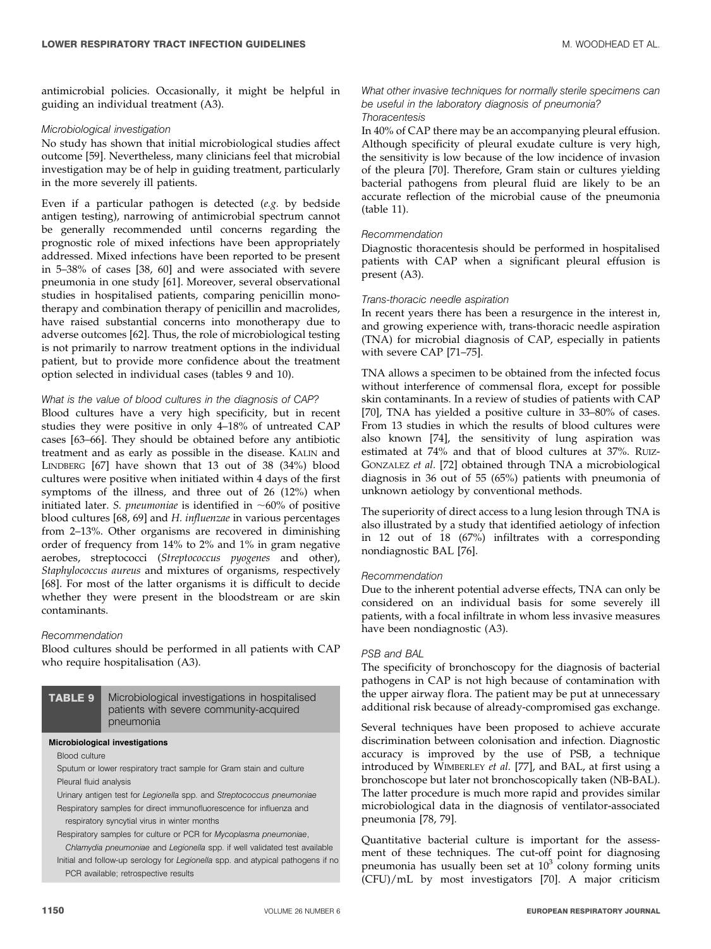antimicrobial policies. Occasionally, it might be helpful in guiding an individual treatment (A3).

#### Microbiological investigation

No study has shown that initial microbiological studies affect outcome [59]. Nevertheless, many clinicians feel that microbial investigation may be of help in guiding treatment, particularly in the more severely ill patients.

Even if a particular pathogen is detected (e.g. by bedside antigen testing), narrowing of antimicrobial spectrum cannot be generally recommended until concerns regarding the prognostic role of mixed infections have been appropriately addressed. Mixed infections have been reported to be present in 5–38% of cases [38, 60] and were associated with severe pneumonia in one study [61]. Moreover, several observational studies in hospitalised patients, comparing penicillin monotherapy and combination therapy of penicillin and macrolides, have raised substantial concerns into monotherapy due to adverse outcomes [62]. Thus, the role of microbiological testing is not primarily to narrow treatment options in the individual patient, but to provide more confidence about the treatment option selected in individual cases (tables 9 and 10).

#### What is the value of blood cultures in the diagnosis of CAP?

Blood cultures have a very high specificity, but in recent studies they were positive in only 4–18% of untreated CAP cases [63–66]. They should be obtained before any antibiotic treatment and as early as possible in the disease. KALIN and LINDBERG [67] have shown that 13 out of 38 (34%) blood cultures were positive when initiated within 4 days of the first symptoms of the illness, and three out of 26 (12%) when initiated later. S. pneumoniae is identified in  $~60\%$  of positive blood cultures [68, 69] and H. influenzae in various percentages from 2–13%. Other organisms are recovered in diminishing order of frequency from 14% to 2% and 1% in gram negative aerobes, streptococci (Streptococcus pyogenes and other), Staphylococcus aureus and mixtures of organisms, respectively [68]. For most of the latter organisms it is difficult to decide whether they were present in the bloodstream or are skin contaminants.

#### Recommendation

Blood cultures should be performed in all patients with CAP who require hospitalisation (A3).

#### TABLE 9 Microbiological investigations in hospitalised patients with severe community-acquired pneumonia

#### Microbiological investigations

Blood culture

Sputum or lower respiratory tract sample for Gram stain and culture Pleural fluid analysis

Urinary antigen test for Legionella spp. and Streptococcus pneumoniae Respiratory samples for direct immunofluorescence for influenza and

respiratory syncytial virus in winter months

Respiratory samples for culture or PCR for Mycoplasma pneumoniae,

Chlamydia pneumoniae and Legionella spp. if well validated test available Initial and follow-up serology for Legionella spp. and atypical pathogens if no PCR available; retrospective results

#### What other invasive techniques for normally sterile specimens can be useful in the laboratory diagnosis of pneumonia? **Thoracentesis**

In 40% of CAP there may be an accompanying pleural effusion. Although specificity of pleural exudate culture is very high, the sensitivity is low because of the low incidence of invasion of the pleura [70]. Therefore, Gram stain or cultures yielding bacterial pathogens from pleural fluid are likely to be an accurate reflection of the microbial cause of the pneumonia (table 11).

#### Recommendation

Diagnostic thoracentesis should be performed in hospitalised patients with CAP when a significant pleural effusion is present (A3).

#### Trans-thoracic needle aspiration

In recent years there has been a resurgence in the interest in, and growing experience with, trans-thoracic needle aspiration (TNA) for microbial diagnosis of CAP, especially in patients with severe CAP [71–75].

TNA allows a specimen to be obtained from the infected focus without interference of commensal flora, except for possible skin contaminants. In a review of studies of patients with CAP [70], TNA has yielded a positive culture in 33–80% of cases. From 13 studies in which the results of blood cultures were also known [74], the sensitivity of lung aspiration was estimated at 74% and that of blood cultures at 37%. RUIZ-GONZALEZ et al. [72] obtained through TNA a microbiological diagnosis in 36 out of 55 (65%) patients with pneumonia of unknown aetiology by conventional methods.

The superiority of direct access to a lung lesion through TNA is also illustrated by a study that identified aetiology of infection in 12 out of 18 (67%) infiltrates with a corresponding nondiagnostic BAL [76].

#### Recommendation

Due to the inherent potential adverse effects, TNA can only be considered on an individual basis for some severely ill patients, with a focal infiltrate in whom less invasive measures have been nondiagnostic (A3).

#### PSB and BAL

The specificity of bronchoscopy for the diagnosis of bacterial pathogens in CAP is not high because of contamination with the upper airway flora. The patient may be put at unnecessary additional risk because of already-compromised gas exchange.

Several techniques have been proposed to achieve accurate discrimination between colonisation and infection. Diagnostic accuracy is improved by the use of PSB, a technique introduced by WIMBERLEY et al. [77], and BAL, at first using a bronchoscope but later not bronchoscopically taken (NB-BAL). The latter procedure is much more rapid and provides similar microbiological data in the diagnosis of ventilator-associated pneumonia [78, 79].

Quantitative bacterial culture is important for the assessment of these techniques. The cut-off point for diagnosing pneumonia has usually been set at  $10^3$  colony forming units (CFU)/mL by most investigators [70]. A major criticism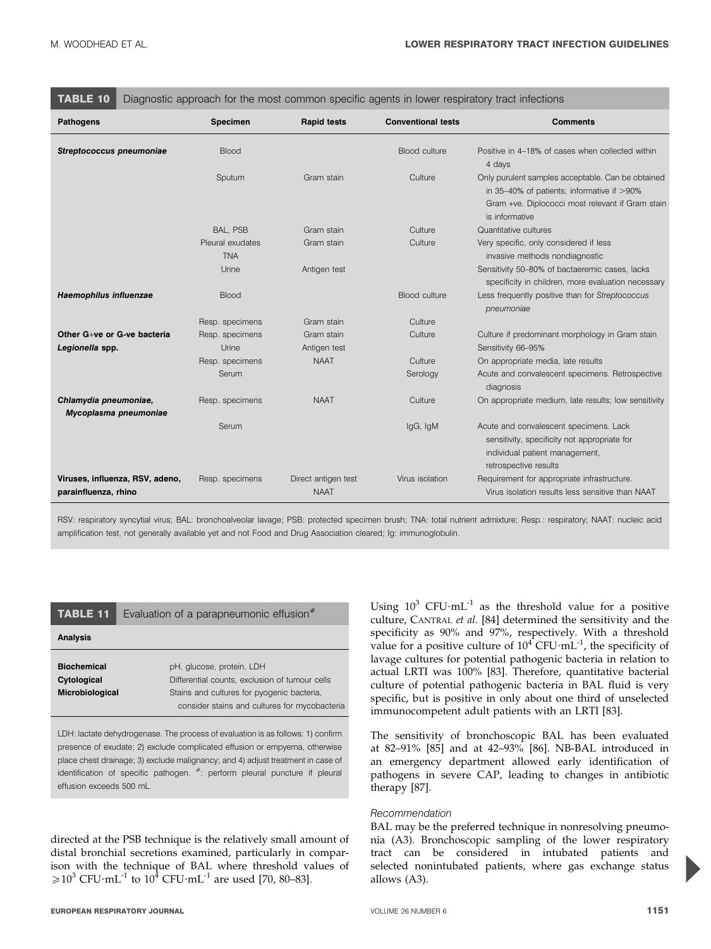| TABLE 10<br>Diagnostic approach for the most common specific agents in lower respiratory tract infections |                                |                                    |                           |                                                                                                                                                                          |
|-----------------------------------------------------------------------------------------------------------|--------------------------------|------------------------------------|---------------------------|--------------------------------------------------------------------------------------------------------------------------------------------------------------------------|
| <b>Pathogens</b>                                                                                          | <b>Specimen</b>                | <b>Rapid tests</b>                 | <b>Conventional tests</b> | <b>Comments</b>                                                                                                                                                          |
| Streptococcus pneumoniae                                                                                  | <b>Blood</b>                   |                                    | Blood culture             | Positive in 4-18% of cases when collected within<br>4 days                                                                                                               |
|                                                                                                           | Sputum                         | Gram stain                         | Culture                   | Only purulent samples acceptable. Can be obtained<br>in 35-40% of patients; informative if $>90\%$<br>Gram +ve. Diplococci most relevant if Gram stain<br>is informative |
|                                                                                                           | BAL, PSB                       | Gram stain                         | Culture                   | Quantitative cultures                                                                                                                                                    |
|                                                                                                           | Pleural exudates<br><b>TNA</b> | Gram stain                         | Culture                   | Very specific, only considered if less<br>invasive methods nondiagnostic                                                                                                 |
|                                                                                                           | Urine                          | Antigen test                       |                           | Sensitivity 50-80% of bactaeremic cases, lacks<br>specificity in children, more evaluation necessary                                                                     |
| Haemophilus influenzae                                                                                    | <b>Blood</b>                   |                                    | Blood culture             | Less frequently positive than for Streptococcus<br>pneumoniae                                                                                                            |
|                                                                                                           | Resp. specimens                | Gram stain                         | Culture                   |                                                                                                                                                                          |
| Other G+ve or G-ve bacteria                                                                               | Resp. specimens                | Gram stain                         | Culture                   | Culture if predominant morphology in Gram stain                                                                                                                          |
| Legionella spp.                                                                                           | Urine                          | Antigen test                       |                           | Sensitivity 66-95%                                                                                                                                                       |
|                                                                                                           | Resp. specimens                | <b>NAAT</b>                        | Culture                   | On appropriate media, late results                                                                                                                                       |
|                                                                                                           | Serum                          |                                    | Serology                  | Acute and convalescent specimens. Retrospective<br>diagnosis                                                                                                             |
| Chlamydia pneumoniae,<br>Mycoplasma pneumoniae                                                            | Resp. specimens                | <b>NAAT</b>                        | Culture                   | On appropriate medium, late results; low sensitivity                                                                                                                     |
|                                                                                                           | Serum                          |                                    | lgG, lgM                  | Acute and convalescent specimens. Lack<br>sensitivity, specificity not appropriate for<br>individual patient management,<br>retrospective results                        |
| Viruses, influenza, RSV, adeno,<br>parainfluenza, rhino                                                   | Resp. specimens                | Direct antigen test<br><b>NAAT</b> | Virus isolation           | Requirement for appropriate infrastructure.<br>Virus isolation results less sensitive than NAAT                                                                          |

RSV: respiratory syncytial virus; BAL: bronchoalveolar lavage; PSB: protected specimen brush; TNA: total nutrient admixture; Resp.: respiratory; NAAT: nucleic acid amplification test, not generally available yet and not Food and Drug Association cleared; Ig: immunoglobulin.

| <b>TABLE 11</b>                   | Evaluation of a parapneumonic effusion <sup>#</sup>                                         |
|-----------------------------------|---------------------------------------------------------------------------------------------|
| <b>Analysis</b>                   |                                                                                             |
| <b>Biochemical</b><br>Cytological | pH, glucose, protein, LDH<br>Differential counts, exclusion of tumour cells                 |
| Microbiological                   | Stains and cultures for pyogenic bacteria,<br>consider stains and cultures for mycobacteria |

LDH: lactate dehydrogenase. The process of evaluation is as follows: 1) confirm presence of exudate; 2) exclude complicated effusion or empyema, otherwise place chest drainage; 3) exclude malignancy; and 4) adjust treatment in case of identification of specific pathogen.  $*$ : perform pleural puncture if pleural effusion exceeds 500 mL.

directed at the PSB technique is the relatively small amount of distal bronchial secretions examined, particularly in comparison with the technique of BAL where threshold values of  $\geq 10^3$  CFU·mL<sup>-1</sup> to 10<sup>4</sup> CFU·mL<sup>-1</sup> are used [70, 80–83].

Using  $10^3$  CFU $\cdot$ mL<sup>-1</sup> as the threshold value for a positive culture, CANTRAL et al. [84] determined the sensitivity and the specificity as 90% and 97%, respectively. With a threshold value for a positive culture of  $10^4$  CFU·mL<sup>-1</sup>, the specificity of lavage cultures for potential pathogenic bacteria in relation to actual LRTI was 100% [83]. Therefore, quantitative bacterial culture of potential pathogenic bacteria in BAL fluid is very specific, but is positive in only about one third of unselected immunocompetent adult patients with an LRTI [83].

The sensitivity of bronchoscopic BAL has been evaluated at 82–91% [85] and at 42–93% [86]. NB-BAL introduced in an emergency department allowed early identification of pathogens in severe CAP, leading to changes in antibiotic therapy [87].

#### Recommendation

BAL may be the preferred technique in nonresolving pneumonia (A3). Bronchoscopic sampling of the lower respiratory tract can be considered in intubated patients and selected nonintubated patients, where gas exchange status allows (A3).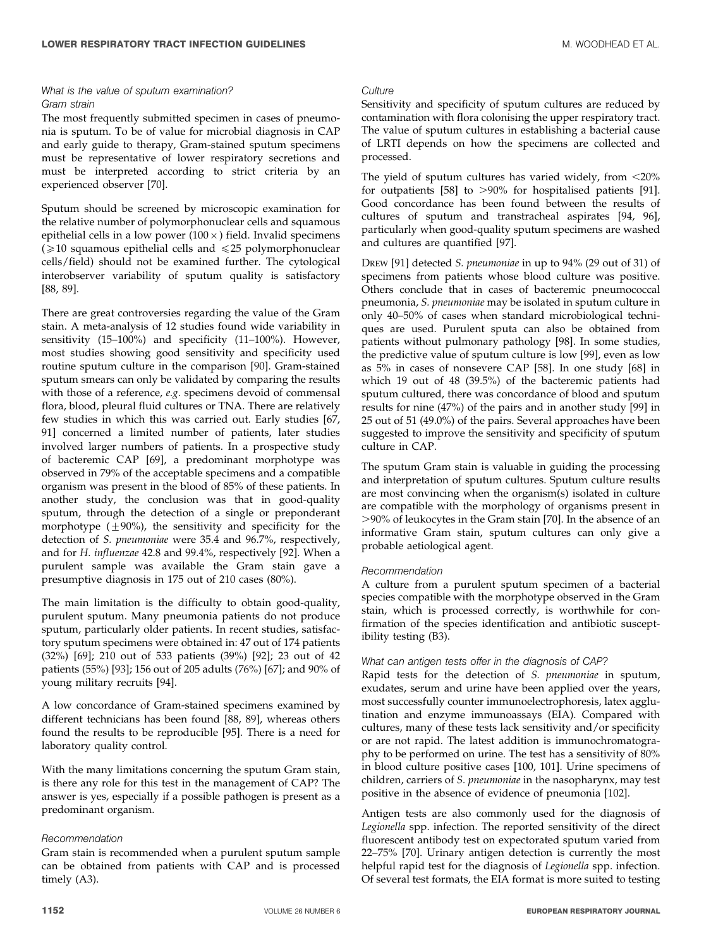#### What is the value of sputum examination? Gram strain

The most frequently submitted specimen in cases of pneumonia is sputum. To be of value for microbial diagnosis in CAP and early guide to therapy, Gram-stained sputum specimens must be representative of lower respiratory secretions and must be interpreted according to strict criteria by an experienced observer [70].

Sputum should be screened by microscopic examination for the relative number of polymorphonuclear cells and squamous epithelial cells in a low power ( $100 \times$ ) field. Invalid specimens ( $\geq$ 10 squamous epithelial cells and  $\leq$ 25 polymorphonuclear cells/field) should not be examined further. The cytological interobserver variability of sputum quality is satisfactory [88, 89].

There are great controversies regarding the value of the Gram stain. A meta-analysis of 12 studies found wide variability in sensitivity (15–100%) and specificity (11–100%). However, most studies showing good sensitivity and specificity used routine sputum culture in the comparison [90]. Gram-stained sputum smears can only be validated by comparing the results with those of a reference, e.g. specimens devoid of commensal flora, blood, pleural fluid cultures or TNA. There are relatively few studies in which this was carried out. Early studies [67, 91] concerned a limited number of patients, later studies involved larger numbers of patients. In a prospective study of bacteremic CAP [69], a predominant morphotype was observed in 79% of the acceptable specimens and a compatible organism was present in the blood of 85% of these patients. In another study, the conclusion was that in good-quality sputum, through the detection of a single or preponderant morphotype  $(\pm 90\%)$ , the sensitivity and specificity for the detection of S. pneumoniae were 35.4 and 96.7%, respectively, and for H. influenzae 42.8 and 99.4%, respectively [92]. When a purulent sample was available the Gram stain gave a presumptive diagnosis in 175 out of 210 cases (80%).

The main limitation is the difficulty to obtain good-quality, purulent sputum. Many pneumonia patients do not produce sputum, particularly older patients. In recent studies, satisfactory sputum specimens were obtained in: 47 out of 174 patients (32%) [69]; 210 out of 533 patients (39%) [92]; 23 out of 42 patients (55%) [93]; 156 out of 205 adults (76%) [67]; and 90% of young military recruits [94].

A low concordance of Gram-stained specimens examined by different technicians has been found [88, 89], whereas others found the results to be reproducible [95]. There is a need for laboratory quality control.

With the many limitations concerning the sputum Gram stain, is there any role for this test in the management of CAP? The answer is yes, especially if a possible pathogen is present as a predominant organism.

#### Recommendation

Gram stain is recommended when a purulent sputum sample can be obtained from patients with CAP and is processed timely (A3).

#### **Culture**

Sensitivity and specificity of sputum cultures are reduced by contamination with flora colonising the upper respiratory tract. The value of sputum cultures in establishing a bacterial cause of LRTI depends on how the specimens are collected and processed.

The yield of sputum cultures has varied widely, from  $\langle 20\% \rangle$ for outpatients  $[58]$  to  $>90\%$  for hospitalised patients  $[91]$ . Good concordance has been found between the results of cultures of sputum and transtracheal aspirates [94, 96], particularly when good-quality sputum specimens are washed and cultures are quantified [97].

DREW [91] detected S. pneumoniae in up to 94% (29 out of 31) of specimens from patients whose blood culture was positive. Others conclude that in cases of bacteremic pneumococcal pneumonia, S. pneumoniae may be isolated in sputum culture in only 40–50% of cases when standard microbiological techniques are used. Purulent sputa can also be obtained from patients without pulmonary pathology [98]. In some studies, the predictive value of sputum culture is low [99], even as low as 5% in cases of nonsevere CAP [58]. In one study [68] in which 19 out of 48 (39.5%) of the bacteremic patients had sputum cultured, there was concordance of blood and sputum results for nine (47%) of the pairs and in another study [99] in 25 out of 51 (49.0%) of the pairs. Several approaches have been suggested to improve the sensitivity and specificity of sputum culture in CAP.

The sputum Gram stain is valuable in guiding the processing and interpretation of sputum cultures. Sputum culture results are most convincing when the organism(s) isolated in culture are compatible with the morphology of organisms present in .90% of leukocytes in the Gram stain [70]. In the absence of an informative Gram stain, sputum cultures can only give a probable aetiological agent.

#### Recommendation

A culture from a purulent sputum specimen of a bacterial species compatible with the morphotype observed in the Gram stain, which is processed correctly, is worthwhile for confirmation of the species identification and antibiotic susceptibility testing (B3).

#### What can antigen tests offer in the diagnosis of CAP?

Rapid tests for the detection of S. pneumoniae in sputum, exudates, serum and urine have been applied over the years, most successfully counter immunoelectrophoresis, latex agglutination and enzyme immunoassays (EIA). Compared with cultures, many of these tests lack sensitivity and/or specificity or are not rapid. The latest addition is immunochromatography to be performed on urine. The test has a sensitivity of 80% in blood culture positive cases [100, 101]. Urine specimens of children, carriers of S. pneumoniae in the nasopharynx, may test positive in the absence of evidence of pneumonia [102].

Antigen tests are also commonly used for the diagnosis of Legionella spp. infection. The reported sensitivity of the direct fluorescent antibody test on expectorated sputum varied from 22–75% [70]. Urinary antigen detection is currently the most helpful rapid test for the diagnosis of Legionella spp. infection. Of several test formats, the EIA format is more suited to testing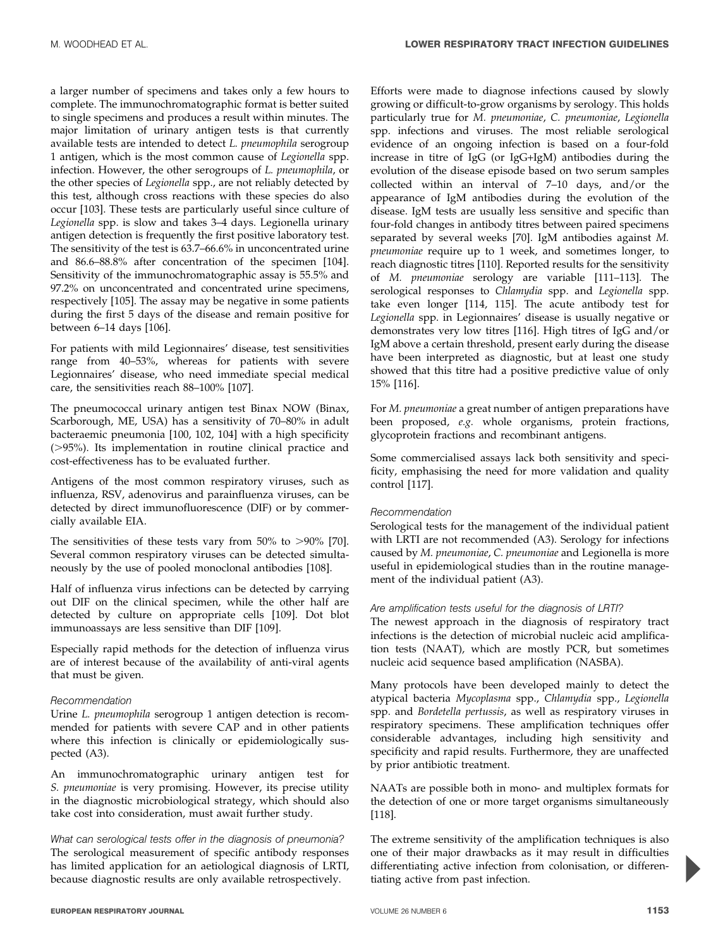a larger number of specimens and takes only a few hours to complete. The immunochromatographic format is better suited to single specimens and produces a result within minutes. The major limitation of urinary antigen tests is that currently available tests are intended to detect L. pneumophila serogroup 1 antigen, which is the most common cause of Legionella spp. infection. However, the other serogroups of L. pneumophila, or the other species of Legionella spp., are not reliably detected by this test, although cross reactions with these species do also occur [103]. These tests are particularly useful since culture of Legionella spp. is slow and takes 3–4 days. Legionella urinary antigen detection is frequently the first positive laboratory test. The sensitivity of the test is 63.7–66.6% in unconcentrated urine and 86.6–88.8% after concentration of the specimen [104]. Sensitivity of the immunochromatographic assay is 55.5% and 97.2% on unconcentrated and concentrated urine specimens, respectively [105]. The assay may be negative in some patients during the first 5 days of the disease and remain positive for between 6–14 days [106].

For patients with mild Legionnaires' disease, test sensitivities range from 40–53%, whereas for patients with severe Legionnaires' disease, who need immediate special medical care, the sensitivities reach 88–100% [107].

The pneumococcal urinary antigen test Binax NOW (Binax, Scarborough, ME, USA) has a sensitivity of 70–80% in adult bacteraemic pneumonia [100, 102, 104] with a high specificity  $($ >95%). Its implementation in routine clinical practice and cost-effectiveness has to be evaluated further.

Antigens of the most common respiratory viruses, such as influenza, RSV, adenovirus and parainfluenza viruses, can be detected by direct immunofluorescence (DIF) or by commercially available EIA.

The sensitivities of these tests vary from  $50\%$  to  $>90\%$  [70]. Several common respiratory viruses can be detected simultaneously by the use of pooled monoclonal antibodies [108].

Half of influenza virus infections can be detected by carrying out DIF on the clinical specimen, while the other half are detected by culture on appropriate cells [109]. Dot blot immunoassays are less sensitive than DIF [109].

Especially rapid methods for the detection of influenza virus are of interest because of the availability of anti-viral agents that must be given.

#### Recommendation

Urine L. pneumophila serogroup 1 antigen detection is recommended for patients with severe CAP and in other patients where this infection is clinically or epidemiologically suspected (A3).

An immunochromatographic urinary antigen test for S. pneumoniae is very promising. However, its precise utility in the diagnostic microbiological strategy, which should also take cost into consideration, must await further study.

What can serological tests offer in the diagnosis of pneumonia? The serological measurement of specific antibody responses has limited application for an aetiological diagnosis of LRTI, because diagnostic results are only available retrospectively.

Efforts were made to diagnose infections caused by slowly growing or difficult-to-grow organisms by serology. This holds particularly true for M. pneumoniae, C. pneumoniae, Legionella spp. infections and viruses. The most reliable serological evidence of an ongoing infection is based on a four-fold increase in titre of IgG (or IgG+IgM) antibodies during the evolution of the disease episode based on two serum samples collected within an interval of 7–10 days, and/or the appearance of IgM antibodies during the evolution of the disease. IgM tests are usually less sensitive and specific than four-fold changes in antibody titres between paired specimens separated by several weeks [70]. IgM antibodies against M. pneumoniae require up to 1 week, and sometimes longer, to reach diagnostic titres [110]. Reported results for the sensitivity of M. pneumoniae serology are variable [111–113]. The serological responses to Chlamydia spp. and Legionella spp. take even longer [114, 115]. The acute antibody test for Legionella spp. in Legionnaires' disease is usually negative or demonstrates very low titres [116]. High titres of IgG and/or IgM above a certain threshold, present early during the disease have been interpreted as diagnostic, but at least one study showed that this titre had a positive predictive value of only 15% [116].

For M. pneumoniae a great number of antigen preparations have been proposed, e.g. whole organisms, protein fractions, glycoprotein fractions and recombinant antigens.

Some commercialised assays lack both sensitivity and specificity, emphasising the need for more validation and quality control [117].

#### Recommendation

Serological tests for the management of the individual patient with LRTI are not recommended (A3). Serology for infections caused by M. pneumoniae, C. pneumoniae and Legionella is more useful in epidemiological studies than in the routine management of the individual patient (A3).

#### Are amplification tests useful for the diagnosis of LRTI?

The newest approach in the diagnosis of respiratory tract infections is the detection of microbial nucleic acid amplification tests (NAAT), which are mostly PCR, but sometimes nucleic acid sequence based amplification (NASBA).

Many protocols have been developed mainly to detect the atypical bacteria Mycoplasma spp., Chlamydia spp., Legionella spp. and Bordetella pertussis, as well as respiratory viruses in respiratory specimens. These amplification techniques offer considerable advantages, including high sensitivity and specificity and rapid results. Furthermore, they are unaffected by prior antibiotic treatment.

NAATs are possible both in mono- and multiplex formats for the detection of one or more target organisms simultaneously [118].

The extreme sensitivity of the amplification techniques is also one of their major drawbacks as it may result in difficulties differentiating active infection from colonisation, or differentiating active from past infection.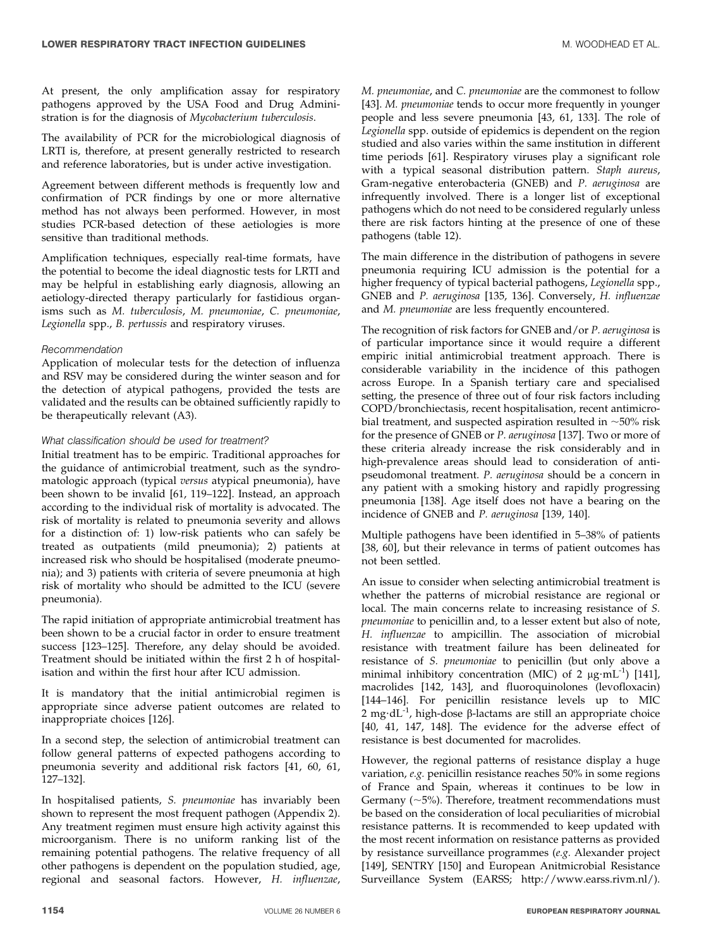At present, the only amplification assay for respiratory pathogens approved by the USA Food and Drug Administration is for the diagnosis of Mycobacterium tuberculosis.

The availability of PCR for the microbiological diagnosis of LRTI is, therefore, at present generally restricted to research and reference laboratories, but is under active investigation.

Agreement between different methods is frequently low and confirmation of PCR findings by one or more alternative method has not always been performed. However, in most studies PCR-based detection of these aetiologies is more sensitive than traditional methods.

Amplification techniques, especially real-time formats, have the potential to become the ideal diagnostic tests for LRTI and may be helpful in establishing early diagnosis, allowing an aetiology-directed therapy particularly for fastidious organisms such as M. tuberculosis, M. pneumoniae, C. pneumoniae, Legionella spp., B. pertussis and respiratory viruses.

#### Recommendation

Application of molecular tests for the detection of influenza and RSV may be considered during the winter season and for the detection of atypical pathogens, provided the tests are validated and the results can be obtained sufficiently rapidly to be therapeutically relevant (A3).

#### What classification should be used for treatment?

Initial treatment has to be empiric. Traditional approaches for the guidance of antimicrobial treatment, such as the syndromatologic approach (typical versus atypical pneumonia), have been shown to be invalid [61, 119–122]. Instead, an approach according to the individual risk of mortality is advocated. The risk of mortality is related to pneumonia severity and allows for a distinction of: 1) low-risk patients who can safely be treated as outpatients (mild pneumonia); 2) patients at increased risk who should be hospitalised (moderate pneumonia); and 3) patients with criteria of severe pneumonia at high risk of mortality who should be admitted to the ICU (severe pneumonia).

The rapid initiation of appropriate antimicrobial treatment has been shown to be a crucial factor in order to ensure treatment success [123–125]. Therefore, any delay should be avoided. Treatment should be initiated within the first 2 h of hospitalisation and within the first hour after ICU admission.

It is mandatory that the initial antimicrobial regimen is appropriate since adverse patient outcomes are related to inappropriate choices [126].

In a second step, the selection of antimicrobial treatment can follow general patterns of expected pathogens according to pneumonia severity and additional risk factors [41, 60, 61, 127–132].

In hospitalised patients, S. pneumoniae has invariably been shown to represent the most frequent pathogen (Appendix 2). Any treatment regimen must ensure high activity against this microorganism. There is no uniform ranking list of the remaining potential pathogens. The relative frequency of all other pathogens is dependent on the population studied, age, regional and seasonal factors. However, H. influenzae,

M. pneumoniae, and C. pneumoniae are the commonest to follow [43]. M. *pneumoniae* tends to occur more frequently in younger people and less severe pneumonia [43, 61, 133]. The role of Legionella spp. outside of epidemics is dependent on the region studied and also varies within the same institution in different time periods [61]. Respiratory viruses play a significant role with a typical seasonal distribution pattern. Staph aureus, Gram-negative enterobacteria (GNEB) and P. aeruginosa are infrequently involved. There is a longer list of exceptional pathogens which do not need to be considered regularly unless there are risk factors hinting at the presence of one of these pathogens (table 12).

The main difference in the distribution of pathogens in severe pneumonia requiring ICU admission is the potential for a higher frequency of typical bacterial pathogens, Legionella spp., GNEB and P. aeruginosa [135, 136]. Conversely, H. influenzae and M. pneumoniae are less frequently encountered.

The recognition of risk factors for GNEB and/or P. aeruginosa is of particular importance since it would require a different empiric initial antimicrobial treatment approach. There is considerable variability in the incidence of this pathogen across Europe. In a Spanish tertiary care and specialised setting, the presence of three out of four risk factors including COPD/bronchiectasis, recent hospitalisation, recent antimicrobial treatment, and suspected aspiration resulted in  $\sim$ 50% risk for the presence of GNEB or P. aeruginosa [137]. Two or more of these criteria already increase the risk considerably and in high-prevalence areas should lead to consideration of antipseudomonal treatment. P. aeruginosa should be a concern in any patient with a smoking history and rapidly progressing pneumonia [138]. Age itself does not have a bearing on the incidence of GNEB and P. aeruginosa [139, 140].

Multiple pathogens have been identified in 5–38% of patients [38, 60], but their relevance in terms of patient outcomes has not been settled.

An issue to consider when selecting antimicrobial treatment is whether the patterns of microbial resistance are regional or local. The main concerns relate to increasing resistance of S. pneumoniae to penicillin and, to a lesser extent but also of note, H. influenzae to ampicillin. The association of microbial resistance with treatment failure has been delineated for resistance of S. pneumoniae to penicillin (but only above a minimal inhibitory concentration (MIC) of 2  $\mu$ g·mL<sup>-1</sup>) [141], macrolides [142, 143], and fluoroquinolones (levofloxacin) [144–146]. For penicillin resistance levels up to MIC 2 mg·dL<sup>-1</sup>, high-dose  $\beta$ -lactams are still an appropriate choice [40, 41, 147, 148]. The evidence for the adverse effect of resistance is best documented for macrolides.

However, the regional patterns of resistance display a huge variation, e.g. penicillin resistance reaches 50% in some regions of France and Spain, whereas it continues to be low in Germany ( $\sim$ 5%). Therefore, treatment recommendations must be based on the consideration of local peculiarities of microbial resistance patterns. It is recommended to keep updated with the most recent information on resistance patterns as provided by resistance surveillance programmes (e.g. Alexander project [149], SENTRY [150] and European Anitmicrobial Resistance Surveillance System (EARSS; http://www.earss.rivm.nl/).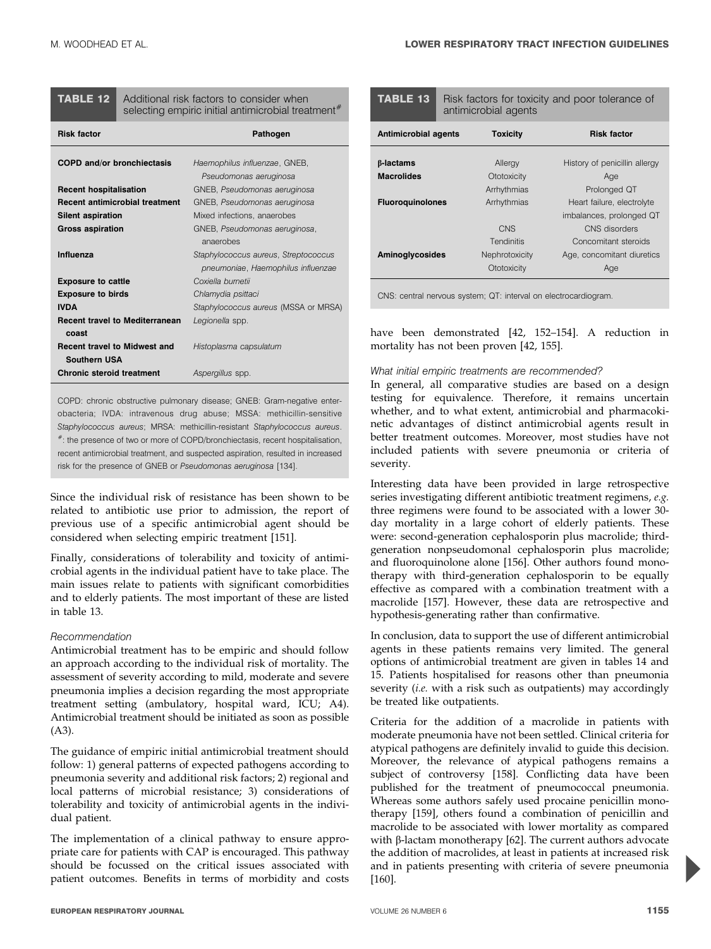# **TABLE 12** Additional risk factors to consider when selecting empiric initial antimicrobial treatment<sup>#</sup>

| <b>Risk factor</b>                                         | Pathogen                                                                   |
|------------------------------------------------------------|----------------------------------------------------------------------------|
| <b>COPD and/or bronchiectasis</b>                          | Haemophilus influenzae, GNEB,<br>Pseudomonas aeruginosa                    |
| <b>Recent hospitalisation</b>                              | GNEB, Pseudomonas aeruginosa                                               |
| <b>Recent antimicrobial treatment</b>                      | GNEB, Pseudomonas aeruginosa                                               |
| <b>Silent aspiration</b>                                   | Mixed infections, anaerobes                                                |
| <b>Gross aspiration</b>                                    | GNEB, Pseudomonas aeruginosa,<br>anaerobes                                 |
| Influenza                                                  | Staphylococcus aureus, Streptococcus<br>pneumoniae, Haemophilus influenzae |
| <b>Exposure to cattle</b>                                  | Coxiella burnetii                                                          |
| <b>Exposure to birds</b>                                   | Chlamydia psittaci                                                         |
| <b>IVDA</b>                                                | Staphylococcus aureus (MSSA or MRSA)                                       |
| <b>Recent travel to Mediterranean</b><br>coast             | Legionella spp.                                                            |
| <b>Recent travel to Midwest and</b><br><b>Southern USA</b> | Histoplasma capsulatum                                                     |
| <b>Chronic steroid treatment</b>                           | Aspergillus spp.                                                           |

COPD: chronic obstructive pulmonary disease; GNEB: Gram-negative enterobacteria; IVDA: intravenous drug abuse; MSSA: methicillin-sensitive Staphylococcus aureus; MRSA: methicillin-resistant Staphylococcus aureus. #: the presence of two or more of COPD/bronchiectasis, recent hospitalisation, recent antimicrobial treatment, and suspected aspiration, resulted in increased risk for the presence of GNEB or Pseudomonas aeruginosa [134].

Since the individual risk of resistance has been shown to be related to antibiotic use prior to admission, the report of previous use of a specific antimicrobial agent should be considered when selecting empiric treatment [151].

Finally, considerations of tolerability and toxicity of antimicrobial agents in the individual patient have to take place. The main issues relate to patients with significant comorbidities and to elderly patients. The most important of these are listed in table 13.

#### Recommendation

Antimicrobial treatment has to be empiric and should follow an approach according to the individual risk of mortality. The assessment of severity according to mild, moderate and severe pneumonia implies a decision regarding the most appropriate treatment setting (ambulatory, hospital ward, ICU; A4). Antimicrobial treatment should be initiated as soon as possible (A3).

The guidance of empiric initial antimicrobial treatment should follow: 1) general patterns of expected pathogens according to pneumonia severity and additional risk factors; 2) regional and local patterns of microbial resistance; 3) considerations of tolerability and toxicity of antimicrobial agents in the individual patient.

The implementation of a clinical pathway to ensure appropriate care for patients with CAP is encouraged. This pathway should be focussed on the critical issues associated with patient outcomes. Benefits in terms of morbidity and costs

| <b>TABLE 13</b>                       | Risk factors for toxicity and poor tolerance of<br>antimicrobial agents |                               |                                            |
|---------------------------------------|-------------------------------------------------------------------------|-------------------------------|--------------------------------------------|
| Antimicrobial agents                  |                                                                         | <b>Toxicity</b>               | <b>Risk factor</b>                         |
| <b>B-lactams</b><br><b>Macrolides</b> |                                                                         | Allergy<br>Ototoxicity        | History of penicillin allergy<br>Age       |
| <b>Fluoroguinolones</b>               |                                                                         | Arrhythmias<br>Arrhythmias    | Prolonged QT<br>Heart failure, electrolyte |
|                                       |                                                                         |                               | imbalances, prolonged QT                   |
|                                       |                                                                         | CNS<br><b>Tendinitis</b>      | CNS disorders<br>Concomitant steroids      |
| <b>Aminoglycosides</b>                |                                                                         | Nephrotoxicity<br>Ototoxicity | Age, concomitant diuretics<br>Age          |

CNS: central nervous system; QT: interval on electrocardiogram.

have been demonstrated [42, 152–154]. A reduction in mortality has not been proven [42, 155].

#### What initial empiric treatments are recommended?

In general, all comparative studies are based on a design testing for equivalence. Therefore, it remains uncertain whether, and to what extent, antimicrobial and pharmacokinetic advantages of distinct antimicrobial agents result in better treatment outcomes. Moreover, most studies have not included patients with severe pneumonia or criteria of severity.

Interesting data have been provided in large retrospective series investigating different antibiotic treatment regimens, e.g. three regimens were found to be associated with a lower 30 day mortality in a large cohort of elderly patients. These were: second-generation cephalosporin plus macrolide; thirdgeneration nonpseudomonal cephalosporin plus macrolide; and fluoroquinolone alone [156]. Other authors found monotherapy with third-generation cephalosporin to be equally effective as compared with a combination treatment with a macrolide [157]. However, these data are retrospective and hypothesis-generating rather than confirmative.

In conclusion, data to support the use of different antimicrobial agents in these patients remains very limited. The general options of antimicrobial treatment are given in tables 14 and 15. Patients hospitalised for reasons other than pneumonia severity (i.e. with a risk such as outpatients) may accordingly be treated like outpatients.

Criteria for the addition of a macrolide in patients with moderate pneumonia have not been settled. Clinical criteria for atypical pathogens are definitely invalid to guide this decision. Moreover, the relevance of atypical pathogens remains a subject of controversy [158]. Conflicting data have been published for the treatment of pneumococcal pneumonia. Whereas some authors safely used procaine penicillin monotherapy [159], others found a combination of penicillin and macrolide to be associated with lower mortality as compared with  $\beta$ -lactam monotherapy [62]. The current authors advocate the addition of macrolides, at least in patients at increased risk and in patients presenting with criteria of severe pneumonia [160].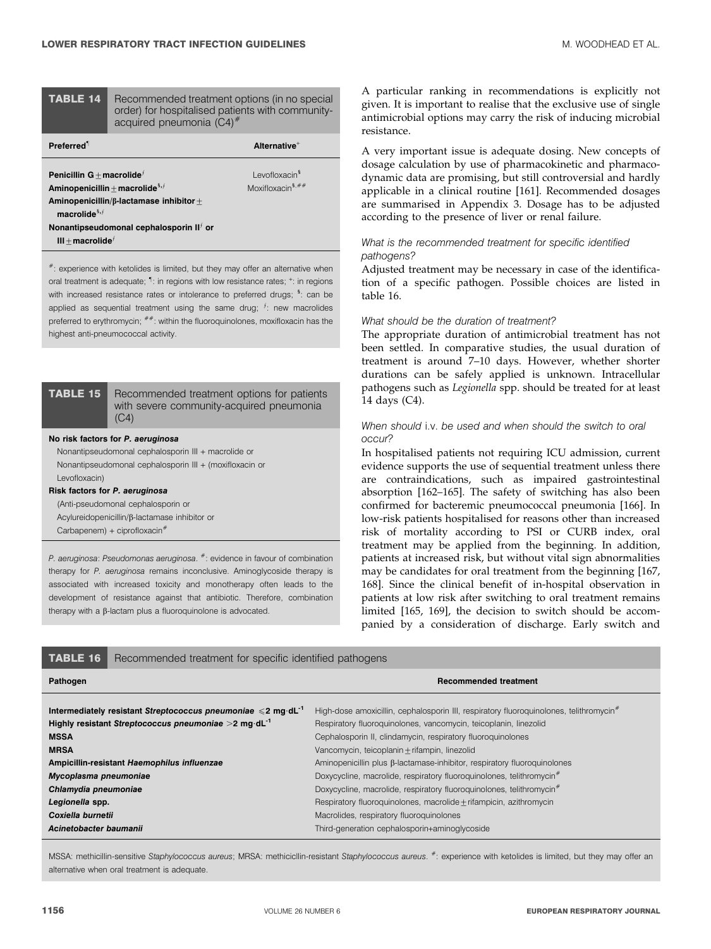#### TABLE 14 Recommended treatment options (in no special order) for hospitalised patients with communityacquired pneumonia  $(C4)^{#}$

| <b>Preferred</b> <sup>1</sup>                                                             | Alternative <sup>+</sup>     |
|-------------------------------------------------------------------------------------------|------------------------------|
| Penicillin G + macrolide <sup><math>f</math></sup>                                        | Levofloxacin <sup>3</sup>    |
| Aminopenicillin + macrolide <sup>5,<math>f</math></sup>                                   | Moxifloxacin <sup>5,##</sup> |
| Aminopenicillin/ $\beta$ -lactamase inhibitor +<br>macrolide ${}^{\mathsf{s},\mathsf{f}}$ |                              |
| Nonantipseudomonal cephalosporin II <sup>t</sup> or<br>$III + macrolidef$                 |                              |

 $*$ : experience with ketolides is limited, but they may offer an alternative when oral treatment is adequate;  $\P$ : in regions with low resistance rates; <sup>+</sup>: in regions with increased resistance rates or intolerance to preferred drugs; <sup>s</sup>: can be applied as sequential treatment using the same drug;  $f$ : new macrolides preferred to erythromycin;  $^{***}$ : within the fluoroquinolones, moxifloxacin has the highest anti-pneumococcal activity.

TABLE 15 Recommended treatment options for patients with severe community-acquired pneumonia  $(C4)$ 

#### No risk factors for P. aeruginosa

Nonantipseudomonal cephalosporin III + macrolide or Nonantipseudomonal cephalosporin III + (moxifloxacin or Levofloxacin)

#### Risk factors for P. aeruginosa

(Anti-pseudomonal cephalosporin or Acylureidopenicillin/b-lactamase inhibitor or

Carbapenem) + ciprofloxacin<sup>#</sup>

P. aeruginosa: Pseudomonas aeruginosa. #: evidence in favour of combination therapy for P. aeruginosa remains inconclusive. Aminoglycoside therapy is associated with increased toxicity and monotherapy often leads to the development of resistance against that antibiotic. Therefore, combination therapy with a  $\beta$ -lactam plus a fluoroquinolone is advocated.

A particular ranking in recommendations is explicitly not given. It is important to realise that the exclusive use of single antimicrobial options may carry the risk of inducing microbial resistance.

A very important issue is adequate dosing. New concepts of dosage calculation by use of pharmacokinetic and pharmacodynamic data are promising, but still controversial and hardly applicable in a clinical routine [161]. Recommended dosages are summarised in Appendix 3. Dosage has to be adjusted according to the presence of liver or renal failure.

#### What is the recommended treatment for specific identified pathogens?

Adjusted treatment may be necessary in case of the identification of a specific pathogen. Possible choices are listed in table 16.

#### What should be the duration of treatment?

The appropriate duration of antimicrobial treatment has not been settled. In comparative studies, the usual duration of treatment is around 7–10 days. However, whether shorter durations can be safely applied is unknown. Intracellular pathogens such as Legionella spp. should be treated for at least 14 days (C4).

### When should i.v. be used and when should the switch to oral occur?

In hospitalised patients not requiring ICU admission, current evidence supports the use of sequential treatment unless there are contraindications, such as impaired gastrointestinal absorption [162–165]. The safety of switching has also been confirmed for bacteremic pneumococcal pneumonia [166]. In low-risk patients hospitalised for reasons other than increased risk of mortality according to PSI or CURB index, oral treatment may be applied from the beginning. In addition, patients at increased risk, but without vital sign abnormalities may be candidates for oral treatment from the beginning [167, 168]. Since the clinical benefit of in-hospital observation in patients at low risk after switching to oral treatment remains limited [165, 169], the decision to switch should be accompanied by a consideration of discharge. Early switch and

# TABLE 16 Recommended treatment for specific identified pathogens Pathogen Recommended treatment Intermediately resistant Streptococcus pneumoniae <2 mg·dL<sup>-1</sup> High-dose amoxicillin, cephalosporin III, respiratory fluoroquinolones, telithromycin<sup>#</sup> **Highly resistant Streptococcus pneumoniae >2 mg·dL<sup>-1</sup> Respiratory fluoroquinolones, vancomycin, teicoplanin, linezolid** MSSA Cephalosporin II, clindamycin, respiratory fluoroquinolones MRSA Vancomycin, teicoplanin + rifampin, linezolid Ampicillin-resistant Haemophilus influenzae Aminopenicillin plus B-lactamase-inhibitor, respiratory fluoroquinolones Mycoplasma pneumoniae **Doxycycline**, macrolide, respiratory fluoroquinolones, telithromycin<sup>#</sup> Chlamydia pneumoniae **Chlamydia pneumoniae** Doxycycline, macrolide, respiratory fluoroquinolones, telithromycin<sup>#</sup> Legionella spp. **Respiratory fluoroquinolones**, macrolide *±rifampicin*, azithromycin **Coxiella burnetii** Macrolides, respiratory fluoroquinolones **Acinetobacter baumanii Third-generation cephalosporin+aminoglycoside Acinetobacter baumanii**

MSSA: methicillin-sensitive Staphylococcus aureus; MRSA: methicicllin-resistant Staphylococcus aureus. #: experience with ketolides is limited, but they may offer an alternative when oral treatment is adequate.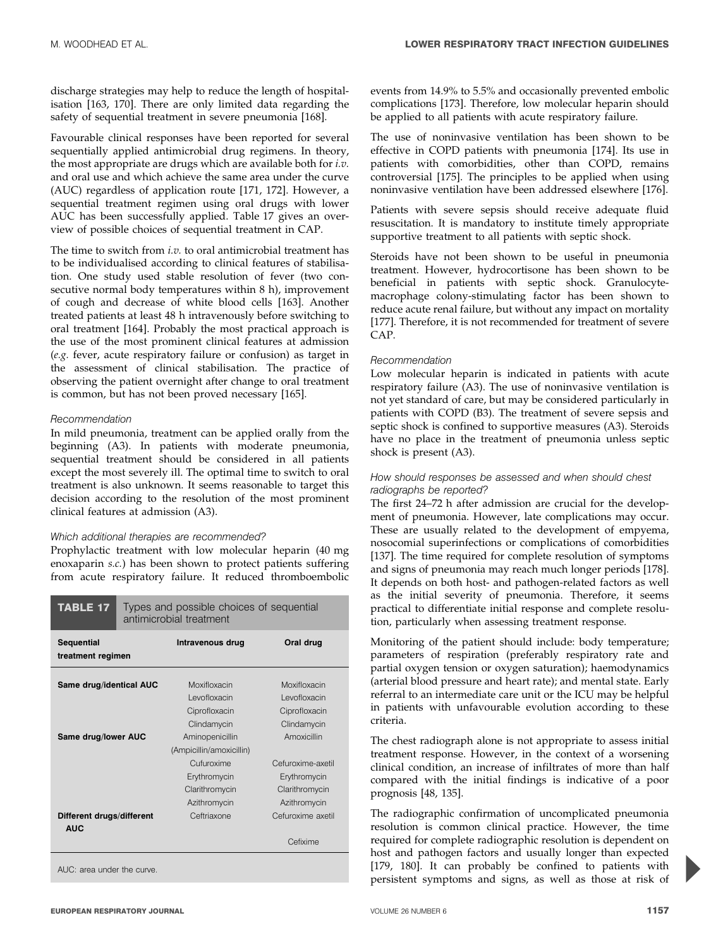discharge strategies may help to reduce the length of hospitalisation [163, 170]. There are only limited data regarding the safety of sequential treatment in severe pneumonia [168].

Favourable clinical responses have been reported for several sequentially applied antimicrobial drug regimens. In theory, the most appropriate are drugs which are available both for i.v. and oral use and which achieve the same area under the curve (AUC) regardless of application route [171, 172]. However, a sequential treatment regimen using oral drugs with lower AUC has been successfully applied. Table 17 gives an overview of possible choices of sequential treatment in CAP.

The time to switch from *i.v.* to oral antimicrobial treatment has to be individualised according to clinical features of stabilisation. One study used stable resolution of fever (two consecutive normal body temperatures within 8 h), improvement of cough and decrease of white blood cells [163]. Another treated patients at least 48 h intravenously before switching to oral treatment [164]. Probably the most practical approach is the use of the most prominent clinical features at admission (e.g. fever, acute respiratory failure or confusion) as target in the assessment of clinical stabilisation. The practice of observing the patient overnight after change to oral treatment is common, but has not been proved necessary [165].

#### Recommendation

In mild pneumonia, treatment can be applied orally from the beginning (A3). In patients with moderate pneumonia, sequential treatment should be considered in all patients except the most severely ill. The optimal time to switch to oral treatment is also unknown. It seems reasonable to target this decision according to the resolution of the most prominent clinical features at admission (A3).

#### Which additional therapies are recommended?

Prophylactic treatment with low molecular heparin (40 mg enoxaparin s.c.) has been shown to protect patients suffering from acute respiratory failure. It reduced thromboembolic

| TABLE 17                                | Types and possible choices of sequential<br>antimicrobial treatment |                                                              |                                                                     |
|-----------------------------------------|---------------------------------------------------------------------|--------------------------------------------------------------|---------------------------------------------------------------------|
| <b>Sequential</b><br>treatment regimen  |                                                                     | Intravenous drug                                             | Oral drug                                                           |
| Same drug/identical AUC                 |                                                                     | Moxifloxacin<br>Levofloxacin<br>Ciprofloxacin                | Moxifloxacin<br>Levofloxacin<br>Ciprofloxacin                       |
| Same drug/lower AUC                     |                                                                     | Clindamycin<br>Aminopenicillin<br>(Ampicillin/amoxicillin)   | Clindamycin<br>Amoxicillin                                          |
|                                         |                                                                     | Cufuroxime<br>Erythromycin<br>Clarithromycin<br>Azithromycin | Cefuroxime-axetil<br>Erythromycin<br>Clarithromycin<br>Azithromycin |
| Different drugs/different<br><b>AUC</b> |                                                                     | Ceftriaxone                                                  | Cefuroxime axetil<br>Cefixime                                       |
| $\Lambda$ UC: argo under the ounie      |                                                                     |                                                              |                                                                     |

AUC: area under the curve.

events from 14.9% to 5.5% and occasionally prevented embolic complications [173]. Therefore, low molecular heparin should be applied to all patients with acute respiratory failure.

The use of noninvasive ventilation has been shown to be effective in COPD patients with pneumonia [174]. Its use in patients with comorbidities, other than COPD, remains controversial [175]. The principles to be applied when using noninvasive ventilation have been addressed elsewhere [176].

Patients with severe sepsis should receive adequate fluid resuscitation. It is mandatory to institute timely appropriate supportive treatment to all patients with septic shock.

Steroids have not been shown to be useful in pneumonia treatment. However, hydrocortisone has been shown to be beneficial in patients with septic shock. Granulocytemacrophage colony-stimulating factor has been shown to reduce acute renal failure, but without any impact on mortality [177]. Therefore, it is not recommended for treatment of severe CAP.

#### Recommendation

Low molecular heparin is indicated in patients with acute respiratory failure (A3). The use of noninvasive ventilation is not yet standard of care, but may be considered particularly in patients with COPD (B3). The treatment of severe sepsis and septic shock is confined to supportive measures (A3). Steroids have no place in the treatment of pneumonia unless septic shock is present (A3).

#### How should responses be assessed and when should chest radiographs be reported?

The first 24–72 h after admission are crucial for the development of pneumonia. However, late complications may occur. These are usually related to the development of empyema, nosocomial superinfections or complications of comorbidities [137]. The time required for complete resolution of symptoms and signs of pneumonia may reach much longer periods [178]. It depends on both host- and pathogen-related factors as well as the initial severity of pneumonia. Therefore, it seems practical to differentiate initial response and complete resolution, particularly when assessing treatment response.

Monitoring of the patient should include: body temperature; parameters of respiration (preferably respiratory rate and partial oxygen tension or oxygen saturation); haemodynamics (arterial blood pressure and heart rate); and mental state. Early referral to an intermediate care unit or the ICU may be helpful in patients with unfavourable evolution according to these criteria.

The chest radiograph alone is not appropriate to assess initial treatment response. However, in the context of a worsening clinical condition, an increase of infiltrates of more than half compared with the initial findings is indicative of a poor prognosis [48, 135].

The radiographic confirmation of uncomplicated pneumonia resolution is common clinical practice. However, the time required for complete radiographic resolution is dependent on host and pathogen factors and usually longer than expected [179, 180]. It can probably be confined to patients with persistent symptoms and signs, as well as those at risk of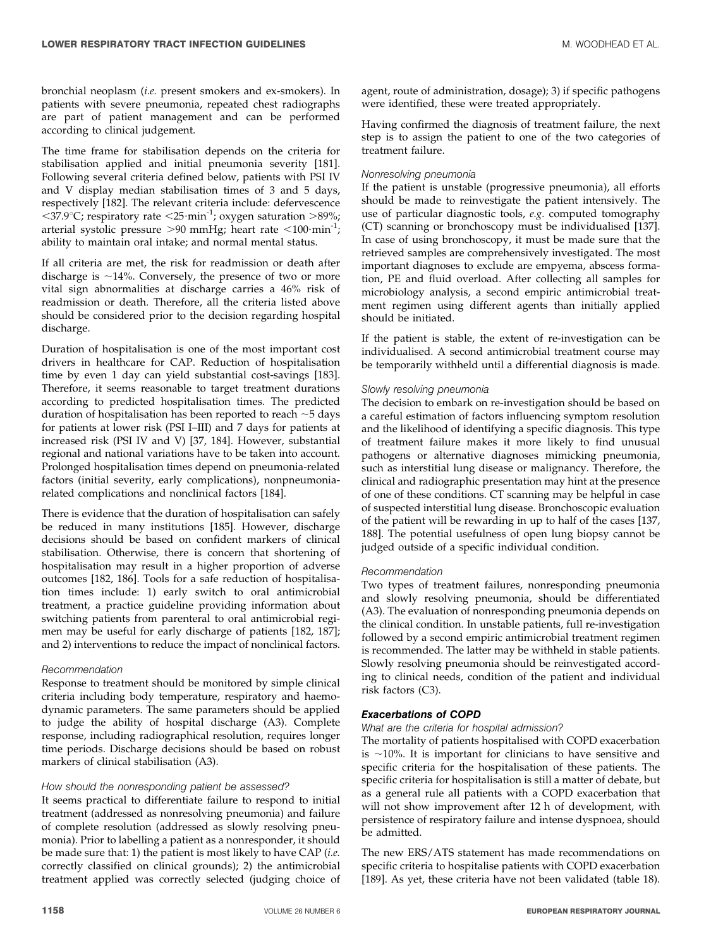bronchial neoplasm (i.e. present smokers and ex-smokers). In patients with severe pneumonia, repeated chest radiographs are part of patient management and can be performed according to clinical judgement.

The time frame for stabilisation depends on the criteria for stabilisation applied and initial pneumonia severity [181]. Following several criteria defined below, patients with PSI IV and V display median stabilisation times of 3 and 5 days, respectively [182]. The relevant criteria include: defervescence  $\langle 37.9^{\circ}$ C; respiratory rate  $\langle 25 \cdot \text{min}^{-1} \rangle$ ; oxygen saturation  $>89\%$ ; arterial systolic pressure  $>90$  mmHg; heart rate <100 $\cdot$ min<sup>-1</sup>; ability to maintain oral intake; and normal mental status.

If all criteria are met, the risk for readmission or death after discharge is  $\sim$ 14%. Conversely, the presence of two or more vital sign abnormalities at discharge carries a 46% risk of readmission or death. Therefore, all the criteria listed above should be considered prior to the decision regarding hospital discharge.

Duration of hospitalisation is one of the most important cost drivers in healthcare for CAP. Reduction of hospitalisation time by even 1 day can yield substantial cost-savings [183]. Therefore, it seems reasonable to target treatment durations according to predicted hospitalisation times. The predicted duration of hospitalisation has been reported to reach  $\sim$  5 days for patients at lower risk (PSI I–III) and 7 days for patients at increased risk (PSI IV and V) [37, 184]. However, substantial regional and national variations have to be taken into account. Prolonged hospitalisation times depend on pneumonia-related factors (initial severity, early complications), nonpneumoniarelated complications and nonclinical factors [184].

There is evidence that the duration of hospitalisation can safely be reduced in many institutions [185]. However, discharge decisions should be based on confident markers of clinical stabilisation. Otherwise, there is concern that shortening of hospitalisation may result in a higher proportion of adverse outcomes [182, 186]. Tools for a safe reduction of hospitalisation times include: 1) early switch to oral antimicrobial treatment, a practice guideline providing information about switching patients from parenteral to oral antimicrobial regimen may be useful for early discharge of patients [182, 187]; and 2) interventions to reduce the impact of nonclinical factors.

#### Recommendation

Response to treatment should be monitored by simple clinical criteria including body temperature, respiratory and haemodynamic parameters. The same parameters should be applied to judge the ability of hospital discharge (A3). Complete response, including radiographical resolution, requires longer time periods. Discharge decisions should be based on robust markers of clinical stabilisation (A3).

#### How should the nonresponding patient be assessed?

It seems practical to differentiate failure to respond to initial treatment (addressed as nonresolving pneumonia) and failure of complete resolution (addressed as slowly resolving pneumonia). Prior to labelling a patient as a nonresponder, it should be made sure that: 1) the patient is most likely to have CAP (i.e. correctly classified on clinical grounds); 2) the antimicrobial treatment applied was correctly selected (judging choice of agent, route of administration, dosage); 3) if specific pathogens were identified, these were treated appropriately.

Having confirmed the diagnosis of treatment failure, the next step is to assign the patient to one of the two categories of treatment failure.

#### Nonresolving pneumonia

If the patient is unstable (progressive pneumonia), all efforts should be made to reinvestigate the patient intensively. The use of particular diagnostic tools, e.g. computed tomography (CT) scanning or bronchoscopy must be individualised [137]. In case of using bronchoscopy, it must be made sure that the retrieved samples are comprehensively investigated. The most important diagnoses to exclude are empyema, abscess formation, PE and fluid overload. After collecting all samples for microbiology analysis, a second empiric antimicrobial treatment regimen using different agents than initially applied should be initiated.

If the patient is stable, the extent of re-investigation can be individualised. A second antimicrobial treatment course may be temporarily withheld until a differential diagnosis is made.

#### Slowly resolving pneumonia

The decision to embark on re-investigation should be based on a careful estimation of factors influencing symptom resolution and the likelihood of identifying a specific diagnosis. This type of treatment failure makes it more likely to find unusual pathogens or alternative diagnoses mimicking pneumonia, such as interstitial lung disease or malignancy. Therefore, the clinical and radiographic presentation may hint at the presence of one of these conditions. CT scanning may be helpful in case of suspected interstitial lung disease. Bronchoscopic evaluation of the patient will be rewarding in up to half of the cases [137, 188]. The potential usefulness of open lung biopsy cannot be judged outside of a specific individual condition.

#### Recommendation

Two types of treatment failures, nonresponding pneumonia and slowly resolving pneumonia, should be differentiated (A3). The evaluation of nonresponding pneumonia depends on the clinical condition. In unstable patients, full re-investigation followed by a second empiric antimicrobial treatment regimen is recommended. The latter may be withheld in stable patients. Slowly resolving pneumonia should be reinvestigated according to clinical needs, condition of the patient and individual risk factors (C3).

#### Exacerbations of COPD

#### What are the criteria for hospital admission?

The mortality of patients hospitalised with COPD exacerbation is  $\sim$ 10%. It is important for clinicians to have sensitive and specific criteria for the hospitalisation of these patients. The specific criteria for hospitalisation is still a matter of debate, but as a general rule all patients with a COPD exacerbation that will not show improvement after 12 h of development, with persistence of respiratory failure and intense dyspnoea, should be admitted.

The new ERS/ATS statement has made recommendations on specific criteria to hospitalise patients with COPD exacerbation [189]. As yet, these criteria have not been validated (table 18).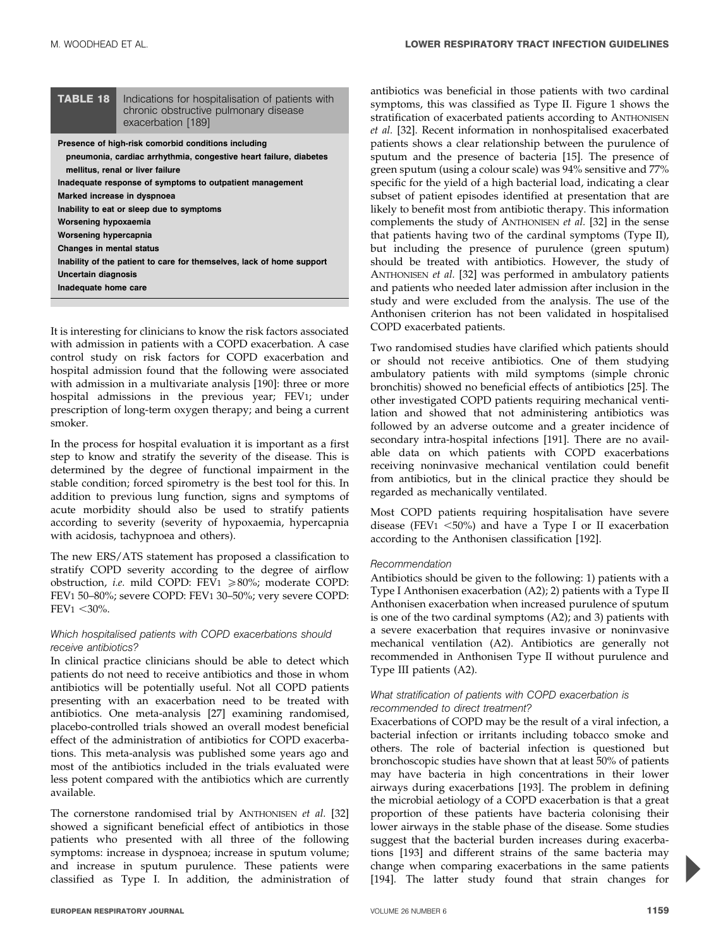| <b>TABLE 18</b>                                                                                                          | Indications for hospitalisation of patients with<br>chronic obstructive pulmonary disease<br>exacerbation [189]                                                                                                                                                                                                                                                               |
|--------------------------------------------------------------------------------------------------------------------------|-------------------------------------------------------------------------------------------------------------------------------------------------------------------------------------------------------------------------------------------------------------------------------------------------------------------------------------------------------------------------------|
| Worsening hypoxaemia<br>Worsening hypercapnia<br>Changes in mental status<br>Uncertain diagnosis<br>Inadequate home care | Presence of high-risk comorbid conditions including<br>pneumonia, cardiac arrhythmia, congestive heart failure, diabetes<br>mellitus, renal or liver failure<br>Inadequate response of symptoms to outpatient management<br>Marked increase in dyspnoea<br>Inability to eat or sleep due to symptoms<br>Inability of the patient to care for themselves, lack of home support |
|                                                                                                                          |                                                                                                                                                                                                                                                                                                                                                                               |

It is interesting for clinicians to know the risk factors associated with admission in patients with a COPD exacerbation. A case control study on risk factors for COPD exacerbation and hospital admission found that the following were associated with admission in a multivariate analysis [190]: three or more hospital admissions in the previous year; FEV1; under prescription of long-term oxygen therapy; and being a current smoker.

In the process for hospital evaluation it is important as a first step to know and stratify the severity of the disease. This is determined by the degree of functional impairment in the stable condition; forced spirometry is the best tool for this. In addition to previous lung function, signs and symptoms of acute morbidity should also be used to stratify patients according to severity (severity of hypoxaemia, hypercapnia with acidosis, tachypnoea and others).

The new ERS/ATS statement has proposed a classification to stratify COPD severity according to the degree of airflow obstruction, *i.e.* mild COPD: FEV1  $\geq 80\%$ ; moderate COPD: FEV1 50–80%; severe COPD: FEV1 30–50%; very severe COPD:  $FEV1 < 30\%$ .

#### Which hospitalised patients with COPD exacerbations should receive antibiotics?

In clinical practice clinicians should be able to detect which patients do not need to receive antibiotics and those in whom antibiotics will be potentially useful. Not all COPD patients presenting with an exacerbation need to be treated with antibiotics. One meta-analysis [27] examining randomised, placebo-controlled trials showed an overall modest beneficial effect of the administration of antibiotics for COPD exacerbations. This meta-analysis was published some years ago and most of the antibiotics included in the trials evaluated were less potent compared with the antibiotics which are currently available.

The cornerstone randomised trial by ANTHONISEN et al. [32] showed a significant beneficial effect of antibiotics in those patients who presented with all three of the following symptoms: increase in dyspnoea; increase in sputum volume; and increase in sputum purulence. These patients were classified as Type I. In addition, the administration of antibiotics was beneficial in those patients with two cardinal symptoms, this was classified as Type II. Figure 1 shows the stratification of exacerbated patients according to ANTHONISEN et al. [32]. Recent information in nonhospitalised exacerbated patients shows a clear relationship between the purulence of sputum and the presence of bacteria [15]. The presence of green sputum (using a colour scale) was 94% sensitive and 77% specific for the yield of a high bacterial load, indicating a clear subset of patient episodes identified at presentation that are likely to benefit most from antibiotic therapy. This information complements the study of ANTHONISEN et al. [32] in the sense that patients having two of the cardinal symptoms (Type II), but including the presence of purulence (green sputum) should be treated with antibiotics. However, the study of ANTHONISEN et al. [32] was performed in ambulatory patients and patients who needed later admission after inclusion in the study and were excluded from the analysis. The use of the Anthonisen criterion has not been validated in hospitalised COPD exacerbated patients.

Two randomised studies have clarified which patients should or should not receive antibiotics. One of them studying ambulatory patients with mild symptoms (simple chronic bronchitis) showed no beneficial effects of antibiotics [25]. The other investigated COPD patients requiring mechanical ventilation and showed that not administering antibiotics was followed by an adverse outcome and a greater incidence of secondary intra-hospital infections [191]. There are no available data on which patients with COPD exacerbations receiving noninvasive mechanical ventilation could benefit from antibiotics, but in the clinical practice they should be regarded as mechanically ventilated.

Most COPD patients requiring hospitalisation have severe disease (FEV1  $\leq$ 50%) and have a Type I or II exacerbation according to the Anthonisen classification [192].

#### Recommendation

Antibiotics should be given to the following: 1) patients with a Type I Anthonisen exacerbation (A2); 2) patients with a Type II Anthonisen exacerbation when increased purulence of sputum is one of the two cardinal symptoms (A2); and 3) patients with a severe exacerbation that requires invasive or noninvasive mechanical ventilation (A2). Antibiotics are generally not recommended in Anthonisen Type II without purulence and Type III patients (A2).

#### What stratification of patients with COPD exacerbation is recommended to direct treatment?

Exacerbations of COPD may be the result of a viral infection, a bacterial infection or irritants including tobacco smoke and others. The role of bacterial infection is questioned but bronchoscopic studies have shown that at least 50% of patients may have bacteria in high concentrations in their lower airways during exacerbations [193]. The problem in defining the microbial aetiology of a COPD exacerbation is that a great proportion of these patients have bacteria colonising their lower airways in the stable phase of the disease. Some studies suggest that the bacterial burden increases during exacerbations [193] and different strains of the same bacteria may change when comparing exacerbations in the same patients [194]. The latter study found that strain changes for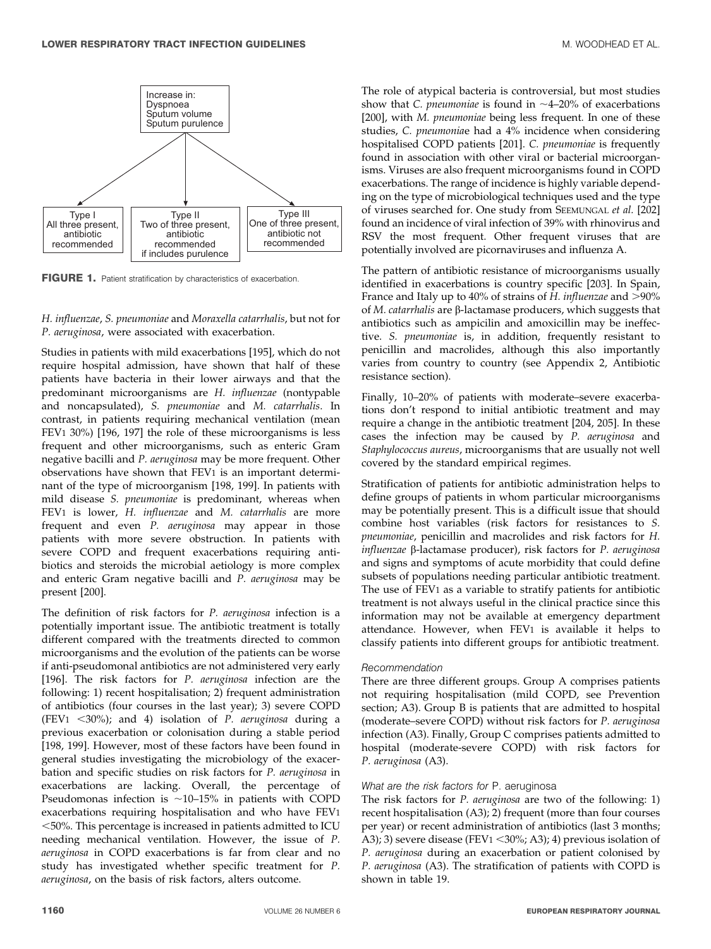

FIGURE 1. Patient stratification by characteristics of exacerbation.

#### H. influenzae, S. pneumoniae and Moraxella catarrhalis, but not for P. aeruginosa, were associated with exacerbation.

Studies in patients with mild exacerbations [195], which do not require hospital admission, have shown that half of these patients have bacteria in their lower airways and that the predominant microorganisms are H. influenzae (nontypable and noncapsulated), S. pneumoniae and M. catarrhalis. In contrast, in patients requiring mechanical ventilation (mean FEV1 30%) [196, 197] the role of these microorganisms is less frequent and other microorganisms, such as enteric Gram negative bacilli and P. aeruginosa may be more frequent. Other observations have shown that FEV1 is an important determinant of the type of microorganism [198, 199]. In patients with mild disease S. pneumoniae is predominant, whereas when FEV1 is lower, H. influenzae and M. catarrhalis are more frequent and even P. aeruginosa may appear in those patients with more severe obstruction. In patients with severe COPD and frequent exacerbations requiring antibiotics and steroids the microbial aetiology is more complex and enteric Gram negative bacilli and P. aeruginosa may be present [200].

The definition of risk factors for P. aeruginosa infection is a potentially important issue. The antibiotic treatment is totally different compared with the treatments directed to common microorganisms and the evolution of the patients can be worse if anti-pseudomonal antibiotics are not administered very early [196]. The risk factors for P. aeruginosa infection are the following: 1) recent hospitalisation; 2) frequent administration of antibiotics (four courses in the last year); 3) severe COPD (FEV1  $\langle 30\% \rangle$ ; and 4) isolation of P. aeruginosa during a previous exacerbation or colonisation during a stable period [198, 199]. However, most of these factors have been found in general studies investigating the microbiology of the exacerbation and specific studies on risk factors for P. aeruginosa in exacerbations are lacking. Overall, the percentage of Pseudomonas infection is  $~10-15\%$  in patients with COPD exacerbations requiring hospitalisation and who have FEV1 ,50%. This percentage is increased in patients admitted to ICU needing mechanical ventilation. However, the issue of P. aeruginosa in COPD exacerbations is far from clear and no study has investigated whether specific treatment for P. aeruginosa, on the basis of risk factors, alters outcome.

The role of atypical bacteria is controversial, but most studies show that C. *pneumoniae* is found in  $\sim$ 4–20% of exacerbations [200], with M. pneumoniae being less frequent. In one of these studies, C. pneumoniae had a 4% incidence when considering hospitalised COPD patients [201]. C. pneumoniae is frequently found in association with other viral or bacterial microorganisms. Viruses are also frequent microorganisms found in COPD exacerbations. The range of incidence is highly variable depending on the type of microbiological techniques used and the type of viruses searched for. One study from SEEMUNGAL et al. [202] found an incidence of viral infection of 39% with rhinovirus and RSV the most frequent. Other frequent viruses that are potentially involved are picornaviruses and influenza A.

The pattern of antibiotic resistance of microorganisms usually identified in exacerbations is country specific [203]. In Spain, France and Italy up to 40% of strains of H. influenzae and  $>$ 90% of *M. catarrhalis* are  $\beta$ -lactamase producers, which suggests that antibiotics such as ampicilin and amoxicillin may be ineffective. S. pneumoniae is, in addition, frequently resistant to penicillin and macrolides, although this also importantly varies from country to country (see Appendix 2, Antibiotic resistance section).

Finally, 10–20% of patients with moderate–severe exacerbations don't respond to initial antibiotic treatment and may require a change in the antibiotic treatment [204, 205]. In these cases the infection may be caused by P. aeruginosa and Staphylococcus aureus, microorganisms that are usually not well covered by the standard empirical regimes.

Stratification of patients for antibiotic administration helps to define groups of patients in whom particular microorganisms may be potentially present. This is a difficult issue that should combine host variables (risk factors for resistances to S. pneumoniae, penicillin and macrolides and risk factors for H. influenzae β-lactamase producer), risk factors for *P. aeruginosa* and signs and symptoms of acute morbidity that could define subsets of populations needing particular antibiotic treatment. The use of FEV1 as a variable to stratify patients for antibiotic treatment is not always useful in the clinical practice since this information may not be available at emergency department attendance. However, when FEV1 is available it helps to classify patients into different groups for antibiotic treatment.

#### Recommendation

There are three different groups. Group A comprises patients not requiring hospitalisation (mild COPD, see Prevention section; A3). Group B is patients that are admitted to hospital (moderate–severe COPD) without risk factors for P. aeruginosa infection (A3). Finally, Group C comprises patients admitted to hospital (moderate-severe COPD) with risk factors for P. aeruginosa (A3).

#### What are the risk factors for P. aeruginosa

The risk factors for P. aeruginosa are two of the following: 1) recent hospitalisation (A3); 2) frequent (more than four courses per year) or recent administration of antibiotics (last 3 months; A3); 3) severe disease (FEV $1 <$ 30%; A3); 4) previous isolation of P. aeruginosa during an exacerbation or patient colonised by P. aeruginosa (A3). The stratification of patients with COPD is shown in table 19.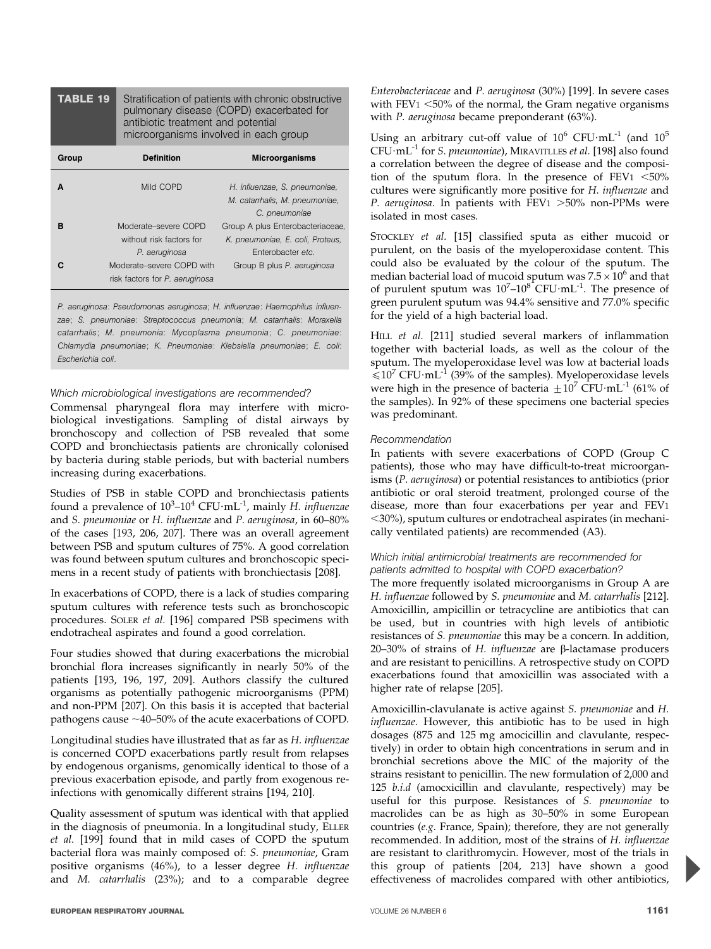| TABLE 19 | Stratification of patients with chronic obstructive<br>pulmonary disease (COPD) exacerbated for<br>antibiotic treatment and potential<br>microorganisms involved in each group |                       |
|----------|--------------------------------------------------------------------------------------------------------------------------------------------------------------------------------|-----------------------|
| Group    | <b>Definition</b>                                                                                                                                                              | <b>Microorganisms</b> |
|          |                                                                                                                                                                                |                       |

|   | Mild COPD                      | H. influenzae, S. pneumoniae,    |
|---|--------------------------------|----------------------------------|
|   |                                | M. catarrhalis, M. pneumoniae,   |
|   |                                | C. pneumoniae                    |
|   | Moderate-severe COPD           | Group A plus Enterobacteriaceae, |
|   | without risk factors for       | K. pneumoniae, E. coli, Proteus, |
|   | P. aeruginosa                  | Enterobacter etc.                |
| C | Moderate–severe COPD with      | Group B plus P. aeruginosa       |
|   | risk factors for P. aeruginosa |                                  |

P. aeruginosa: Pseudomonas aeruginosa; H. influenzae: Haemophilus influenzae; S. pneumoniae: Streptococcus pneumonia; M. catarrhalis: Moraxella catarrhalis; M. pneumonia: Mycoplasma pneumonia; C. pneumoniae: Chlamydia pneumoniae; K. Pneumoniae: Klebsiella pneumoniae; E. coli: Escherichia coli.

#### Which microbiological investigations are recommended?

Commensal pharyngeal flora may interfere with microbiological investigations. Sampling of distal airways by bronchoscopy and collection of PSB revealed that some COPD and bronchiectasis patients are chronically colonised by bacteria during stable periods, but with bacterial numbers increasing during exacerbations.

Studies of PSB in stable COPD and bronchiectasis patients found a prevalence of  $10^3$ – $10^4$  CFU·mL<sup>-1</sup>, mainly H. influenzae and S. pneumoniae or H. influenzae and P. aeruginosa, in 60–80% of the cases [193, 206, 207]. There was an overall agreement between PSB and sputum cultures of 75%. A good correlation was found between sputum cultures and bronchoscopic specimens in a recent study of patients with bronchiectasis [208].

In exacerbations of COPD, there is a lack of studies comparing sputum cultures with reference tests such as bronchoscopic procedures. SOLER et al. [196] compared PSB specimens with endotracheal aspirates and found a good correlation.

Four studies showed that during exacerbations the microbial bronchial flora increases significantly in nearly 50% of the patients [193, 196, 197, 209]. Authors classify the cultured organisms as potentially pathogenic microorganisms (PPM) and non-PPM [207]. On this basis it is accepted that bacterial pathogens cause  $\sim$  40–50% of the acute exacerbations of COPD.

Longitudinal studies have illustrated that as far as H. influenzae is concerned COPD exacerbations partly result from relapses by endogenous organisms, genomically identical to those of a previous exacerbation episode, and partly from exogenous reinfections with genomically different strains [194, 210].

Quality assessment of sputum was identical with that applied in the diagnosis of pneumonia. In a longitudinal study, ELLER et al. [199] found that in mild cases of COPD the sputum bacterial flora was mainly composed of: S. pneumoniae, Gram positive organisms (46%), to a lesser degree H. influenzae and M. catarrhalis (23%); and to a comparable degree Enterobacteriaceae and P. aeruginosa (30%) [199]. In severe cases with  $FEV1 < 50\%$  of the normal, the Gram negative organisms with *P. aeruginosa* became preponderant (63%).

Using an arbitrary cut-off value of  $10^6$  CFU $\cdot$ mL<sup>-1</sup> (and  $10^5$ CFU·mL<sup>-1</sup> for S. pneumoniae), MIRAVITLLES et al. [198] also found a correlation between the degree of disease and the composition of the sputum flora. In the presence of  $FEV1 < 50\%$ cultures were significantly more positive for H. influenzae and P. aeruginosa. In patients with  $FEV1 > 50\%$  non-PPMs were isolated in most cases.

STOCKLEY et al. [15] classified sputa as either mucoid or purulent, on the basis of the myeloperoxidase content. This could also be evaluated by the colour of the sputum. The median bacterial load of mucoid sputum was  $7.5 \times 10^6$  and that of purulent sputum was  $10^{7}-10^{8}$  CFU $\cdot$ mL $^{-1}$ . The presence of green purulent sputum was 94.4% sensitive and 77.0% specific for the yield of a high bacterial load.

HILL et al. [211] studied several markers of inflammation together with bacterial loads, as well as the colour of the sputum. The myeloperoxidase level was low at bacterial loads  $\leq 10^7$  CFU·mL<sup>-1</sup> (39% of the samples). Myeloperoxidase levels were high in the presence of bacteria  $\pm 10^7$  CFU $\cdot$ mL<sup>-1</sup> (61% of the samples). In 92% of these specimens one bacterial species was predominant.

#### Recommendation

In patients with severe exacerbations of COPD (Group C patients), those who may have difficult-to-treat microorganisms (P. aeruginosa) or potential resistances to antibiotics (prior antibiotic or oral steroid treatment, prolonged course of the disease, more than four exacerbations per year and FEV1  $<$ 30%), sputum cultures or endotracheal aspirates (in mechanically ventilated patients) are recommended (A3).

#### Which initial antimicrobial treatments are recommended for patients admitted to hospital with COPD exacerbation?

The more frequently isolated microorganisms in Group A are H. influenzae followed by S. pneumoniae and M. catarrhalis [212]. Amoxicillin, ampicillin or tetracycline are antibiotics that can be used, but in countries with high levels of antibiotic resistances of S. pneumoniae this may be a concern. In addition, 20–30% of strains of H. influenzae are  $\beta$ -lactamase producers and are resistant to penicillins. A retrospective study on COPD exacerbations found that amoxicillin was associated with a higher rate of relapse [205].

Amoxicillin-clavulanate is active against S. pneumoniae and H. influenzae. However, this antibiotic has to be used in high dosages (875 and 125 mg amocicillin and clavulante, respectively) in order to obtain high concentrations in serum and in bronchial secretions above the MIC of the majority of the strains resistant to penicillin. The new formulation of 2,000 and 125 b.i.d (amocxicillin and clavulante, respectively) may be useful for this purpose. Resistances of S. pneumoniae to macrolides can be as high as 30–50% in some European countries (e.g. France, Spain); therefore, they are not generally recommended. In addition, most of the strains of H. influenzae are resistant to clarithromycin. However, most of the trials in this group of patients [204, 213] have shown a good effectiveness of macrolides compared with other antibiotics,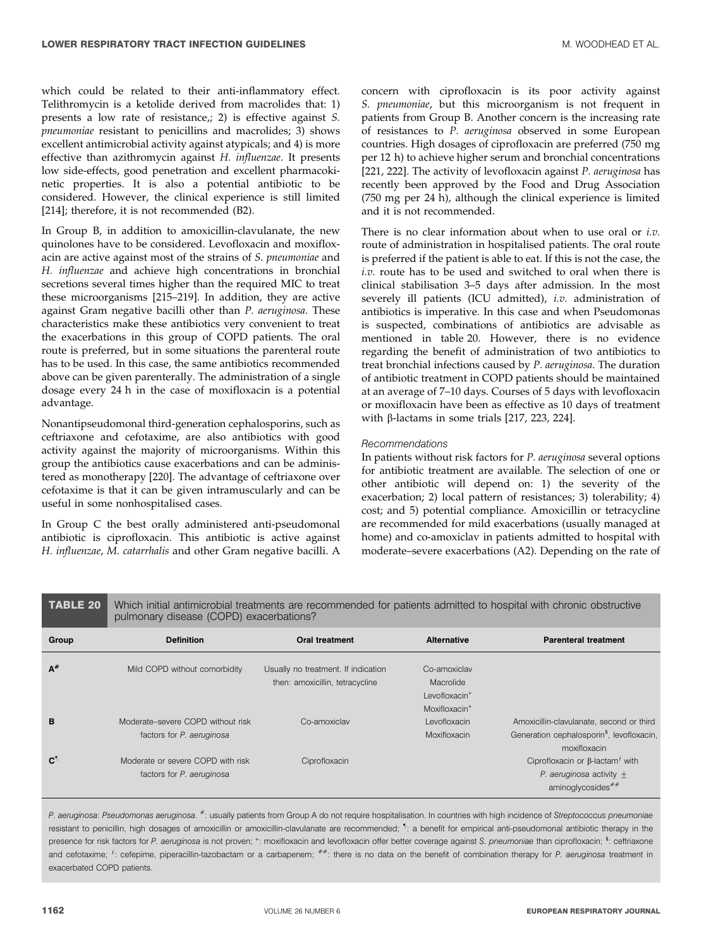which could be related to their anti-inflammatory effect. Telithromycin is a ketolide derived from macrolides that: 1) presents a low rate of resistance,; 2) is effective against S. pneumoniae resistant to penicillins and macrolides; 3) shows excellent antimicrobial activity against atypicals; and 4) is more effective than azithromycin against H. influenzae. It presents low side-effects, good penetration and excellent pharmacokinetic properties. It is also a potential antibiotic to be considered. However, the clinical experience is still limited [214]; therefore, it is not recommended (B2).

In Group B, in addition to amoxicillin-clavulanate, the new quinolones have to be considered. Levofloxacin and moxifloxacin are active against most of the strains of S. pneumoniae and H. influenzae and achieve high concentrations in bronchial secretions several times higher than the required MIC to treat these microorganisms [215–219]. In addition, they are active against Gram negative bacilli other than P. aeruginosa. These characteristics make these antibiotics very convenient to treat the exacerbations in this group of COPD patients. The oral route is preferred, but in some situations the parenteral route has to be used. In this case, the same antibiotics recommended above can be given parenterally. The administration of a single dosage every 24 h in the case of moxifloxacin is a potential advantage.

Nonantipseudomonal third-generation cephalosporins, such as ceftriaxone and cefotaxime, are also antibiotics with good activity against the majority of microorganisms. Within this group the antibiotics cause exacerbations and can be administered as monotherapy [220]. The advantage of ceftriaxone over cefotaxime is that it can be given intramuscularly and can be useful in some nonhospitalised cases.

In Group C the best orally administered anti-pseudomonal antibiotic is ciprofloxacin. This antibiotic is active against H. influenzae, M. catarrhalis and other Gram negative bacilli. A

concern with ciprofloxacin is its poor activity against S. *pneumoniae*, but this microorganism is not frequent in patients from Group B. Another concern is the increasing rate of resistances to P. aeruginosa observed in some European countries. High dosages of ciprofloxacin are preferred (750 mg per 12 h) to achieve higher serum and bronchial concentrations [221, 222]. The activity of levofloxacin against P. aeruginosa has recently been approved by the Food and Drug Association (750 mg per 24 h), although the clinical experience is limited and it is not recommended.

There is no clear information about when to use oral or *i.v.* route of administration in hospitalised patients. The oral route is preferred if the patient is able to eat. If this is not the case, the i.v. route has to be used and switched to oral when there is clinical stabilisation 3–5 days after admission. In the most severely ill patients (ICU admitted), i.v. administration of antibiotics is imperative. In this case and when Pseudomonas is suspected, combinations of antibiotics are advisable as mentioned in table 20. However, there is no evidence regarding the benefit of administration of two antibiotics to treat bronchial infections caused by P. aeruginosa. The duration of antibiotic treatment in COPD patients should be maintained at an average of 7–10 days. Courses of 5 days with levofloxacin or moxifloxacin have been as effective as 10 days of treatment with  $\beta$ -lactams in some trials [217, 223, 224].

#### Recommendations

In patients without risk factors for P. aeruginosa several options for antibiotic treatment are available. The selection of one or other antibiotic will depend on: 1) the severity of the exacerbation; 2) local pattern of resistances; 3) tolerability; 4) cost; and 5) potential compliance. Amoxicillin or tetracycline are recommended for mild exacerbations (usually managed at home) and co-amoxiclav in patients admitted to hospital with moderate–severe exacerbations (A2). Depending on the rate of

#### TABLE 20 Which initial antimicrobial treatments are recommended for patients admitted to hospital with chronic obstructive pulmonary disease (COPD) exacerbations? Group Definition Oral treatment Alternative Parenteral treatment A# Mild COPD without comorbidity Usually no treatment. If indication then: amoxicillin, tetracycline Co-amoxiclav Macrolide Levofloxacin<sup>+</sup> Moxifloxacin<sup>+</sup> **B** Moderate–severe COPD without risk factors for P. aeruginosa Co-amoxiclav Levofloxacin Amoxicillin-clavulanate, second or third Generation cephalosporin<sup>§</sup>, levofloxacin, moxifloxacin Moxifloxacin C" Moderate or severe COPD with risk factors for P. aeruginosa Ciprofloxacin Ciprofloxacin Ciprofloxacin control  $C$ iprofloxacin or  $\beta$ -lactam<sup> $f$ </sup> with P. aeruginosa activity  $\pm$ aminoglycosides<sup>##</sup>

P. aeruginosa: Pseudomonas aeruginosa. #: usually patients from Group A do not require hospitalisation. In countries with high incidence of Streptococcus pneumoniae resistant to penicillin, high dosages of amoxicillin or amoxicillin-clavulanate are recommended; <sup>1</sup>: a benefit for empirical anti-pseudomonal antibiotic therapy in the presence for risk factors for P. aeruginosa is not proven; <sup>+</sup>: moxifloxacin and levofloxacin offer better coverage against S. pneumoniae than ciprofloxacin; <sup>s</sup>: ceftriaxone and cefotaxime; <sup>f</sup>: cefepime, piperacillin-tazobactam or a carbapenem; \*\*: there is no data on the benefit of combination therapy for P. aeruginosa treatment in exacerbated COPD patients.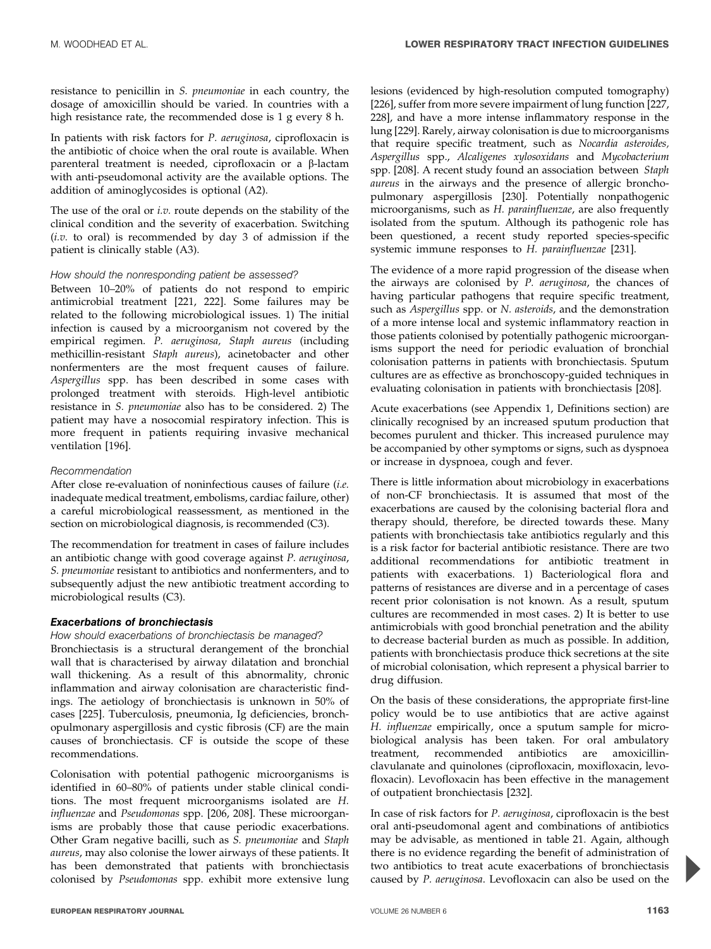resistance to penicillin in S. pneumoniae in each country, the dosage of amoxicillin should be varied. In countries with a high resistance rate, the recommended dose is 1 g every 8 h.

In patients with risk factors for P. aeruginosa, ciprofloxacin is the antibiotic of choice when the oral route is available. When parenteral treatment is needed, ciprofloxacin or a b-lactam with anti-pseudomonal activity are the available options. The addition of aminoglycosides is optional (A2).

The use of the oral or *i.v.* route depends on the stability of the clinical condition and the severity of exacerbation. Switching  $(i.v.$  to oral) is recommended by day 3 of admission if the patient is clinically stable (A3).

#### How should the nonresponding patient be assessed?

Between 10–20% of patients do not respond to empiric antimicrobial treatment [221, 222]. Some failures may be related to the following microbiological issues. 1) The initial infection is caused by a microorganism not covered by the empirical regimen. P. aeruginosa, Staph aureus (including methicillin-resistant Staph aureus), acinetobacter and other nonfermenters are the most frequent causes of failure. Aspergillus spp. has been described in some cases with prolonged treatment with steroids. High-level antibiotic resistance in S. pneumoniae also has to be considered. 2) The patient may have a nosocomial respiratory infection. This is more frequent in patients requiring invasive mechanical ventilation [196].

#### Recommendation

After close re-evaluation of noninfectious causes of failure (i.e. inadequate medical treatment, embolisms, cardiac failure, other) a careful microbiological reassessment, as mentioned in the section on microbiological diagnosis, is recommended (C3).

The recommendation for treatment in cases of failure includes an antibiotic change with good coverage against P. aeruginosa, S. pneumoniae resistant to antibiotics and nonfermenters, and to subsequently adjust the new antibiotic treatment according to microbiological results (C3).

#### Exacerbations of bronchiectasis

#### How should exacerbations of bronchiectasis be managed?

Bronchiectasis is a structural derangement of the bronchial wall that is characterised by airway dilatation and bronchial wall thickening. As a result of this abnormality, chronic inflammation and airway colonisation are characteristic findings. The aetiology of bronchiectasis is unknown in 50% of cases [225]. Tuberculosis, pneumonia, Ig deficiencies, bronchopulmonary aspergillosis and cystic fibrosis (CF) are the main causes of bronchiectasis. CF is outside the scope of these recommendations.

Colonisation with potential pathogenic microorganisms is identified in 60–80% of patients under stable clinical conditions. The most frequent microorganisms isolated are H. influenzae and Pseudomonas spp. [206, 208]. These microorganisms are probably those that cause periodic exacerbations. Other Gram negative bacilli, such as S. pneumoniae and Staph aureus, may also colonise the lower airways of these patients. It has been demonstrated that patients with bronchiectasis colonised by Pseudomonas spp. exhibit more extensive lung lesions (evidenced by high-resolution computed tomography) [226], suffer from more severe impairment of lung function [227, 228], and have a more intense inflammatory response in the lung [229]. Rarely, airway colonisation is due to microorganisms that require specific treatment, such as Nocardia asteroides, Aspergillus spp., Alcaligenes xylosoxidans and Mycobacterium spp. [208]. A recent study found an association between Staph aureus in the airways and the presence of allergic bronchopulmonary aspergillosis [230]. Potentially nonpathogenic microorganisms, such as H. parainfluenzae, are also frequently isolated from the sputum. Although its pathogenic role has been questioned, a recent study reported species-specific systemic immune responses to H. parainfluenzae [231].

The evidence of a more rapid progression of the disease when the airways are colonised by P. aeruginosa, the chances of having particular pathogens that require specific treatment, such as Aspergillus spp. or N. asteroids, and the demonstration of a more intense local and systemic inflammatory reaction in those patients colonised by potentially pathogenic microorganisms support the need for periodic evaluation of bronchial colonisation patterns in patients with bronchiectasis. Sputum cultures are as effective as bronchoscopy-guided techniques in evaluating colonisation in patients with bronchiectasis [208].

Acute exacerbations (see Appendix 1, Definitions section) are clinically recognised by an increased sputum production that becomes purulent and thicker. This increased purulence may be accompanied by other symptoms or signs, such as dyspnoea or increase in dyspnoea, cough and fever.

There is little information about microbiology in exacerbations of non-CF bronchiectasis. It is assumed that most of the exacerbations are caused by the colonising bacterial flora and therapy should, therefore, be directed towards these. Many patients with bronchiectasis take antibiotics regularly and this is a risk factor for bacterial antibiotic resistance. There are two additional recommendations for antibiotic treatment in patients with exacerbations. 1) Bacteriological flora and patterns of resistances are diverse and in a percentage of cases recent prior colonisation is not known. As a result, sputum cultures are recommended in most cases. 2) It is better to use antimicrobials with good bronchial penetration and the ability to decrease bacterial burden as much as possible. In addition, patients with bronchiectasis produce thick secretions at the site of microbial colonisation, which represent a physical barrier to drug diffusion.

On the basis of these considerations, the appropriate first-line policy would be to use antibiotics that are active against H. influenzae empirically, once a sputum sample for microbiological analysis has been taken. For oral ambulatory treatment, recommended antibiotics are amoxicillinclavulanate and quinolones (ciprofloxacin, moxifloxacin, levofloxacin). Levofloxacin has been effective in the management of outpatient bronchiectasis [232].

In case of risk factors for P. aeruginosa, ciprofloxacin is the best oral anti-pseudomonal agent and combinations of antibiotics may be advisable, as mentioned in table 21. Again, although there is no evidence regarding the benefit of administration of two antibiotics to treat acute exacerbations of bronchiectasis caused by P. aeruginosa. Levofloxacin can also be used on the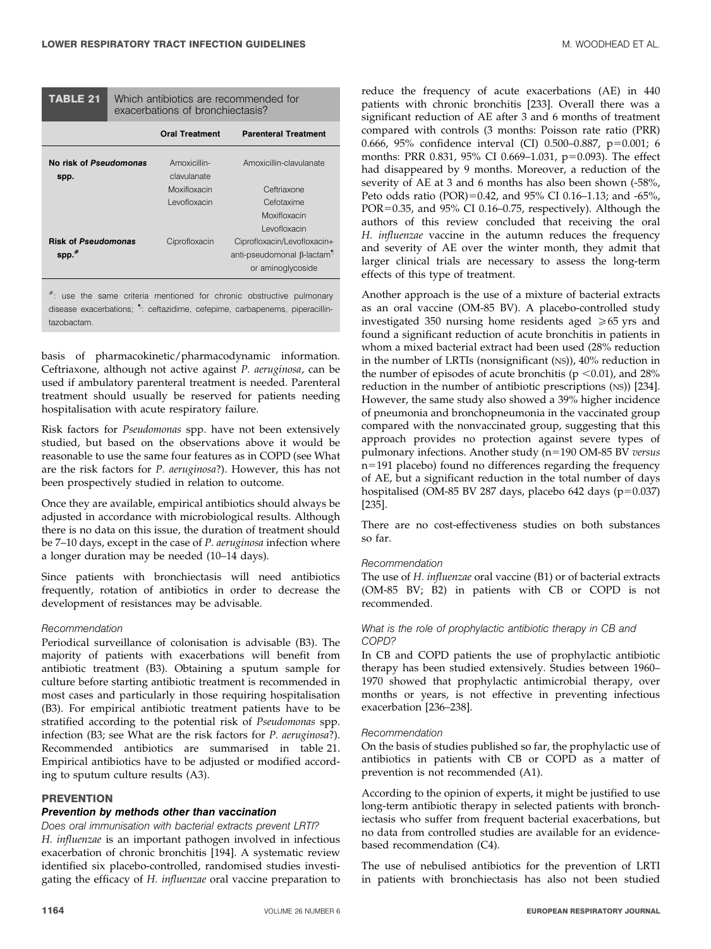| TABLE 21 | Which antibiotics are recommended for |  |  |
|----------|---------------------------------------|--|--|
|          | exacerbations of bronchiectasis?      |  |  |

|                            | <b>Oral Treatment</b> | <b>Parenteral Treatment</b>            |
|----------------------------|-----------------------|----------------------------------------|
| No risk of Pseudomonas     | Amoxicillin-          | Amoxicillin-clavulanate                |
| spp.                       | clavulanate           |                                        |
|                            | Moxifloxacin          | Ceftriaxone                            |
|                            | Levofloxacin          | Cefotaxime                             |
|                            |                       | Moxifloxacin                           |
|                            |                       | Levofloxacin                           |
| <b>Risk of Pseudomonas</b> | Ciprofloxacin         | Ciprofloxacin/Levofloxacin+            |
| $spp.*$                    |                       | anti-pseudomonal β-lactam <sup>1</sup> |
|                            |                       | or aminoglycoside                      |

 $*$ : use the same criteria mentioned for chronic obstructive pulmonary disease exacerbations; " : ceftazidime, cefepime, carbapenems, piperacillintazobactam.

basis of pharmacokinetic/pharmacodynamic information. Ceftriaxone, although not active against P. aeruginosa, can be used if ambulatory parenteral treatment is needed. Parenteral treatment should usually be reserved for patients needing hospitalisation with acute respiratory failure.

Risk factors for Pseudomonas spp. have not been extensively studied, but based on the observations above it would be reasonable to use the same four features as in COPD (see What are the risk factors for P. aeruginosa?). However, this has not been prospectively studied in relation to outcome.

Once they are available, empirical antibiotics should always be adjusted in accordance with microbiological results. Although there is no data on this issue, the duration of treatment should be 7–10 days, except in the case of P. aeruginosa infection where a longer duration may be needed (10–14 days).

Since patients with bronchiectasis will need antibiotics frequently, rotation of antibiotics in order to decrease the development of resistances may be advisable.

#### Recommendation

Periodical surveillance of colonisation is advisable (B3). The majority of patients with exacerbations will benefit from antibiotic treatment (B3). Obtaining a sputum sample for culture before starting antibiotic treatment is recommended in most cases and particularly in those requiring hospitalisation (B3). For empirical antibiotic treatment patients have to be stratified according to the potential risk of Pseudomonas spp. infection (B3; see What are the risk factors for P. aeruginosa?). Recommended antibiotics are summarised in table 21. Empirical antibiotics have to be adjusted or modified according to sputum culture results (A3).

#### **PREVENTION**

### Prevention by methods other than vaccination

Does oral immunisation with bacterial extracts prevent LRTI? H. influenzae is an important pathogen involved in infectious exacerbation of chronic bronchitis [194]. A systematic review identified six placebo-controlled, randomised studies investigating the efficacy of H. influenzae oral vaccine preparation to reduce the frequency of acute exacerbations (AE) in 440 patients with chronic bronchitis [233]. Overall there was a significant reduction of AE after 3 and 6 months of treatment compared with controls (3 months: Poisson rate ratio (PRR) 0.666, 95% confidence interval (CI) 0.500-0.887,  $p=0.001$ ; 6 months: PRR 0.831, 95% CI 0.669-1.031,  $p=0.093$ ). The effect had disappeared by 9 months. Moreover, a reduction of the severity of AE at 3 and 6 months has also been shown (-58%, Peto odds ratio (POR)=0.42, and 95% CI 0.16–1.13; and -65%, POR=0.35, and  $95\%$  CI 0.16–0.75, respectively). Although the authors of this review concluded that receiving the oral H. influenzae vaccine in the autumn reduces the frequency and severity of AE over the winter month, they admit that larger clinical trials are necessary to assess the long-term effects of this type of treatment.

Another approach is the use of a mixture of bacterial extracts as an oral vaccine (OM-85 BV). A placebo-controlled study investigated 350 nursing home residents aged  $\geq 65$  yrs and found a significant reduction of acute bronchitis in patients in whom a mixed bacterial extract had been used (28% reduction in the number of LRTIs (nonsignificant (NS)), 40% reduction in the number of episodes of acute bronchitis ( $p \le 0.01$ ), and 28% reduction in the number of antibiotic prescriptions (NS)) [234]. However, the same study also showed a 39% higher incidence of pneumonia and bronchopneumonia in the vaccinated group compared with the nonvaccinated group, suggesting that this approach provides no protection against severe types of pulmonary infections. Another study ( $n=190$  OM-85 BV versus  $n=191$  placebo) found no differences regarding the frequency of AE, but a significant reduction in the total number of days hospitalised (OM-85 BV 287 days, placebo 642 days (p=0.037) [235].

There are no cost-effectiveness studies on both substances so far.

#### Recommendation

The use of H. influenzae oral vaccine (B1) or of bacterial extracts (OM-85 BV; B2) in patients with CB or COPD is not recommended.

#### What is the role of prophylactic antibiotic therapy in CB and COPD?

In CB and COPD patients the use of prophylactic antibiotic therapy has been studied extensively. Studies between 1960– 1970 showed that prophylactic antimicrobial therapy, over months or years, is not effective in preventing infectious exacerbation [236–238].

#### Recommendation

On the basis of studies published so far, the prophylactic use of antibiotics in patients with CB or COPD as a matter of prevention is not recommended (A1).

According to the opinion of experts, it might be justified to use long-term antibiotic therapy in selected patients with bronchiectasis who suffer from frequent bacterial exacerbations, but no data from controlled studies are available for an evidencebased recommendation (C4).

The use of nebulised antibiotics for the prevention of LRTI in patients with bronchiectasis has also not been studied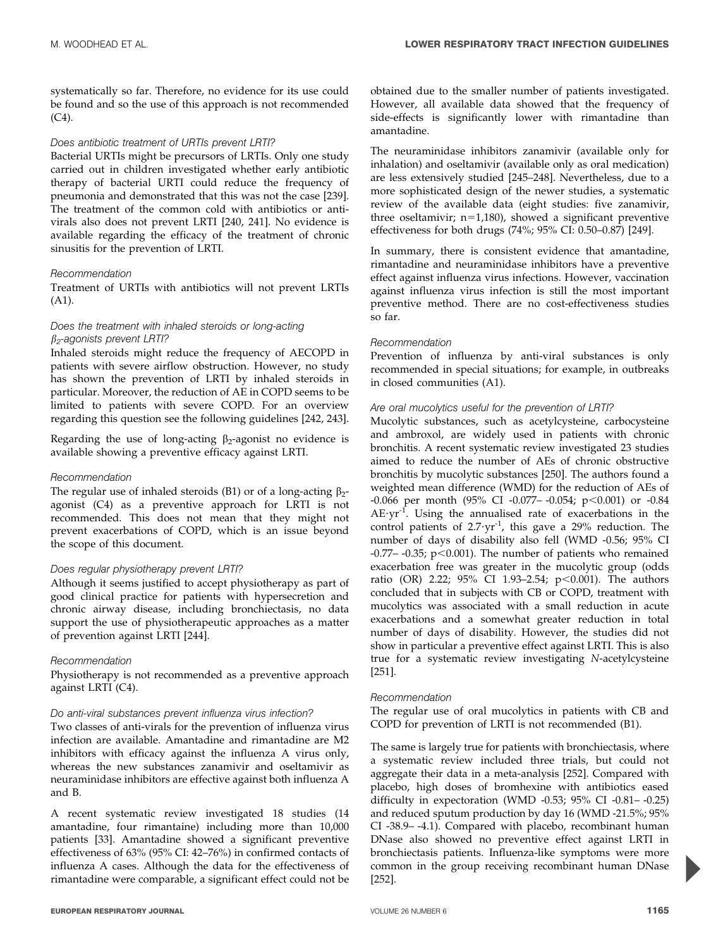systematically so far. Therefore, no evidence for its use could be found and so the use of this approach is not recommended  $(C4)$ .

#### Does antibiotic treatment of URTIs prevent LRTI?

Bacterial URTIs might be precursors of LRTIs. Only one study carried out in children investigated whether early antibiotic therapy of bacterial URTI could reduce the frequency of pneumonia and demonstrated that this was not the case [239]. The treatment of the common cold with antibiotics or antivirals also does not prevent LRTI [240, 241]. No evidence is available regarding the efficacy of the treatment of chronic sinusitis for the prevention of LRTI.

#### Recommendation

Treatment of URTIs with antibiotics will not prevent LRTIs (A1).

#### Does the treatment with inhaled steroids or long-acting  $\beta_2$ -agonists prevent LRTI?

Inhaled steroids might reduce the frequency of AECOPD in patients with severe airflow obstruction. However, no study has shown the prevention of LRTI by inhaled steroids in particular. Moreover, the reduction of AE in COPD seems to be limited to patients with severe COPD. For an overview regarding this question see the following guidelines [242, 243].

Regarding the use of long-acting  $\beta_2$ -agonist no evidence is available showing a preventive efficacy against LRTI.

#### Recommendation

The regular use of inhaled steroids (B1) or of a long-acting  $\beta_2$ agonist (C4) as a preventive approach for LRTI is not recommended. This does not mean that they might not prevent exacerbations of COPD, which is an issue beyond the scope of this document.

#### Does regular physiotherapy prevent LRTI?

Although it seems justified to accept physiotherapy as part of good clinical practice for patients with hypersecretion and chronic airway disease, including bronchiectasis, no data support the use of physiotherapeutic approaches as a matter of prevention against LRTI [244].

#### Recommendation

Physiotherapy is not recommended as a preventive approach against LRTI (C4).

#### Do anti-viral substances prevent influenza virus infection?

Two classes of anti-virals for the prevention of influenza virus infection are available. Amantadine and rimantadine are M2 inhibitors with efficacy against the influenza A virus only, whereas the new substances zanamivir and oseltamivir as neuraminidase inhibitors are effective against both influenza A and B.

A recent systematic review investigated 18 studies (14 amantadine, four rimantaine) including more than 10,000 patients [33]. Amantadine showed a significant preventive effectiveness of 63% (95% CI: 42–76%) in confirmed contacts of influenza A cases. Although the data for the effectiveness of rimantadine were comparable, a significant effect could not be

obtained due to the smaller number of patients investigated. However, all available data showed that the frequency of side-effects is significantly lower with rimantadine than amantadine.

The neuraminidase inhibitors zanamivir (available only for inhalation) and oseltamivir (available only as oral medication) are less extensively studied [245–248]. Nevertheless, due to a more sophisticated design of the newer studies, a systematic review of the available data (eight studies: five zanamivir, three oseltamivir;  $n=1,180$ ), showed a significant preventive effectiveness for both drugs (74%; 95% CI: 0.50–0.87) [249].

In summary, there is consistent evidence that amantadine, rimantadine and neuraminidase inhibitors have a preventive effect against influenza virus infections. However, vaccination against influenza virus infection is still the most important preventive method. There are no cost-effectiveness studies so far.

#### Recommendation

Prevention of influenza by anti-viral substances is only recommended in special situations; for example, in outbreaks in closed communities (A1).

#### Are oral mucolytics useful for the prevention of LRTI?

Mucolytic substances, such as acetylcysteine, carbocysteine and ambroxol, are widely used in patients with chronic bronchitis. A recent systematic review investigated 23 studies aimed to reduce the number of AEs of chronic obstructive bronchitis by mucolytic substances [250]. The authors found a weighted mean difference (WMD) for the reduction of AEs of -0.066 per month (95% CI -0.077 --0.054; p < 0.001) or -0.84  $AE \cdot yr^{-1}$ . Using the annualised rate of exacerbations in the control patients of  $2.7 \cdot yr^{-1}$ , this gave a 29% reduction. The number of days of disability also fell (WMD -0.56; 95% CI -0.77– -0.35;  $p<0.001$ ). The number of patients who remained exacerbation free was greater in the mucolytic group (odds ratio (OR) 2.22; 95% CI 1.93-2.54; p<0.001). The authors concluded that in subjects with CB or COPD, treatment with mucolytics was associated with a small reduction in acute exacerbations and a somewhat greater reduction in total number of days of disability. However, the studies did not show in particular a preventive effect against LRTI. This is also true for a systematic review investigating N-acetylcysteine [251].

#### Recommendation

The regular use of oral mucolytics in patients with CB and COPD for prevention of LRTI is not recommended (B1).

The same is largely true for patients with bronchiectasis, where a systematic review included three trials, but could not aggregate their data in a meta-analysis [252]. Compared with placebo, high doses of bromhexine with antibiotics eased difficulty in expectoration (WMD -0.53; 95% CI -0.81– -0.25) and reduced sputum production by day 16 (WMD -21.5%; 95% CI -38.9– -4.1). Compared with placebo, recombinant human DNase also showed no preventive effect against LRTI in bronchiectasis patients. Influenza-like symptoms were more common in the group receiving recombinant human DNase [252].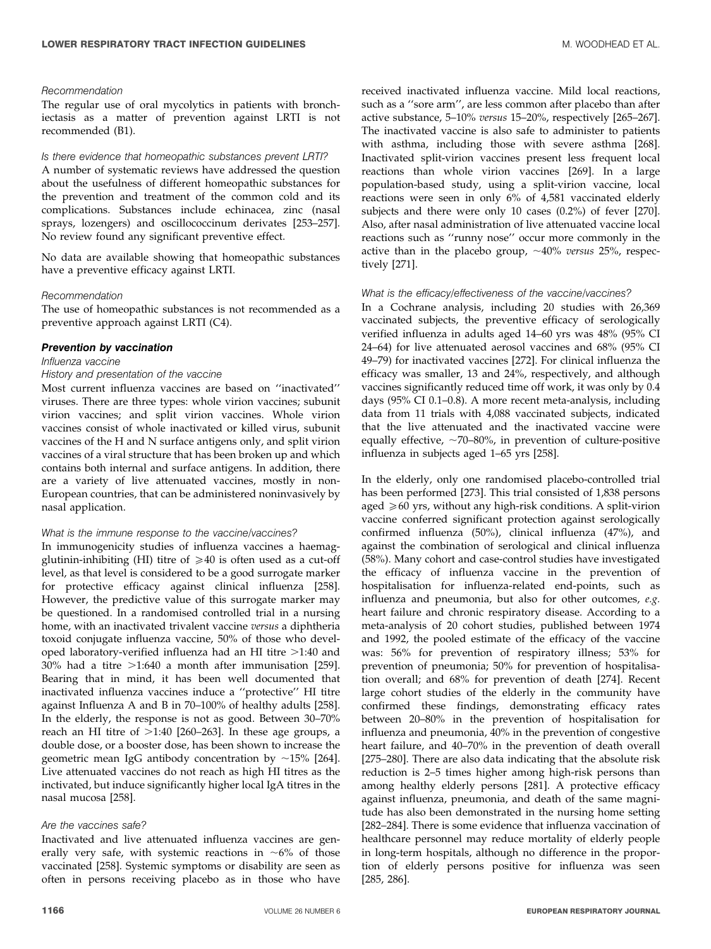#### Recommendation

The regular use of oral mycolytics in patients with bronchiectasis as a matter of prevention against LRTI is not recommended (B1).

#### Is there evidence that homeopathic substances prevent LRTI?

A number of systematic reviews have addressed the question about the usefulness of different homeopathic substances for the prevention and treatment of the common cold and its complications. Substances include echinacea, zinc (nasal sprays, lozengers) and oscillococcinum derivates [253–257]. No review found any significant preventive effect.

No data are available showing that homeopathic substances have a preventive efficacy against LRTI.

#### Recommendation

The use of homeopathic substances is not recommended as a preventive approach against LRTI (C4).

#### Prevention by vaccination

#### Influenza vaccine

#### History and presentation of the vaccine

Most current influenza vaccines are based on ''inactivated'' viruses. There are three types: whole virion vaccines; subunit virion vaccines; and split virion vaccines. Whole virion vaccines consist of whole inactivated or killed virus, subunit vaccines of the H and N surface antigens only, and split virion vaccines of a viral structure that has been broken up and which contains both internal and surface antigens. In addition, there are a variety of live attenuated vaccines, mostly in non-European countries, that can be administered noninvasively by nasal application.

#### What is the immune response to the vaccine/vaccines?

In immunogenicity studies of influenza vaccines a haemagglutinin-inhibiting (HI) titre of  $\geq 40$  is often used as a cut-off level, as that level is considered to be a good surrogate marker for protective efficacy against clinical influenza [258]. However, the predictive value of this surrogate marker may be questioned. In a randomised controlled trial in a nursing home, with an inactivated trivalent vaccine versus a diphtheria toxoid conjugate influenza vaccine, 50% of those who developed laboratory-verified influenza had an HI titre  $>1:40$  and 30% had a titre  $>1:640$  a month after immunisation [259]. Bearing that in mind, it has been well documented that inactivated influenza vaccines induce a ''protective'' HI titre against Influenza A and B in 70–100% of healthy adults [258]. In the elderly, the response is not as good. Between 30–70% reach an HI titre of  $>1:40$  [260–263]. In these age groups, a double dose, or a booster dose, has been shown to increase the geometric mean IgG antibody concentration by  $\sim$ 15% [264]. Live attenuated vaccines do not reach as high HI titres as the inctivated, but induce significantly higher local IgA titres in the nasal mucosa [258].

#### Are the vaccines safe?

Inactivated and live attenuated influenza vaccines are generally very safe, with systemic reactions in  $~6\%$  of those vaccinated [258]. Systemic symptoms or disability are seen as often in persons receiving placebo as in those who have

received inactivated influenza vaccine. Mild local reactions, such as a ''sore arm'', are less common after placebo than after active substance, 5–10% versus 15–20%, respectively [265–267]. The inactivated vaccine is also safe to administer to patients with asthma, including those with severe asthma [268]. Inactivated split-virion vaccines present less frequent local reactions than whole virion vaccines [269]. In a large population-based study, using a split-virion vaccine, local reactions were seen in only 6% of 4,581 vaccinated elderly subjects and there were only 10 cases (0.2%) of fever [270]. Also, after nasal administration of live attenuated vaccine local reactions such as ''runny nose'' occur more commonly in the active than in the placebo group,  $\sim$ 40% versus 25%, respectively [271].

#### What is the efficacy/effectiveness of the vaccine/vaccines?

In a Cochrane analysis, including 20 studies with 26,369 vaccinated subjects, the preventive efficacy of serologically verified influenza in adults aged 14–60 yrs was 48% (95% CI 24–64) for live attenuated aerosol vaccines and 68% (95% CI 49–79) for inactivated vaccines [272]. For clinical influenza the efficacy was smaller, 13 and 24%, respectively, and although vaccines significantly reduced time off work, it was only by 0.4 days (95% CI 0.1–0.8). A more recent meta-analysis, including data from 11 trials with 4,088 vaccinated subjects, indicated that the live attenuated and the inactivated vaccine were equally effective,  $\sim$ 70–80%, in prevention of culture-positive influenza in subjects aged 1–65 yrs [258].

In the elderly, only one randomised placebo-controlled trial has been performed [273]. This trial consisted of 1,838 persons aged  $\geq 60$  yrs, without any high-risk conditions. A split-virion vaccine conferred significant protection against serologically confirmed influenza (50%), clinical influenza (47%), and against the combination of serological and clinical influenza (58%). Many cohort and case-control studies have investigated the efficacy of influenza vaccine in the prevention of hospitalisation for influenza-related end-points, such as influenza and pneumonia, but also for other outcomes, e.g. heart failure and chronic respiratory disease. According to a meta-analysis of 20 cohort studies, published between 1974 and 1992, the pooled estimate of the efficacy of the vaccine was: 56% for prevention of respiratory illness; 53% for prevention of pneumonia; 50% for prevention of hospitalisation overall; and 68% for prevention of death [274]. Recent large cohort studies of the elderly in the community have confirmed these findings, demonstrating efficacy rates between 20–80% in the prevention of hospitalisation for influenza and pneumonia, 40% in the prevention of congestive heart failure, and 40–70% in the prevention of death overall [275–280]. There are also data indicating that the absolute risk reduction is 2–5 times higher among high-risk persons than among healthy elderly persons [281]. A protective efficacy against influenza, pneumonia, and death of the same magnitude has also been demonstrated in the nursing home setting [282–284]. There is some evidence that influenza vaccination of healthcare personnel may reduce mortality of elderly people in long-term hospitals, although no difference in the proportion of elderly persons positive for influenza was seen [285, 286].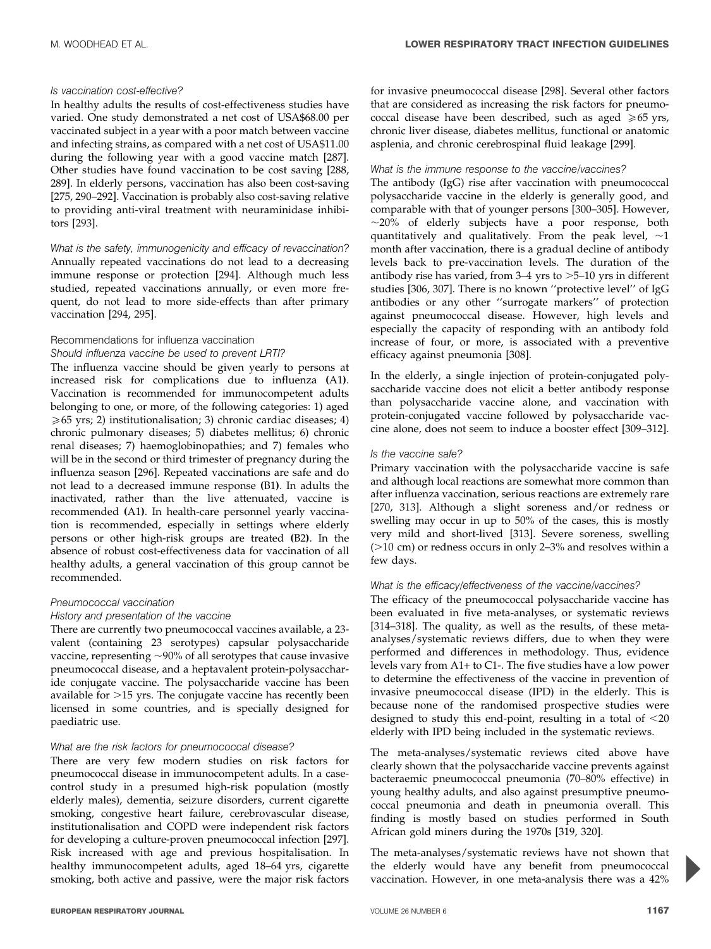#### Is vaccination cost-effective?

In healthy adults the results of cost-effectiveness studies have varied. One study demonstrated a net cost of USA\$68.00 per vaccinated subject in a year with a poor match between vaccine and infecting strains, as compared with a net cost of USA\$11.00 during the following year with a good vaccine match [287]. Other studies have found vaccination to be cost saving [288, 289]. In elderly persons, vaccination has also been cost-saving [275, 290–292]. Vaccination is probably also cost-saving relative to providing anti-viral treatment with neuraminidase inhibitors [293].

What is the safety, immunogenicity and efficacy of revaccination? Annually repeated vaccinations do not lead to a decreasing immune response or protection [294]. Although much less studied, repeated vaccinations annually, or even more frequent, do not lead to more side-effects than after primary vaccination [294, 295].

#### Recommendations for influenza vaccination

#### Should influenza vaccine be used to prevent LRTI?

The influenza vaccine should be given yearly to persons at increased risk for complications due to influenza (A1). Vaccination is recommended for immunocompetent adults belonging to one, or more, of the following categories: 1) aged  $\geq 65$  yrs; 2) institutionalisation; 3) chronic cardiac diseases; 4) chronic pulmonary diseases; 5) diabetes mellitus; 6) chronic renal diseases; 7) haemoglobinopathies; and 7) females who will be in the second or third trimester of pregnancy during the influenza season [296]. Repeated vaccinations are safe and do not lead to a decreased immune response (B1). In adults the inactivated, rather than the live attenuated, vaccine is recommended (A1). In health-care personnel yearly vaccination is recommended, especially in settings where elderly persons or other high-risk groups are treated (B2). In the absence of robust cost-effectiveness data for vaccination of all healthy adults, a general vaccination of this group cannot be recommended.

#### Pneumococcal vaccination

#### History and presentation of the vaccine

There are currently two pneumococcal vaccines available, a 23 valent (containing 23 serotypes) capsular polysaccharide vaccine, representing  $\sim$ 90% of all serotypes that cause invasive pneumococcal disease, and a heptavalent protein-polysaccharide conjugate vaccine. The polysaccharide vaccine has been available for  $>15$  yrs. The conjugate vaccine has recently been licensed in some countries, and is specially designed for paediatric use.

#### What are the risk factors for pneumococcal disease?

There are very few modern studies on risk factors for pneumococcal disease in immunocompetent adults. In a casecontrol study in a presumed high-risk population (mostly elderly males), dementia, seizure disorders, current cigarette smoking, congestive heart failure, cerebrovascular disease, institutionalisation and COPD were independent risk factors for developing a culture-proven pneumococcal infection [297]. Risk increased with age and previous hospitalisation. In healthy immunocompetent adults, aged 18–64 yrs, cigarette smoking, both active and passive, were the major risk factors for invasive pneumococcal disease [298]. Several other factors that are considered as increasing the risk factors for pneumococcal disease have been described, such as aged  $\geq 65$  yrs, chronic liver disease, diabetes mellitus, functional or anatomic asplenia, and chronic cerebrospinal fluid leakage [299].

#### What is the immune response to the vaccine/vaccines?

The antibody (IgG) rise after vaccination with pneumococcal polysaccharide vaccine in the elderly is generally good, and comparable with that of younger persons [300–305]. However,  $\sim$ 20% of elderly subjects have a poor response, both quantitatively and qualitatively. From the peak level,  $\sim$ 1 month after vaccination, there is a gradual decline of antibody levels back to pre-vaccination levels. The duration of the antibody rise has varied, from  $3-4$  yrs to  $>5-10$  yrs in different studies [306, 307]. There is no known ''protective level'' of IgG antibodies or any other ''surrogate markers'' of protection against pneumococcal disease. However, high levels and especially the capacity of responding with an antibody fold increase of four, or more, is associated with a preventive efficacy against pneumonia [308].

In the elderly, a single injection of protein-conjugated polysaccharide vaccine does not elicit a better antibody response than polysaccharide vaccine alone, and vaccination with protein-conjugated vaccine followed by polysaccharide vaccine alone, does not seem to induce a booster effect [309–312].

#### Is the vaccine safe?

Primary vaccination with the polysaccharide vaccine is safe and although local reactions are somewhat more common than after influenza vaccination, serious reactions are extremely rare [270, 313]. Although a slight soreness and/or redness or swelling may occur in up to 50% of the cases, this is mostly very mild and short-lived [313]. Severe soreness, swelling  $(>10$  cm) or redness occurs in only 2–3% and resolves within a few days.

#### What is the efficacy/effectiveness of the vaccine/vaccines?

The efficacy of the pneumococcal polysaccharide vaccine has been evaluated in five meta-analyses, or systematic reviews [314–318]. The quality, as well as the results, of these metaanalyses/systematic reviews differs, due to when they were performed and differences in methodology. Thus, evidence levels vary from A1+ to C1-. The five studies have a low power to determine the effectiveness of the vaccine in prevention of invasive pneumococcal disease (IPD) in the elderly. This is because none of the randomised prospective studies were designed to study this end-point, resulting in a total of  $\leq 20$ elderly with IPD being included in the systematic reviews.

The meta-analyses/systematic reviews cited above have clearly shown that the polysaccharide vaccine prevents against bacteraemic pneumococcal pneumonia (70–80% effective) in young healthy adults, and also against presumptive pneumococcal pneumonia and death in pneumonia overall. This finding is mostly based on studies performed in South African gold miners during the 1970s [319, 320].

The meta-analyses/systematic reviews have not shown that the elderly would have any benefit from pneumococcal vaccination. However, in one meta-analysis there was a 42%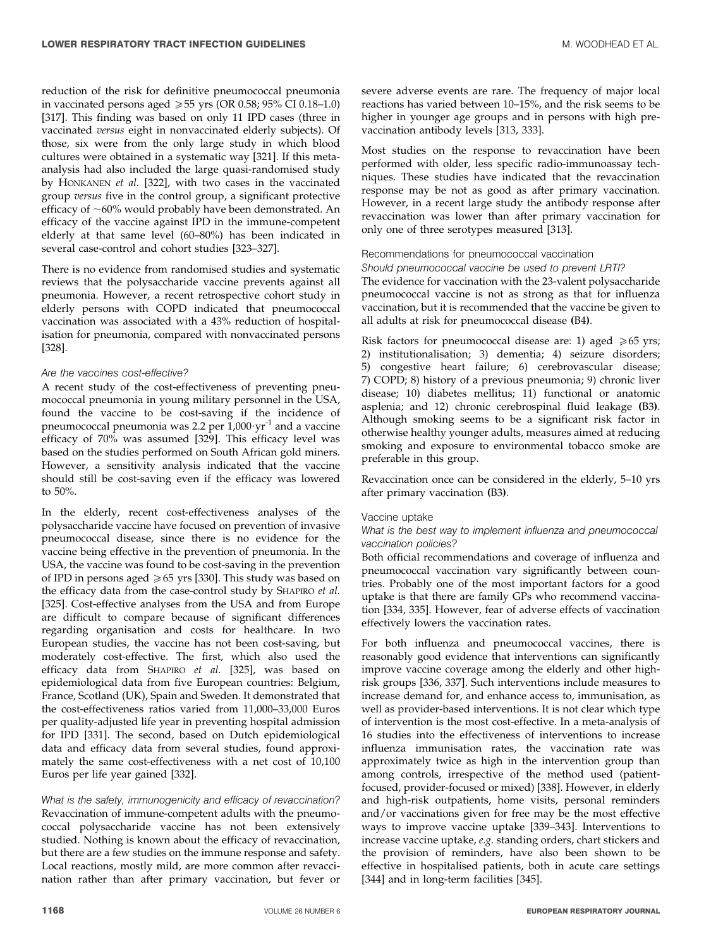reduction of the risk for definitive pneumococcal pneumonia in vaccinated persons aged  $\geq 55$  yrs (OR 0.58; 95% CI 0.18–1.0) [317]. This finding was based on only 11 IPD cases (three in vaccinated versus eight in nonvaccinated elderly subjects). Of those, six were from the only large study in which blood cultures were obtained in a systematic way [321]. If this metaanalysis had also included the large quasi-randomised study by HONKANEN et al. [322], with two cases in the vaccinated group versus five in the control group, a significant protective efficacy of  $~60\%$  would probably have been demonstrated. An efficacy of the vaccine against IPD in the immune-competent elderly at that same level (60–80%) has been indicated in several case-control and cohort studies [323–327].

There is no evidence from randomised studies and systematic reviews that the polysaccharide vaccine prevents against all pneumonia. However, a recent retrospective cohort study in elderly persons with COPD indicated that pneumococcal vaccination was associated with a 43% reduction of hospitalisation for pneumonia, compared with nonvaccinated persons [328].

#### Are the vaccines cost-effective?

A recent study of the cost-effectiveness of preventing pneumococcal pneumonia in young military personnel in the USA, found the vaccine to be cost-saving if the incidence of pneumococcal pneumonia was 2.2 per  $1,000 \cdot yr^{-1}$  and a vaccine efficacy of 70% was assumed [329]. This efficacy level was based on the studies performed on South African gold miners. However, a sensitivity analysis indicated that the vaccine should still be cost-saving even if the efficacy was lowered to 50%.

In the elderly, recent cost-effectiveness analyses of the polysaccharide vaccine have focused on prevention of invasive pneumococcal disease, since there is no evidence for the vaccine being effective in the prevention of pneumonia. In the USA, the vaccine was found to be cost-saving in the prevention of IPD in persons aged  $\geq 65$  yrs [330]. This study was based on the efficacy data from the case-control study by SHAPIRO et al. [325]. Cost-effective analyses from the USA and from Europe are difficult to compare because of significant differences regarding organisation and costs for healthcare. In two European studies, the vaccine has not been cost-saving, but moderately cost-effective. The first, which also used the efficacy data from SHAPIRO et al. [325], was based on epidemiological data from five European countries: Belgium, France, Scotland (UK), Spain and Sweden. It demonstrated that the cost-effectiveness ratios varied from 11,000–33,000 Euros per quality-adjusted life year in preventing hospital admission for IPD [331]. The second, based on Dutch epidemiological data and efficacy data from several studies, found approximately the same cost-effectiveness with a net cost of 10,100 Euros per life year gained [332].

What is the safety, immunogenicity and efficacy of revaccination? Revaccination of immune-competent adults with the pneumococcal polysaccharide vaccine has not been extensively studied. Nothing is known about the efficacy of revaccination, but there are a few studies on the immune response and safety. Local reactions, mostly mild, are more common after revaccination rather than after primary vaccination, but fever or

severe adverse events are rare. The frequency of major local reactions has varied between 10–15%, and the risk seems to be higher in younger age groups and in persons with high prevaccination antibody levels [313, 333].

Most studies on the response to revaccination have been performed with older, less specific radio-immunoassay techniques. These studies have indicated that the revaccination response may be not as good as after primary vaccination. However, in a recent large study the antibody response after revaccination was lower than after primary vaccination for only one of three serotypes measured [313].

# Recommendations for pneumococcal vaccination

Should pneumococcal vaccine be used to prevent LRTI? The evidence for vaccination with the 23-valent polysaccharide pneumococcal vaccine is not as strong as that for influenza vaccination, but it is recommended that the vaccine be given to all adults at risk for pneumococcal disease (B4).

Risk factors for pneumococcal disease are: 1) aged  $\geq 65$  yrs; 2) institutionalisation; 3) dementia; 4) seizure disorders; 5) congestive heart failure; 6) cerebrovascular disease; 7) COPD; 8) history of a previous pneumonia; 9) chronic liver disease; 10) diabetes mellitus; 11) functional or anatomic asplenia; and 12) chronic cerebrospinal fluid leakage (B3). Although smoking seems to be a significant risk factor in otherwise healthy younger adults, measures aimed at reducing smoking and exposure to environmental tobacco smoke are preferable in this group.

Revaccination once can be considered in the elderly, 5–10 yrs after primary vaccination (B3).

#### Vaccine uptake

#### What is the best way to implement influenza and pneumococcal vaccination policies?

Both official recommendations and coverage of influenza and pneumococcal vaccination vary significantly between countries. Probably one of the most important factors for a good uptake is that there are family GPs who recommend vaccination [334, 335]. However, fear of adverse effects of vaccination effectively lowers the vaccination rates.

For both influenza and pneumococcal vaccines, there is reasonably good evidence that interventions can significantly improve vaccine coverage among the elderly and other highrisk groups [336, 337]. Such interventions include measures to increase demand for, and enhance access to, immunisation, as well as provider-based interventions. It is not clear which type of intervention is the most cost-effective. In a meta-analysis of 16 studies into the effectiveness of interventions to increase influenza immunisation rates, the vaccination rate was approximately twice as high in the intervention group than among controls, irrespective of the method used (patientfocused, provider-focused or mixed) [338]. However, in elderly and high-risk outpatients, home visits, personal reminders and/or vaccinations given for free may be the most effective ways to improve vaccine uptake [339–343]. Interventions to increase vaccine uptake, e.g. standing orders, chart stickers and the provision of reminders, have also been shown to be effective in hospitalised patients, both in acute care settings [344] and in long-term facilities [345].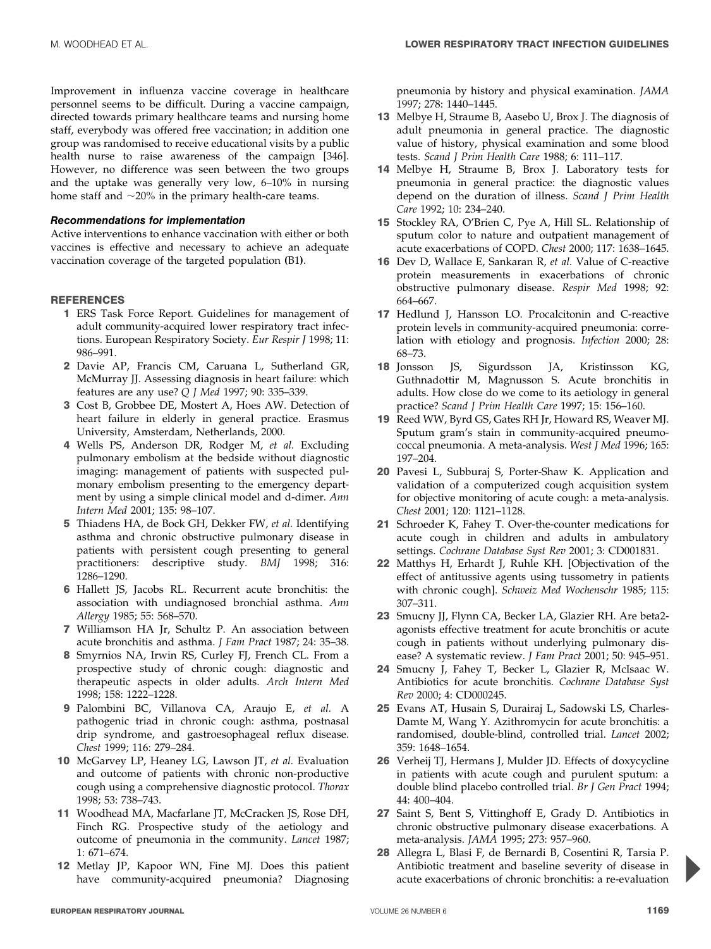Improvement in influenza vaccine coverage in healthcare personnel seems to be difficult. During a vaccine campaign, directed towards primary healthcare teams and nursing home staff, everybody was offered free vaccination; in addition one group was randomised to receive educational visits by a public health nurse to raise awareness of the campaign [346]. However, no difference was seen between the two groups and the uptake was generally very low, 6–10% in nursing home staff and  $\sim$ 20% in the primary health-care teams.

#### Recommendations for implementation

Active interventions to enhance vaccination with either or both vaccines is effective and necessary to achieve an adequate vaccination coverage of the targeted population (B1).

#### REFERENCES

- 1 ERS Task Force Report. Guidelines for management of adult community-acquired lower respiratory tract infections. European Respiratory Society. Eur Respir J 1998; 11: 986–991.
- 2 Davie AP, Francis CM, Caruana L, Sutherland GR, McMurray JJ. Assessing diagnosis in heart failure: which features are any use? Q J Med 1997; 90: 335–339.
- 3 Cost B, Grobbee DE, Mostert A, Hoes AW. Detection of heart failure in elderly in general practice. Erasmus University, Amsterdam, Netherlands, 2000.
- 4 Wells PS, Anderson DR, Rodger M, et al. Excluding pulmonary embolism at the bedside without diagnostic imaging: management of patients with suspected pulmonary embolism presenting to the emergency department by using a simple clinical model and d-dimer. Ann Intern Med 2001; 135: 98–107.
- 5 Thiadens HA, de Bock GH, Dekker FW, et al. Identifying asthma and chronic obstructive pulmonary disease in patients with persistent cough presenting to general practitioners: descriptive study. BMJ 1998; 316: 1286–1290.
- 6 Hallett JS, Jacobs RL. Recurrent acute bronchitis: the association with undiagnosed bronchial asthma. Ann Allergy 1985; 55: 568–570.
- 7 Williamson HA Jr, Schultz P. An association between acute bronchitis and asthma. J Fam Pract 1987; 24: 35–38.
- 8 Smyrnios NA, Irwin RS, Curley FJ, French CL. From a prospective study of chronic cough: diagnostic and therapeutic aspects in older adults. Arch Intern Med 1998; 158: 1222–1228.
- 9 Palombini BC, Villanova CA, Araujo E, et al. A pathogenic triad in chronic cough: asthma, postnasal drip syndrome, and gastroesophageal reflux disease. Chest 1999; 116: 279–284.
- 10 McGarvey LP, Heaney LG, Lawson JT, et al. Evaluation and outcome of patients with chronic non-productive cough using a comprehensive diagnostic protocol. Thorax 1998; 53: 738–743.
- 11 Woodhead MA, Macfarlane JT, McCracken JS, Rose DH, Finch RG. Prospective study of the aetiology and outcome of pneumonia in the community. Lancet 1987; 1: 671–674.
- 12 Metlay JP, Kapoor WN, Fine MJ. Does this patient have community-acquired pneumonia? Diagnosing

pneumonia by history and physical examination. JAMA 1997; 278: 1440–1445.

- 13 Melbye H, Straume B, Aasebo U, Brox J. The diagnosis of adult pneumonia in general practice. The diagnostic value of history, physical examination and some blood tests. Scand J Prim Health Care 1988; 6: 111-117.
- 14 Melbye H, Straume B, Brox J. Laboratory tests for pneumonia in general practice: the diagnostic values depend on the duration of illness. Scand J Prim Health Care 1992; 10: 234–240.
- 15 Stockley RA, O'Brien C, Pye A, Hill SL. Relationship of sputum color to nature and outpatient management of acute exacerbations of COPD. Chest 2000; 117: 1638–1645.
- 16 Dev D, Wallace E, Sankaran R, et al. Value of C-reactive protein measurements in exacerbations of chronic obstructive pulmonary disease. Respir Med 1998; 92: 664–667.
- 17 Hedlund J, Hansson LO. Procalcitonin and C-reactive protein levels in community-acquired pneumonia: correlation with etiology and prognosis. Infection 2000; 28: 68–73.
- 18 Jonsson JS, Sigurdsson JA, Kristinsson KG, Guthnadottir M, Magnusson S. Acute bronchitis in adults. How close do we come to its aetiology in general practice? Scand J Prim Health Care 1997; 15: 156–160.
- 19 Reed WW, Byrd GS, Gates RH Jr, Howard RS, Weaver MJ. Sputum gram's stain in community-acquired pneumococcal pneumonia. A meta-analysis. West J Med 1996; 165: 197–204.
- 20 Pavesi L, Subburaj S, Porter-Shaw K. Application and validation of a computerized cough acquisition system for objective monitoring of acute cough: a meta-analysis. Chest 2001; 120: 1121–1128.
- 21 Schroeder K, Fahey T. Over-the-counter medications for acute cough in children and adults in ambulatory settings. Cochrane Database Syst Rev 2001; 3: CD001831.
- 22 Matthys H, Erhardt J, Ruhle KH. [Objectivation of the effect of antitussive agents using tussometry in patients with chronic cough]. Schweiz Med Wochenschr 1985; 115: 307–311.
- 23 Smucny JJ, Flynn CA, Becker LA, Glazier RH. Are beta2agonists effective treatment for acute bronchitis or acute cough in patients without underlying pulmonary disease? A systematic review. J Fam Pract 2001; 50: 945–951.
- 24 Smucny J, Fahey T, Becker L, Glazier R, McIsaac W. Antibiotics for acute bronchitis. Cochrane Database Syst Rev 2000; 4: CD000245.
- 25 Evans AT, Husain S, Durairaj L, Sadowski LS, Charles-Damte M, Wang Y. Azithromycin for acute bronchitis: a randomised, double-blind, controlled trial. Lancet 2002; 359: 1648–1654.
- 26 Verheij TJ, Hermans J, Mulder JD. Effects of doxycycline in patients with acute cough and purulent sputum: a double blind placebo controlled trial. Br J Gen Pract 1994; 44: 400–404.
- 27 Saint S, Bent S, Vittinghoff E, Grady D. Antibiotics in chronic obstructive pulmonary disease exacerbations. A meta-analysis. JAMA 1995; 273: 957–960.
- 28 Allegra L, Blasi F, de Bernardi B, Cosentini R, Tarsia P. Antibiotic treatment and baseline severity of disease in acute exacerbations of chronic bronchitis: a re-evaluation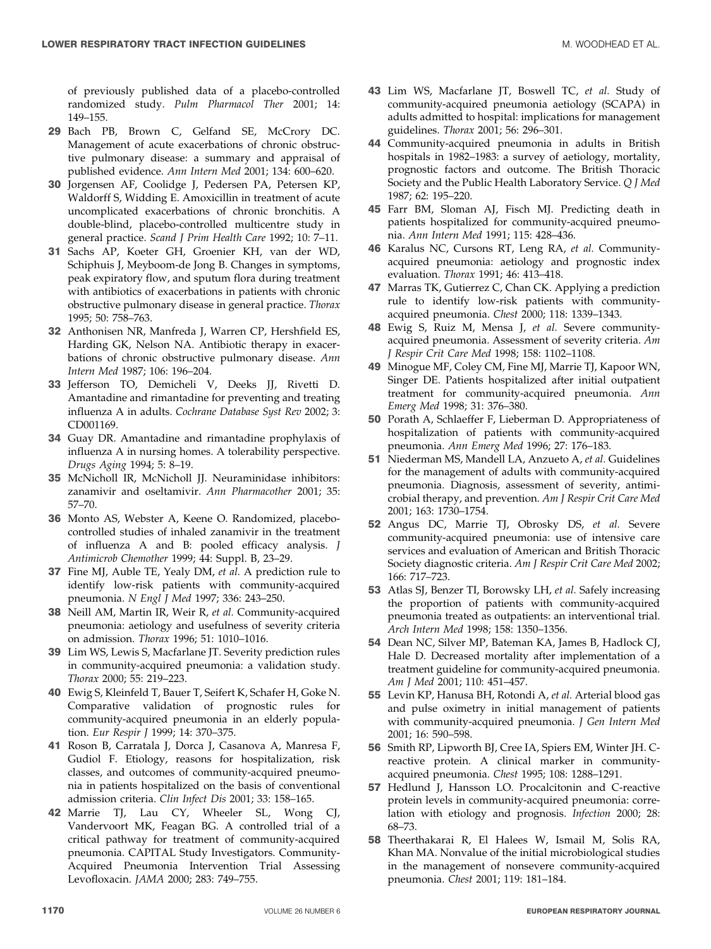of previously published data of a placebo-controlled randomized study. Pulm Pharmacol Ther 2001; 14: 149–155.

- 29 Bach PB, Brown C, Gelfand SE, McCrory DC. Management of acute exacerbations of chronic obstructive pulmonary disease: a summary and appraisal of published evidence. Ann Intern Med 2001; 134: 600–620.
- 30 Jorgensen AF, Coolidge J, Pedersen PA, Petersen KP, Waldorff S, Widding E. Amoxicillin in treatment of acute uncomplicated exacerbations of chronic bronchitis. A double-blind, placebo-controlled multicentre study in general practice. Scand J Prim Health Care 1992; 10: 7–11.
- 31 Sachs AP, Koeter GH, Groenier KH, van der WD, Schiphuis J, Meyboom-de Jong B. Changes in symptoms, peak expiratory flow, and sputum flora during treatment with antibiotics of exacerbations in patients with chronic obstructive pulmonary disease in general practice. Thorax 1995; 50: 758–763.
- 32 Anthonisen NR, Manfreda J, Warren CP, Hershfield ES, Harding GK, Nelson NA. Antibiotic therapy in exacerbations of chronic obstructive pulmonary disease. Ann Intern Med 1987; 106: 196–204.
- 33 Jefferson TO, Demicheli V, Deeks JJ, Rivetti D. Amantadine and rimantadine for preventing and treating influenza A in adults. Cochrane Database Syst Rev 2002; 3: CD001169.
- 34 Guay DR. Amantadine and rimantadine prophylaxis of influenza A in nursing homes. A tolerability perspective. Drugs Aging 1994; 5: 8–19.
- 35 McNicholl IR, McNicholl JJ. Neuraminidase inhibitors: zanamivir and oseltamivir. Ann Pharmacother 2001; 35: 57–70.
- 36 Monto AS, Webster A, Keene O. Randomized, placebocontrolled studies of inhaled zanamivir in the treatment of influenza A and B: pooled efficacy analysis. J Antimicrob Chemother 1999; 44: Suppl. B, 23–29.
- 37 Fine MJ, Auble TE, Yealy DM, et al. A prediction rule to identify low-risk patients with community-acquired pneumonia. N Engl J Med 1997; 336: 243–250.
- 38 Neill AM, Martin IR, Weir R, et al. Community-acquired pneumonia: aetiology and usefulness of severity criteria on admission. Thorax 1996; 51: 1010–1016.
- 39 Lim WS, Lewis S, Macfarlane JT. Severity prediction rules in community-acquired pneumonia: a validation study. Thorax 2000; 55: 219–223.
- 40 Ewig S, Kleinfeld T, Bauer T, Seifert K, Schafer H, Goke N. Comparative validation of prognostic rules for community-acquired pneumonia in an elderly population. Eur Respir J 1999; 14: 370-375.
- 41 Roson B, Carratala J, Dorca J, Casanova A, Manresa F, Gudiol F. Etiology, reasons for hospitalization, risk classes, and outcomes of community-acquired pneumonia in patients hospitalized on the basis of conventional admission criteria. Clin Infect Dis 2001; 33: 158–165.
- 42 Marrie TJ, Lau CY, Wheeler SL, Wong CJ, Vandervoort MK, Feagan BG. A controlled trial of a critical pathway for treatment of community-acquired pneumonia. CAPITAL Study Investigators. Community-Acquired Pneumonia Intervention Trial Assessing Levofloxacin. JAMA 2000; 283: 749–755.
- 43 Lim WS, Macfarlane JT, Boswell TC, et al. Study of community-acquired pneumonia aetiology (SCAPA) in adults admitted to hospital: implications for management guidelines. Thorax 2001; 56: 296–301.
- 44 Community-acquired pneumonia in adults in British hospitals in 1982–1983: a survey of aetiology, mortality, prognostic factors and outcome. The British Thoracic Society and the Public Health Laboratory Service. Q J Med 1987; 62: 195–220.
- 45 Farr BM, Sloman AJ, Fisch MJ. Predicting death in patients hospitalized for community-acquired pneumonia. Ann Intern Med 1991; 115: 428–436.
- 46 Karalus NC, Cursons RT, Leng RA, et al. Communityacquired pneumonia: aetiology and prognostic index evaluation. Thorax 1991; 46: 413–418.
- 47 Marras TK, Gutierrez C, Chan CK. Applying a prediction rule to identify low-risk patients with communityacquired pneumonia. Chest 2000; 118: 1339–1343.
- 48 Ewig S, Ruiz M, Mensa J, et al. Severe communityacquired pneumonia. Assessment of severity criteria. Am J Respir Crit Care Med 1998; 158: 1102–1108.
- 49 Minogue MF, Coley CM, Fine MJ, Marrie TJ, Kapoor WN, Singer DE. Patients hospitalized after initial outpatient treatment for community-acquired pneumonia. Ann Emerg Med 1998; 31: 376–380.
- 50 Porath A, Schlaeffer F, Lieberman D. Appropriateness of hospitalization of patients with community-acquired pneumonia. Ann Emerg Med 1996; 27: 176–183.
- 51 Niederman MS, Mandell LA, Anzueto A, et al. Guidelines for the management of adults with community-acquired pneumonia. Diagnosis, assessment of severity, antimicrobial therapy, and prevention. Am J Respir Crit Care Med 2001; 163: 1730–1754.
- 52 Angus DC, Marrie TJ, Obrosky DS, et al. Severe community-acquired pneumonia: use of intensive care services and evaluation of American and British Thoracic Society diagnostic criteria. Am J Respir Crit Care Med 2002; 166: 717–723.
- 53 Atlas SJ, Benzer TI, Borowsky LH, et al. Safely increasing the proportion of patients with community-acquired pneumonia treated as outpatients: an interventional trial. Arch Intern Med 1998; 158: 1350–1356.
- 54 Dean NC, Silver MP, Bateman KA, James B, Hadlock CJ, Hale D. Decreased mortality after implementation of a treatment guideline for community-acquired pneumonia. Am J Med 2001; 110: 451–457.
- 55 Levin KP, Hanusa BH, Rotondi A, et al. Arterial blood gas and pulse oximetry in initial management of patients with community-acquired pneumonia. J Gen Intern Med 2001; 16: 590–598.
- 56 Smith RP, Lipworth BJ, Cree IA, Spiers EM, Winter JH. Creactive protein. A clinical marker in communityacquired pneumonia. Chest 1995; 108: 1288–1291.
- 57 Hedlund J, Hansson LO. Procalcitonin and C-reactive protein levels in community-acquired pneumonia: correlation with etiology and prognosis. Infection 2000; 28: 68–73.
- 58 Theerthakarai R, El Halees W, Ismail M, Solis RA, Khan MA. Nonvalue of the initial microbiological studies in the management of nonsevere community-acquired pneumonia. Chest 2001; 119: 181–184.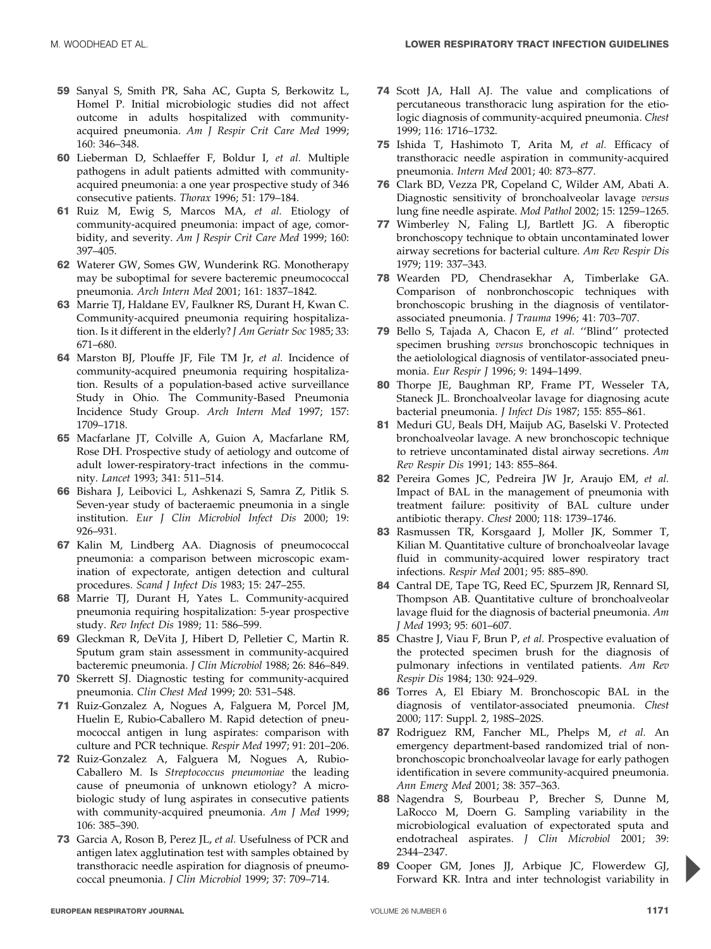- 59 Sanyal S, Smith PR, Saha AC, Gupta S, Berkowitz L, Homel P. Initial microbiologic studies did not affect outcome in adults hospitalized with communityacquired pneumonia. Am J Respir Crit Care Med 1999; 160: 346–348.
- 60 Lieberman D, Schlaeffer F, Boldur I, et al. Multiple pathogens in adult patients admitted with communityacquired pneumonia: a one year prospective study of 346 consecutive patients. Thorax 1996; 51: 179–184.
- 61 Ruiz M, Ewig S, Marcos MA, et al. Etiology of community-acquired pneumonia: impact of age, comorbidity, and severity. Am J Respir Crit Care Med 1999; 160: 397–405.
- 62 Waterer GW, Somes GW, Wunderink RG. Monotherapy may be suboptimal for severe bacteremic pneumococcal pneumonia. Arch Intern Med 2001; 161: 1837–1842.
- 63 Marrie TJ, Haldane EV, Faulkner RS, Durant H, Kwan C. Community-acquired pneumonia requiring hospitalization. Is it different in the elderly? J Am Geriatr Soc 1985; 33: 671–680.
- 64 Marston BJ, Plouffe JF, File TM Jr, et al. Incidence of community-acquired pneumonia requiring hospitalization. Results of a population-based active surveillance Study in Ohio. The Community-Based Pneumonia Incidence Study Group. Arch Intern Med 1997; 157: 1709–1718.
- 65 Macfarlane JT, Colville A, Guion A, Macfarlane RM, Rose DH. Prospective study of aetiology and outcome of adult lower-respiratory-tract infections in the community. Lancet 1993; 341: 511–514.
- 66 Bishara J, Leibovici L, Ashkenazi S, Samra Z, Pitlik S. Seven-year study of bacteraemic pneumonia in a single institution. Eur J Clin Microbiol Infect Dis 2000; 19: 926–931.
- 67 Kalin M, Lindberg AA. Diagnosis of pneumococcal pneumonia: a comparison between microscopic examination of expectorate, antigen detection and cultural procedures. Scand J Infect Dis 1983; 15: 247–255.
- 68 Marrie TJ, Durant H, Yates L. Community-acquired pneumonia requiring hospitalization: 5-year prospective study. Rev Infect Dis 1989; 11: 586–599.
- 69 Gleckman R, DeVita J, Hibert D, Pelletier C, Martin R. Sputum gram stain assessment in community-acquired bacteremic pneumonia. J Clin Microbiol 1988; 26: 846–849.
- 70 Skerrett SJ. Diagnostic testing for community-acquired pneumonia. Clin Chest Med 1999; 20: 531–548.
- 71 Ruiz-Gonzalez A, Nogues A, Falguera M, Porcel JM, Huelin E, Rubio-Caballero M. Rapid detection of pneumococcal antigen in lung aspirates: comparison with culture and PCR technique. Respir Med 1997; 91: 201–206.
- 72 Ruiz-Gonzalez A, Falguera M, Nogues A, Rubio-Caballero M. Is Streptococcus pneumoniae the leading cause of pneumonia of unknown etiology? A microbiologic study of lung aspirates in consecutive patients with community-acquired pneumonia. Am J Med 1999; 106: 385–390.
- 73 Garcia A, Roson B, Perez JL, et al. Usefulness of PCR and antigen latex agglutination test with samples obtained by transthoracic needle aspiration for diagnosis of pneumococcal pneumonia. J Clin Microbiol 1999; 37: 709–714.
- 74 Scott JA, Hall AJ. The value and complications of percutaneous transthoracic lung aspiration for the etiologic diagnosis of community-acquired pneumonia. Chest 1999; 116: 1716–1732.
- 75 Ishida T, Hashimoto T, Arita M, et al. Efficacy of transthoracic needle aspiration in community-acquired pneumonia. Intern Med 2001; 40: 873–877.
- 76 Clark BD, Vezza PR, Copeland C, Wilder AM, Abati A. Diagnostic sensitivity of bronchoalveolar lavage versus lung fine needle aspirate. Mod Pathol 2002; 15: 1259–1265.
- 77 Wimberley N, Faling LJ, Bartlett JG. A fiberoptic bronchoscopy technique to obtain uncontaminated lower airway secretions for bacterial culture. Am Rev Respir Dis 1979; 119: 337–343.
- 78 Wearden PD, Chendrasekhar A, Timberlake GA. Comparison of nonbronchoscopic techniques with bronchoscopic brushing in the diagnosis of ventilatorassociated pneumonia. J Trauma 1996; 41: 703–707.
- 79 Bello S, Tajada A, Chacon E, et al. ''Blind'' protected specimen brushing versus bronchoscopic techniques in the aetiolological diagnosis of ventilator-associated pneumonia. Eur Respir J 1996; 9: 1494–1499.
- 80 Thorpe JE, Baughman RP, Frame PT, Wesseler TA, Staneck JL. Bronchoalveolar lavage for diagnosing acute bacterial pneumonia. J Infect Dis 1987; 155: 855–861.
- 81 Meduri GU, Beals DH, Maijub AG, Baselski V. Protected bronchoalveolar lavage. A new bronchoscopic technique to retrieve uncontaminated distal airway secretions. Am Rev Respir Dis 1991; 143: 855–864.
- 82 Pereira Gomes JC, Pedreira JW Jr, Araujo EM, et al. Impact of BAL in the management of pneumonia with treatment failure: positivity of BAL culture under antibiotic therapy. Chest 2000; 118: 1739–1746.
- 83 Rasmussen TR, Korsgaard J, Moller JK, Sommer T, Kilian M. Quantitative culture of bronchoalveolar lavage fluid in community-acquired lower respiratory tract infections. Respir Med 2001; 95: 885–890.
- 84 Cantral DE, Tape TG, Reed EC, Spurzem JR, Rennard SI, Thompson AB. Quantitative culture of bronchoalveolar lavage fluid for the diagnosis of bacterial pneumonia. Am J Med 1993; 95: 601–607.
- 85 Chastre J, Viau F, Brun P, et al. Prospective evaluation of the protected specimen brush for the diagnosis of pulmonary infections in ventilated patients. Am Rev Respir Dis 1984; 130: 924–929.
- 86 Torres A, El Ebiary M. Bronchoscopic BAL in the diagnosis of ventilator-associated pneumonia. Chest 2000; 117: Suppl. 2, 198S–202S.
- 87 Rodriguez RM, Fancher ML, Phelps M, et al. An emergency department-based randomized trial of nonbronchoscopic bronchoalveolar lavage for early pathogen identification in severe community-acquired pneumonia. Ann Emerg Med 2001; 38: 357–363.
- 88 Nagendra S, Bourbeau P, Brecher S, Dunne M, LaRocco M, Doern G. Sampling variability in the microbiological evaluation of expectorated sputa and endotracheal aspirates. J Clin Microbiol 2001; 39: 2344–2347.
- 89 Cooper GM, Jones JJ, Arbique JC, Flowerdew GJ, Forward KR. Intra and inter technologist variability in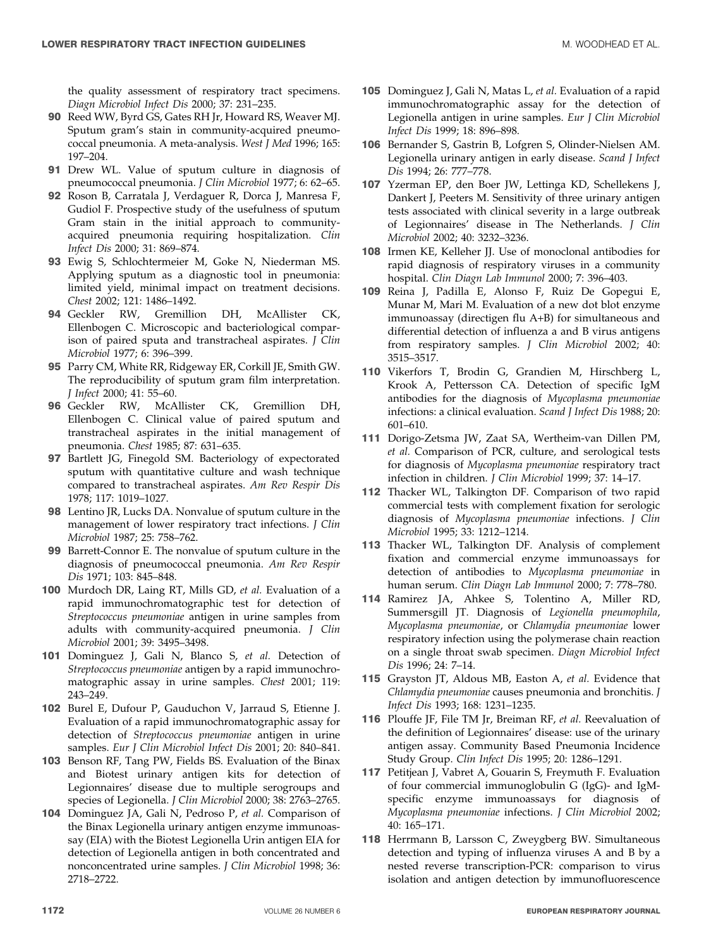the quality assessment of respiratory tract specimens. Diagn Microbiol Infect Dis 2000; 37: 231–235.

- 90 Reed WW, Byrd GS, Gates RH Jr, Howard RS, Weaver MJ. Sputum gram's stain in community-acquired pneumococcal pneumonia. A meta-analysis. West J Med 1996; 165: 197–204.
- 91 Drew WL. Value of sputum culture in diagnosis of pneumococcal pneumonia. J Clin Microbiol 1977; 6: 62–65.
- 92 Roson B, Carratala J, Verdaguer R, Dorca J, Manresa F, Gudiol F. Prospective study of the usefulness of sputum Gram stain in the initial approach to communityacquired pneumonia requiring hospitalization. Clin Infect Dis 2000; 31: 869–874.
- 93 Ewig S, Schlochtermeier M, Goke N, Niederman MS. Applying sputum as a diagnostic tool in pneumonia: limited yield, minimal impact on treatment decisions. Chest 2002; 121: 1486–1492.
- 94 Geckler RW, Gremillion DH, McAllister CK, Ellenbogen C. Microscopic and bacteriological comparison of paired sputa and transtracheal aspirates. J Clin Microbiol 1977; 6: 396–399.
- 95 Parry CM, White RR, Ridgeway ER, Corkill JE, Smith GW. The reproducibility of sputum gram film interpretation. J Infect 2000; 41: 55–60.
- 96 Geckler RW, McAllister CK, Gremillion DH, Ellenbogen C. Clinical value of paired sputum and transtracheal aspirates in the initial management of pneumonia. Chest 1985; 87: 631–635.
- 97 Bartlett JG, Finegold SM. Bacteriology of expectorated sputum with quantitative culture and wash technique compared to transtracheal aspirates. Am Rev Respir Dis 1978; 117: 1019–1027.
- 98 Lentino JR, Lucks DA. Nonvalue of sputum culture in the management of lower respiratory tract infections. J Clin Microbiol 1987; 25: 758–762.
- 99 Barrett-Connor E. The nonvalue of sputum culture in the diagnosis of pneumococcal pneumonia. Am Rev Respir Dis 1971; 103: 845–848.
- 100 Murdoch DR, Laing RT, Mills GD, et al. Evaluation of a rapid immunochromatographic test for detection of Streptococcus pneumoniae antigen in urine samples from adults with community-acquired pneumonia. J Clin Microbiol 2001; 39: 3495–3498.
- 101 Dominguez J, Gali N, Blanco S, et al. Detection of Streptococcus pneumoniae antigen by a rapid immunochromatographic assay in urine samples. Chest 2001; 119: 243–249.
- 102 Burel E, Dufour P, Gauduchon V, Jarraud S, Etienne J. Evaluation of a rapid immunochromatographic assay for detection of Streptococcus pneumoniae antigen in urine samples. Eur J Clin Microbiol Infect Dis 2001; 20: 840-841.
- 103 Benson RF, Tang PW, Fields BS. Evaluation of the Binax and Biotest urinary antigen kits for detection of Legionnaires' disease due to multiple serogroups and species of Legionella. J Clin Microbiol 2000; 38: 2763–2765.
- 104 Dominguez JA, Gali N, Pedroso P, et al. Comparison of the Binax Legionella urinary antigen enzyme immunoassay (EIA) with the Biotest Legionella Urin antigen EIA for detection of Legionella antigen in both concentrated and nonconcentrated urine samples. J Clin Microbiol 1998; 36: 2718–2722.
- 105 Dominguez J, Gali N, Matas L, et al. Evaluation of a rapid immunochromatographic assay for the detection of Legionella antigen in urine samples. Eur J Clin Microbiol Infect Dis 1999; 18: 896–898.
- 106 Bernander S, Gastrin B, Lofgren S, Olinder-Nielsen AM. Legionella urinary antigen in early disease. Scand J Infect Dis 1994; 26: 777–778.
- 107 Yzerman EP, den Boer JW, Lettinga KD, Schellekens J, Dankert J, Peeters M. Sensitivity of three urinary antigen tests associated with clinical severity in a large outbreak of Legionnaires' disease in The Netherlands. J Clin Microbiol 2002; 40: 3232–3236.
- 108 Irmen KE, Kelleher JJ. Use of monoclonal antibodies for rapid diagnosis of respiratory viruses in a community hospital. Clin Diagn Lab Immunol 2000; 7: 396–403.
- 109 Reina J, Padilla E, Alonso F, Ruiz De Gopegui E, Munar M, Mari M. Evaluation of a new dot blot enzyme immunoassay (directigen flu A+B) for simultaneous and differential detection of influenza a and B virus antigens from respiratory samples. J Clin Microbiol 2002; 40: 3515–3517.
- 110 Vikerfors T, Brodin G, Grandien M, Hirschberg L, Krook A, Pettersson CA. Detection of specific IgM antibodies for the diagnosis of Mycoplasma pneumoniae infections: a clinical evaluation. Scand J Infect Dis 1988; 20: 601–610.
- 111 Dorigo-Zetsma JW, Zaat SA, Wertheim-van Dillen PM, et al. Comparison of PCR, culture, and serological tests for diagnosis of Mycoplasma pneumoniae respiratory tract infection in children. J Clin Microbiol 1999; 37: 14–17.
- 112 Thacker WL, Talkington DF. Comparison of two rapid commercial tests with complement fixation for serologic diagnosis of Mycoplasma pneumoniae infections. J Clin Microbiol 1995; 33: 1212–1214.
- 113 Thacker WL, Talkington DF. Analysis of complement fixation and commercial enzyme immunoassays for detection of antibodies to Mycoplasma pneumoniae in human serum. Clin Diagn Lab Immunol 2000; 7: 778–780.
- 114 Ramirez JA, Ahkee S, Tolentino A, Miller RD, Summersgill JT. Diagnosis of Legionella pneumophila, Mycoplasma pneumoniae, or Chlamydia pneumoniae lower respiratory infection using the polymerase chain reaction on a single throat swab specimen. Diagn Microbiol Infect Dis 1996; 24: 7–14.
- 115 Grayston JT, Aldous MB, Easton A, et al. Evidence that Chlamydia pneumoniae causes pneumonia and bronchitis. J Infect Dis 1993; 168: 1231–1235.
- 116 Plouffe JF, File TM Jr, Breiman RF, et al. Reevaluation of the definition of Legionnaires' disease: use of the urinary antigen assay. Community Based Pneumonia Incidence Study Group. Clin Infect Dis 1995; 20: 1286–1291.
- 117 Petitjean J, Vabret A, Gouarin S, Freymuth F. Evaluation of four commercial immunoglobulin G (IgG)- and IgMspecific enzyme immunoassays for diagnosis of Mycoplasma pneumoniae infections. J Clin Microbiol 2002; 40: 165–171.
- 118 Herrmann B, Larsson C, Zweygberg BW. Simultaneous detection and typing of influenza viruses A and B by a nested reverse transcription-PCR: comparison to virus isolation and antigen detection by immunofluorescence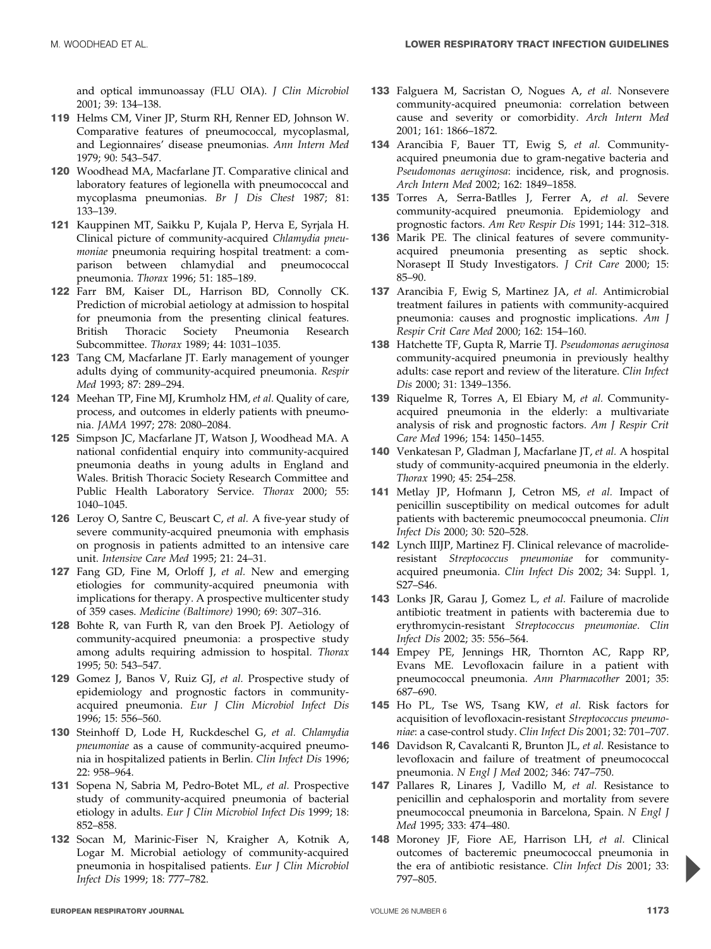and optical immunoassay (FLU OIA). J Clin Microbiol 2001; 39: 134–138.

- 119 Helms CM, Viner JP, Sturm RH, Renner ED, Johnson W. Comparative features of pneumococcal, mycoplasmal, and Legionnaires' disease pneumonias. Ann Intern Med 1979; 90: 543–547.
- 120 Woodhead MA, Macfarlane IT. Comparative clinical and laboratory features of legionella with pneumococcal and mycoplasma pneumonias. Br J Dis Chest 1987; 81: 133–139.
- 121 Kauppinen MT, Saikku P, Kujala P, Herva E, Syrjala H. Clinical picture of community-acquired Chlamydia pneumoniae pneumonia requiring hospital treatment: a comparison between chlamydial and pneumococcal pneumonia. Thorax 1996; 51: 185–189.
- 122 Farr BM, Kaiser DL, Harrison BD, Connolly CK. Prediction of microbial aetiology at admission to hospital for pneumonia from the presenting clinical features. British Thoracic Society Pneumonia Research Subcommittee. Thorax 1989; 44: 1031–1035.
- 123 Tang CM, Macfarlane JT. Early management of younger adults dying of community-acquired pneumonia. Respir Med 1993; 87: 289–294.
- 124 Meehan TP, Fine MJ, Krumholz HM, et al. Quality of care, process, and outcomes in elderly patients with pneumonia. JAMA 1997; 278: 2080–2084.
- 125 Simpson JC, Macfarlane JT, Watson J, Woodhead MA. A national confidential enquiry into community-acquired pneumonia deaths in young adults in England and Wales. British Thoracic Society Research Committee and Public Health Laboratory Service. Thorax 2000; 55: 1040–1045.
- 126 Leroy O, Santre C, Beuscart C, et al. A five-year study of severe community-acquired pneumonia with emphasis on prognosis in patients admitted to an intensive care unit. Intensive Care Med 1995; 21: 24–31.
- 127 Fang GD, Fine M, Orloff J, et al. New and emerging etiologies for community-acquired pneumonia with implications for therapy. A prospective multicenter study of 359 cases. Medicine (Baltimore) 1990; 69: 307–316.
- 128 Bohte R, van Furth R, van den Broek PJ. Aetiology of community-acquired pneumonia: a prospective study among adults requiring admission to hospital. Thorax 1995; 50: 543–547.
- 129 Gomez J, Banos V, Ruiz GJ, et al. Prospective study of epidemiology and prognostic factors in communityacquired pneumonia. Eur J Clin Microbiol Infect Dis 1996; 15: 556–560.
- 130 Steinhoff D, Lode H, Ruckdeschel G, et al. Chlamydia pneumoniae as a cause of community-acquired pneumonia in hospitalized patients in Berlin. Clin Infect Dis 1996; 22: 958–964.
- 131 Sopena N, Sabria M, Pedro-Botet ML, et al. Prospective study of community-acquired pneumonia of bacterial etiology in adults. Eur J Clin Microbiol Infect Dis 1999; 18: 852–858.
- 132 Socan M, Marinic-Fiser N, Kraigher A, Kotnik A, Logar M. Microbial aetiology of community-acquired pneumonia in hospitalised patients. Eur J Clin Microbiol Infect Dis 1999; 18: 777–782.
- 133 Falguera M, Sacristan O, Nogues A, et al. Nonsevere community-acquired pneumonia: correlation between cause and severity or comorbidity. Arch Intern Med 2001; 161: 1866–1872.
- 134 Arancibia F, Bauer TT, Ewig S, et al. Communityacquired pneumonia due to gram-negative bacteria and Pseudomonas aeruginosa: incidence, risk, and prognosis. Arch Intern Med 2002; 162: 1849–1858.
- 135 Torres A, Serra-Batlles J, Ferrer A, et al. Severe community-acquired pneumonia. Epidemiology and prognostic factors. Am Rev Respir Dis 1991; 144: 312–318.
- 136 Marik PE. The clinical features of severe communityacquired pneumonia presenting as septic shock. Norasept II Study Investigators. J Crit Care 2000; 15: 85–90.
- 137 Arancibia F, Ewig S, Martinez JA, et al. Antimicrobial treatment failures in patients with community-acquired pneumonia: causes and prognostic implications. Am J Respir Crit Care Med 2000; 162: 154–160.
- 138 Hatchette TF, Gupta R, Marrie TJ. Pseudomonas aeruginosa community-acquired pneumonia in previously healthy adults: case report and review of the literature. Clin Infect Dis 2000; 31: 1349–1356.
- 139 Riquelme R, Torres A, El Ebiary M, et al. Communityacquired pneumonia in the elderly: a multivariate analysis of risk and prognostic factors. Am J Respir Crit Care Med 1996; 154: 1450–1455.
- 140 Venkatesan P, Gladman J, Macfarlane JT, et al. A hospital study of community-acquired pneumonia in the elderly. Thorax 1990; 45: 254–258.
- 141 Metlay JP, Hofmann J, Cetron MS, et al. Impact of penicillin susceptibility on medical outcomes for adult patients with bacteremic pneumococcal pneumonia. Clin Infect Dis 2000; 30: 520–528.
- 142 Lynch IIIJP, Martinez FJ. Clinical relevance of macrolideresistant Streptococcus pneumoniae for communityacquired pneumonia. Clin Infect Dis 2002; 34: Suppl. 1, S27–S46.
- 143 Lonks JR, Garau J, Gomez L, et al. Failure of macrolide antibiotic treatment in patients with bacteremia due to erythromycin-resistant Streptococcus pneumoniae. Clin Infect Dis 2002; 35: 556–564.
- 144 Empey PE, Jennings HR, Thornton AC, Rapp RP, Evans ME. Levofloxacin failure in a patient with pneumococcal pneumonia. Ann Pharmacother 2001; 35: 687–690.
- 145 Ho PL, Tse WS, Tsang KW, et al. Risk factors for acquisition of levofloxacin-resistant Streptococcus pneumoniae: a case-control study. Clin Infect Dis 2001; 32: 701–707.
- 146 Davidson R, Cavalcanti R, Brunton JL, et al. Resistance to levofloxacin and failure of treatment of pneumococcal pneumonia. N Engl J Med 2002; 346: 747–750.
- 147 Pallares R, Linares J, Vadillo M, et al. Resistance to penicillin and cephalosporin and mortality from severe pneumococcal pneumonia in Barcelona, Spain. N Engl J Med 1995; 333: 474–480.
- 148 Moroney JF, Fiore AE, Harrison LH, et al. Clinical outcomes of bacteremic pneumococcal pneumonia in the era of antibiotic resistance. Clin Infect Dis 2001; 33: 797–805.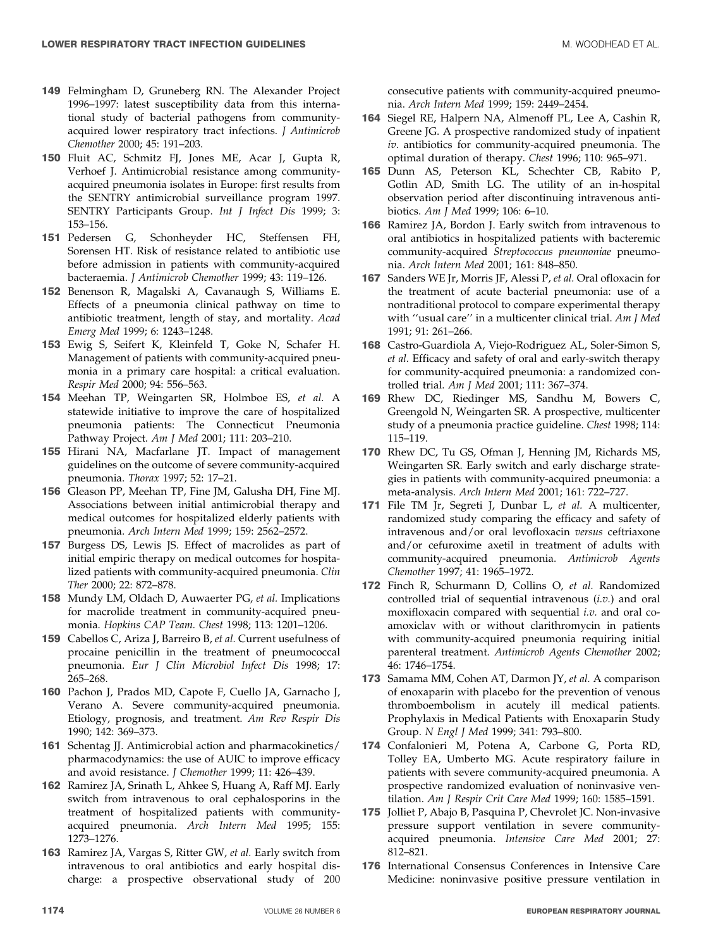- 149 Felmingham D, Gruneberg RN. The Alexander Project 1996–1997: latest susceptibility data from this international study of bacterial pathogens from communityacquired lower respiratory tract infections. J Antimicrob Chemother 2000; 45: 191–203.
- 150 Fluit AC, Schmitz FJ, Jones ME, Acar J, Gupta R, Verhoef J. Antimicrobial resistance among communityacquired pneumonia isolates in Europe: first results from the SENTRY antimicrobial surveillance program 1997. SENTRY Participants Group. Int J Infect Dis 1999; 3: 153–156.
- 151 Pedersen G, Schonheyder HC, Steffensen FH, Sorensen HT. Risk of resistance related to antibiotic use before admission in patients with community-acquired bacteraemia. J Antimicrob Chemother 1999; 43: 119–126.
- 152 Benenson R, Magalski A, Cavanaugh S, Williams E. Effects of a pneumonia clinical pathway on time to antibiotic treatment, length of stay, and mortality. Acad Emerg Med 1999; 6: 1243–1248.
- 153 Ewig S, Seifert K, Kleinfeld T, Goke N, Schafer H. Management of patients with community-acquired pneumonia in a primary care hospital: a critical evaluation. Respir Med 2000; 94: 556–563.
- 154 Meehan TP, Weingarten SR, Holmboe ES, et al. A statewide initiative to improve the care of hospitalized pneumonia patients: The Connecticut Pneumonia Pathway Project. Am J Med 2001; 111: 203–210.
- 155 Hirani NA, Macfarlane JT. Impact of management guidelines on the outcome of severe community-acquired pneumonia. Thorax 1997; 52: 17–21.
- 156 Gleason PP, Meehan TP, Fine JM, Galusha DH, Fine MJ. Associations between initial antimicrobial therapy and medical outcomes for hospitalized elderly patients with pneumonia. Arch Intern Med 1999; 159: 2562–2572.
- 157 Burgess DS, Lewis JS. Effect of macrolides as part of initial empiric therapy on medical outcomes for hospitalized patients with community-acquired pneumonia. Clin Ther 2000; 22: 872–878.
- 158 Mundy LM, Oldach D, Auwaerter PG, et al. Implications for macrolide treatment in community-acquired pneumonia. Hopkins CAP Team. Chest 1998; 113: 1201–1206.
- 159 Cabellos C, Ariza J, Barreiro B, et al. Current usefulness of procaine penicillin in the treatment of pneumococcal pneumonia. Eur J Clin Microbiol Infect Dis 1998; 17: 265–268.
- 160 Pachon J, Prados MD, Capote F, Cuello JA, Garnacho J, Verano A. Severe community-acquired pneumonia. Etiology, prognosis, and treatment. Am Rev Respir Dis 1990; 142: 369–373.
- 161 Schentag JJ. Antimicrobial action and pharmacokinetics/ pharmacodynamics: the use of AUIC to improve efficacy and avoid resistance. J Chemother 1999; 11: 426–439.
- 162 Ramirez JA, Srinath L, Ahkee S, Huang A, Raff MJ. Early switch from intravenous to oral cephalosporins in the treatment of hospitalized patients with communityacquired pneumonia. Arch Intern Med 1995; 155: 1273–1276.
- 163 Ramirez JA, Vargas S, Ritter GW, et al. Early switch from intravenous to oral antibiotics and early hospital discharge: a prospective observational study of 200

consecutive patients with community-acquired pneumonia. Arch Intern Med 1999; 159: 2449–2454.

- 164 Siegel RE, Halpern NA, Almenoff PL, Lee A, Cashin R, Greene JG. A prospective randomized study of inpatient iv. antibiotics for community-acquired pneumonia. The optimal duration of therapy. Chest 1996; 110: 965–971.
- 165 Dunn AS, Peterson KL, Schechter CB, Rabito P, Gotlin AD, Smith LG. The utility of an in-hospital observation period after discontinuing intravenous antibiotics. Am J Med 1999; 106: 6–10.
- 166 Ramirez JA, Bordon J. Early switch from intravenous to oral antibiotics in hospitalized patients with bacteremic community-acquired Streptococcus pneumoniae pneumonia. Arch Intern Med 2001; 161: 848–850.
- 167 Sanders WE Jr, Morris JF, Alessi P, et al. Oral ofloxacin for the treatment of acute bacterial pneumonia: use of a nontraditional protocol to compare experimental therapy with "usual care" in a multicenter clinical trial. Am J Med 1991; 91: 261–266.
- 168 Castro-Guardiola A, Viejo-Rodriguez AL, Soler-Simon S, et al. Efficacy and safety of oral and early-switch therapy for community-acquired pneumonia: a randomized controlled trial. Am J Med 2001; 111: 367–374.
- 169 Rhew DC, Riedinger MS, Sandhu M, Bowers C, Greengold N, Weingarten SR. A prospective, multicenter study of a pneumonia practice guideline. Chest 1998; 114: 115–119.
- 170 Rhew DC, Tu GS, Ofman J, Henning JM, Richards MS, Weingarten SR. Early switch and early discharge strategies in patients with community-acquired pneumonia: a meta-analysis. Arch Intern Med 2001; 161: 722–727.
- 171 File TM Jr, Segreti J, Dunbar L, et al. A multicenter, randomized study comparing the efficacy and safety of intravenous and/or oral levofloxacin versus ceftriaxone and/or cefuroxime axetil in treatment of adults with community-acquired pneumonia. Antimicrob Agents Chemother 1997; 41: 1965–1972.
- 172 Finch R, Schurmann D, Collins O, et al. Randomized controlled trial of sequential intravenous  $(i.v.)$  and oral moxifloxacin compared with sequential i.v. and oral coamoxiclav with or without clarithromycin in patients with community-acquired pneumonia requiring initial parenteral treatment. Antimicrob Agents Chemother 2002; 46: 1746–1754.
- 173 Samama MM, Cohen AT, Darmon JY, et al. A comparison of enoxaparin with placebo for the prevention of venous thromboembolism in acutely ill medical patients. Prophylaxis in Medical Patients with Enoxaparin Study Group. N Engl J Med 1999; 341: 793–800.
- 174 Confalonieri M, Potena A, Carbone G, Porta RD, Tolley EA, Umberto MG. Acute respiratory failure in patients with severe community-acquired pneumonia. A prospective randomized evaluation of noninvasive ventilation. Am J Respir Crit Care Med 1999; 160: 1585–1591.
- 175 Jolliet P, Abajo B, Pasquina P, Chevrolet JC. Non-invasive pressure support ventilation in severe communityacquired pneumonia. Intensive Care Med 2001; 27: 812–821.
- 176 International Consensus Conferences in Intensive Care Medicine: noninvasive positive pressure ventilation in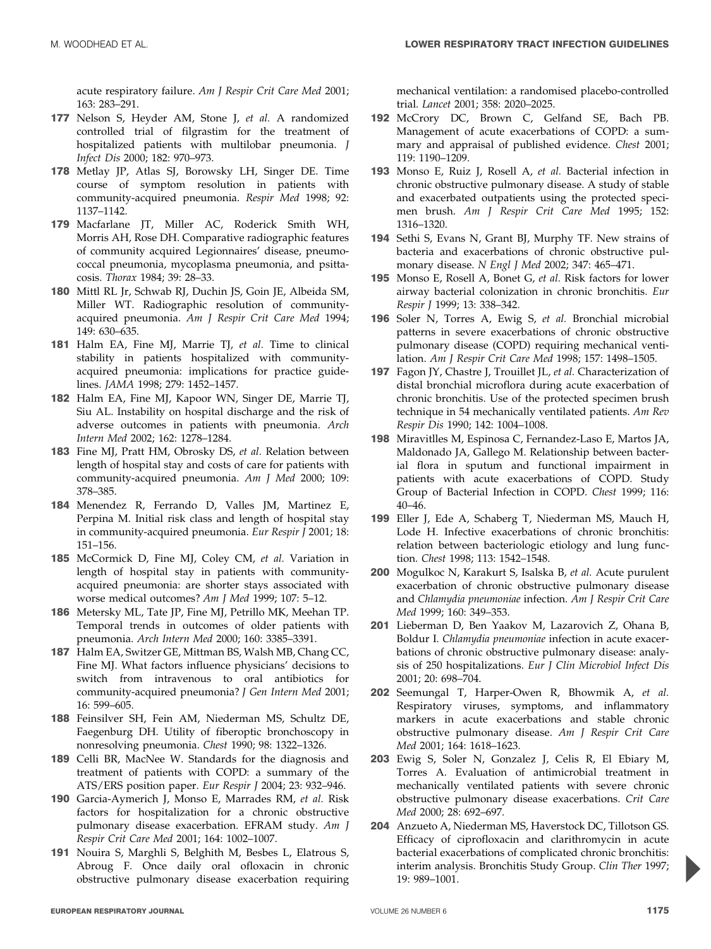acute respiratory failure. Am J Respir Crit Care Med 2001; 163: 283–291.

- 177 Nelson S, Heyder AM, Stone J, et al. A randomized controlled trial of filgrastim for the treatment of hospitalized patients with multilobar pneumonia. J Infect Dis 2000; 182: 970–973.
- 178 Metlay JP, Atlas SJ, Borowsky LH, Singer DE. Time course of symptom resolution in patients with community-acquired pneumonia. Respir Med 1998; 92: 1137–1142.
- 179 Macfarlane JT, Miller AC, Roderick Smith WH, Morris AH, Rose DH. Comparative radiographic features of community acquired Legionnaires' disease, pneumococcal pneumonia, mycoplasma pneumonia, and psittacosis. Thorax 1984; 39: 28–33.
- 180 Mittl RL Jr, Schwab RJ, Duchin JS, Goin JE, Albeida SM, Miller WT. Radiographic resolution of communityacquired pneumonia. Am J Respir Crit Care Med 1994; 149: 630–635.
- 181 Halm EA, Fine MJ, Marrie TJ, et al. Time to clinical stability in patients hospitalized with communityacquired pneumonia: implications for practice guidelines. JAMA 1998; 279: 1452–1457.
- 182 Halm EA, Fine MJ, Kapoor WN, Singer DE, Marrie TJ, Siu AL. Instability on hospital discharge and the risk of adverse outcomes in patients with pneumonia. Arch Intern Med 2002; 162: 1278–1284.
- 183 Fine MJ, Pratt HM, Obrosky DS, et al. Relation between length of hospital stay and costs of care for patients with community-acquired pneumonia. Am J Med 2000; 109: 378–385.
- 184 Menendez R, Ferrando D, Valles JM, Martinez E, Perpina M. Initial risk class and length of hospital stay in community-acquired pneumonia. Eur Respir  $\bar{I}$  2001; 18: 151–156.
- 185 McCormick D, Fine MJ, Coley CM, et al. Variation in length of hospital stay in patients with communityacquired pneumonia: are shorter stays associated with worse medical outcomes? Am J Med 1999; 107: 5–12.
- 186 Metersky ML, Tate JP, Fine MJ, Petrillo MK, Meehan TP. Temporal trends in outcomes of older patients with pneumonia. Arch Intern Med 2000; 160: 3385–3391.
- 187 Halm EA, Switzer GE, Mittman BS, Walsh MB, Chang CC, Fine MJ. What factors influence physicians' decisions to switch from intravenous to oral antibiotics for community-acquired pneumonia? J Gen Intern Med 2001; 16: 599–605.
- 188 Feinsilver SH, Fein AM, Niederman MS, Schultz DE, Faegenburg DH. Utility of fiberoptic bronchoscopy in nonresolving pneumonia. Chest 1990; 98: 1322–1326.
- 189 Celli BR, MacNee W. Standards for the diagnosis and treatment of patients with COPD: a summary of the ATS/ERS position paper. Eur Respir J 2004; 23: 932–946.
- 190 Garcia-Aymerich J, Monso E, Marrades RM, et al. Risk factors for hospitalization for a chronic obstructive pulmonary disease exacerbation. EFRAM study. Am J Respir Crit Care Med 2001; 164: 1002–1007.
- 191 Nouira S, Marghli S, Belghith M, Besbes L, Elatrous S, Abroug F. Once daily oral ofloxacin in chronic obstructive pulmonary disease exacerbation requiring

mechanical ventilation: a randomised placebo-controlled trial. Lancet 2001; 358: 2020–2025.

- 192 McCrory DC, Brown C, Gelfand SE, Bach PB. Management of acute exacerbations of COPD: a summary and appraisal of published evidence. Chest 2001; 119: 1190–1209.
- 193 Monso E, Ruiz J, Rosell A, et al. Bacterial infection in chronic obstructive pulmonary disease. A study of stable and exacerbated outpatients using the protected specimen brush. Am J Respir Crit Care Med 1995; 152: 1316–1320.
- 194 Sethi S, Evans N, Grant BJ, Murphy TF. New strains of bacteria and exacerbations of chronic obstructive pulmonary disease. N Engl J Med 2002; 347: 465–471.
- 195 Monso E, Rosell A, Bonet G, et al. Risk factors for lower airway bacterial colonization in chronic bronchitis. Eur Respir J 1999; 13: 338–342.
- 196 Soler N, Torres A, Ewig S, et al. Bronchial microbial patterns in severe exacerbations of chronic obstructive pulmonary disease (COPD) requiring mechanical ventilation. Am J Respir Crit Care Med 1998; 157: 1498–1505.
- 197 Fagon JY, Chastre J, Trouillet JL, et al. Characterization of distal bronchial microflora during acute exacerbation of chronic bronchitis. Use of the protected specimen brush technique in 54 mechanically ventilated patients. Am Rev Respir Dis 1990; 142: 1004–1008.
- 198 Miravitlles M, Espinosa C, Fernandez-Laso E, Martos JA, Maldonado JA, Gallego M. Relationship between bacterial flora in sputum and functional impairment in patients with acute exacerbations of COPD. Study Group of Bacterial Infection in COPD. Chest 1999; 116: 40–46.
- 199 Eller J, Ede A, Schaberg T, Niederman MS, Mauch H, Lode H. Infective exacerbations of chronic bronchitis: relation between bacteriologic etiology and lung function. Chest 1998; 113: 1542–1548.
- 200 Mogulkoc N, Karakurt S, Isalska B, et al. Acute purulent exacerbation of chronic obstructive pulmonary disease and Chlamydia pneumoniae infection. Am J Respir Crit Care Med 1999; 160: 349–353.
- 201 Lieberman D, Ben Yaakov M, Lazarovich Z, Ohana B, Boldur I. Chlamydia pneumoniae infection in acute exacerbations of chronic obstructive pulmonary disease: analysis of 250 hospitalizations. Eur J Clin Microbiol Infect Dis 2001; 20: 698–704.
- 202 Seemungal T, Harper-Owen R, Bhowmik A, et al. Respiratory viruses, symptoms, and inflammatory markers in acute exacerbations and stable chronic obstructive pulmonary disease. Am J Respir Crit Care Med 2001; 164: 1618–1623.
- 203 Ewig S, Soler N, Gonzalez J, Celis R, El Ebiary M, Torres A. Evaluation of antimicrobial treatment in mechanically ventilated patients with severe chronic obstructive pulmonary disease exacerbations. Crit Care Med 2000; 28: 692–697.
- 204 Anzueto A, Niederman MS, Haverstock DC, Tillotson GS. Efficacy of ciprofloxacin and clarithromycin in acute bacterial exacerbations of complicated chronic bronchitis: interim analysis. Bronchitis Study Group. Clin Ther 1997; 19: 989–1001.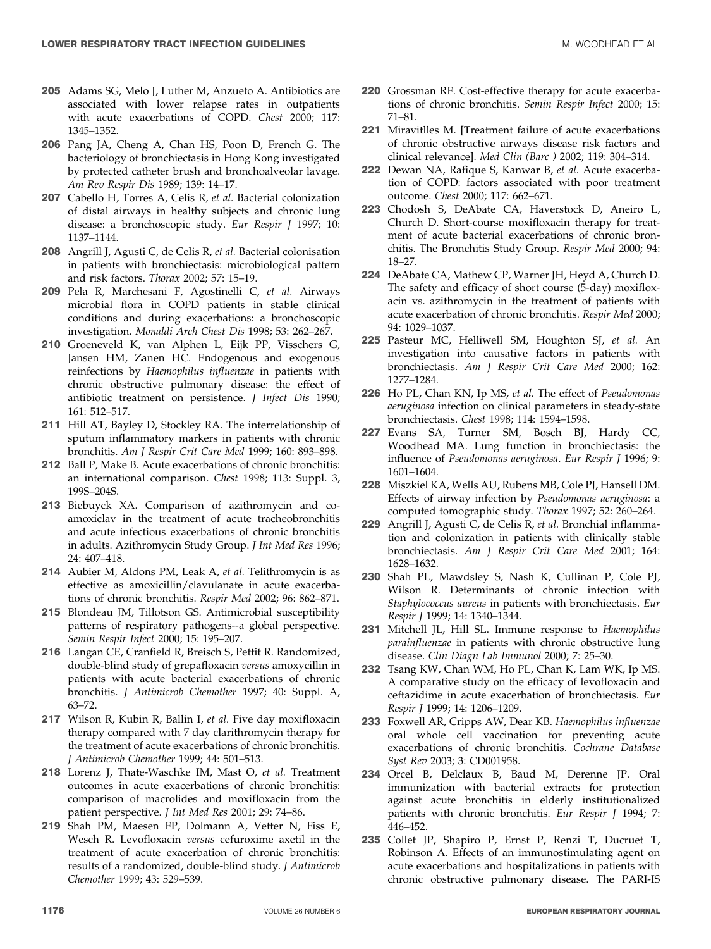- 205 Adams SG, Melo J, Luther M, Anzueto A. Antibiotics are associated with lower relapse rates in outpatients with acute exacerbations of COPD. Chest 2000; 117: 1345–1352.
- 206 Pang JA, Cheng A, Chan HS, Poon D, French G. The bacteriology of bronchiectasis in Hong Kong investigated by protected catheter brush and bronchoalveolar lavage. Am Rev Respir Dis 1989; 139: 14–17.
- 207 Cabello H, Torres A, Celis R, et al. Bacterial colonization of distal airways in healthy subjects and chronic lung disease: a bronchoscopic study. Eur Respir J 1997; 10: 1137–1144.
- 208 Angrill J, Agusti C, de Celis R, et al. Bacterial colonisation in patients with bronchiectasis: microbiological pattern and risk factors. Thorax 2002; 57: 15–19.
- 209 Pela R, Marchesani F, Agostinelli C, et al. Airways microbial flora in COPD patients in stable clinical conditions and during exacerbations: a bronchoscopic investigation. Monaldi Arch Chest Dis 1998; 53: 262–267.
- 210 Groeneveld K, van Alphen L, Eijk PP, Visschers G, Jansen HM, Zanen HC. Endogenous and exogenous reinfections by Haemophilus influenzae in patients with chronic obstructive pulmonary disease: the effect of antibiotic treatment on persistence. J Infect Dis 1990; 161: 512–517.
- 211 Hill AT, Bayley D, Stockley RA. The interrelationship of sputum inflammatory markers in patients with chronic bronchitis. Am J Respir Crit Care Med 1999; 160: 893–898.
- 212 Ball P, Make B. Acute exacerbations of chronic bronchitis: an international comparison. Chest 1998; 113: Suppl. 3, 199S–204S.
- 213 Biebuyck XA. Comparison of azithromycin and coamoxiclav in the treatment of acute tracheobronchitis and acute infectious exacerbations of chronic bronchitis in adults. Azithromycin Study Group. J Int Med Res 1996; 24: 407–418.
- 214 Aubier M, Aldons PM, Leak A, et al. Telithromycin is as effective as amoxicillin/clavulanate in acute exacerbations of chronic bronchitis. Respir Med 2002; 96: 862–871.
- 215 Blondeau JM, Tillotson GS. Antimicrobial susceptibility patterns of respiratory pathogens--a global perspective. Semin Respir Infect 2000; 15: 195–207.
- 216 Langan CE, Cranfield R, Breisch S, Pettit R. Randomized, double-blind study of grepafloxacin versus amoxycillin in patients with acute bacterial exacerbations of chronic bronchitis. J Antimicrob Chemother 1997; 40: Suppl. A, 63–72.
- 217 Wilson R, Kubin R, Ballin I, et al. Five day moxifloxacin therapy compared with 7 day clarithromycin therapy for the treatment of acute exacerbations of chronic bronchitis. J Antimicrob Chemother 1999; 44: 501–513.
- 218 Lorenz J, Thate-Waschke IM, Mast O, et al. Treatment outcomes in acute exacerbations of chronic bronchitis: comparison of macrolides and moxifloxacin from the patient perspective. J Int Med Res 2001; 29: 74–86.
- 219 Shah PM, Maesen FP, Dolmann A, Vetter N, Fiss E, Wesch R. Levofloxacin versus cefuroxime axetil in the treatment of acute exacerbation of chronic bronchitis: results of a randomized, double-blind study. J Antimicrob Chemother 1999; 43: 529–539.
- 220 Grossman RF. Cost-effective therapy for acute exacerbations of chronic bronchitis. Semin Respir Infect 2000; 15: 71–81.
- 221 Miravitlles M. [Treatment failure of acute exacerbations of chronic obstructive airways disease risk factors and clinical relevance]. Med Clin (Barc ) 2002; 119: 304–314.
- 222 Dewan NA, Rafique S, Kanwar B, et al. Acute exacerbation of COPD: factors associated with poor treatment outcome. Chest 2000; 117: 662–671.
- 223 Chodosh S, DeAbate CA, Haverstock D, Aneiro L, Church D. Short-course moxifloxacin therapy for treatment of acute bacterial exacerbations of chronic bronchitis. The Bronchitis Study Group. Respir Med 2000; 94: 18–27.
- 224 DeAbate CA, Mathew CP, Warner JH, Heyd A, Church D. The safety and efficacy of short course (5-day) moxifloxacin vs. azithromycin in the treatment of patients with acute exacerbation of chronic bronchitis. Respir Med 2000; 94: 1029–1037.
- 225 Pasteur MC, Helliwell SM, Houghton SJ, et al. An investigation into causative factors in patients with bronchiectasis. Am J Respir Crit Care Med 2000; 162: 1277–1284.
- 226 Ho PL, Chan KN, Ip MS, et al. The effect of Pseudomonas aeruginosa infection on clinical parameters in steady-state bronchiectasis. Chest 1998; 114: 1594–1598.
- 227 Evans SA, Turner SM, Bosch BJ, Hardy CC, Woodhead MA. Lung function in bronchiectasis: the influence of Pseudomonas aeruginosa. Eur Respir J 1996; 9: 1601–1604.
- 228 Miszkiel KA, Wells AU, Rubens MB, Cole PJ, Hansell DM. Effects of airway infection by Pseudomonas aeruginosa: a computed tomographic study. Thorax 1997; 52: 260–264.
- 229 Angrill J, Agusti C, de Celis R, et al. Bronchial inflammation and colonization in patients with clinically stable bronchiectasis. Am J Respir Crit Care Med 2001; 164: 1628–1632.
- 230 Shah PL, Mawdsley S, Nash K, Cullinan P, Cole PJ, Wilson R. Determinants of chronic infection with Staphylococcus aureus in patients with bronchiectasis. Eur Respir J 1999; 14: 1340–1344.
- 231 Mitchell JL, Hill SL. Immune response to Haemophilus parainfluenzae in patients with chronic obstructive lung disease. Clin Diagn Lab Immunol 2000; 7: 25–30.
- 232 Tsang KW, Chan WM, Ho PL, Chan K, Lam WK, Ip MS. A comparative study on the efficacy of levofloxacin and ceftazidime in acute exacerbation of bronchiectasis. Eur Respir J 1999; 14: 1206–1209.
- 233 Foxwell AR, Cripps AW, Dear KB. Haemophilus influenzae oral whole cell vaccination for preventing acute exacerbations of chronic bronchitis. Cochrane Database Syst Rev 2003; 3: CD001958.
- 234 Orcel B, Delclaux B, Baud M, Derenne JP. Oral immunization with bacterial extracts for protection against acute bronchitis in elderly institutionalized patients with chronic bronchitis. Eur Respir J 1994; 7:  $446 - 452$ .
- 235 Collet JP, Shapiro P, Ernst P, Renzi T, Ducruet T, Robinson A. Effects of an immunostimulating agent on acute exacerbations and hospitalizations in patients with chronic obstructive pulmonary disease. The PARI-IS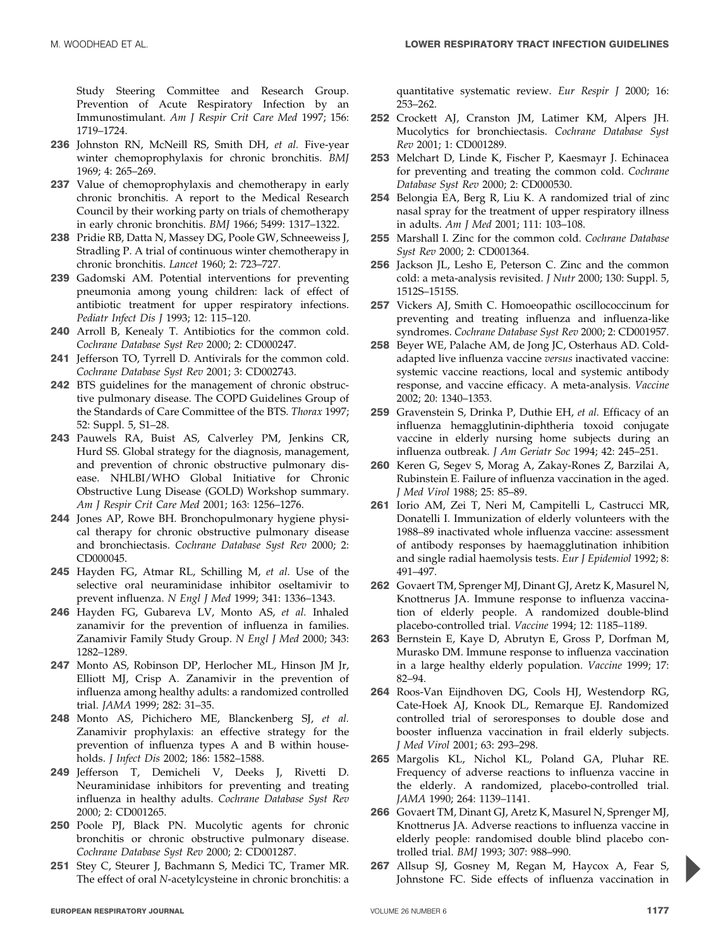Study Steering Committee and Research Group. Prevention of Acute Respiratory Infection by an Immunostimulant. Am J Respir Crit Care Med 1997; 156: 1719–1724.

- 236 Johnston RN, McNeill RS, Smith DH, et al. Five-year winter chemoprophylaxis for chronic bronchitis. BMJ 1969; 4: 265–269.
- 237 Value of chemoprophylaxis and chemotherapy in early chronic bronchitis. A report to the Medical Research Council by their working party on trials of chemotherapy in early chronic bronchitis. BMJ 1966; 5499: 1317–1322.
- 238 Pridie RB, Datta N, Massey DG, Poole GW, Schneeweiss J, Stradling P. A trial of continuous winter chemotherapy in chronic bronchitis. Lancet 1960; 2: 723–727.
- 239 Gadomski AM. Potential interventions for preventing pneumonia among young children: lack of effect of antibiotic treatment for upper respiratory infections. Pediatr Infect Dis J 1993; 12: 115–120.
- 240 Arroll B, Kenealy T. Antibiotics for the common cold. Cochrane Database Syst Rev 2000; 2: CD000247.
- 241 Jefferson TO, Tyrrell D. Antivirals for the common cold. Cochrane Database Syst Rev 2001; 3: CD002743.
- 242 BTS guidelines for the management of chronic obstructive pulmonary disease. The COPD Guidelines Group of the Standards of Care Committee of the BTS. Thorax 1997; 52: Suppl. 5, S1–28.
- 243 Pauwels RA, Buist AS, Calverley PM, Jenkins CR, Hurd SS. Global strategy for the diagnosis, management, and prevention of chronic obstructive pulmonary disease. NHLBI/WHO Global Initiative for Chronic Obstructive Lung Disease (GOLD) Workshop summary. Am J Respir Crit Care Med 2001; 163: 1256–1276.
- 244 Jones AP, Rowe BH. Bronchopulmonary hygiene physical therapy for chronic obstructive pulmonary disease and bronchiectasis. Cochrane Database Syst Rev 2000; 2: CD000045.
- 245 Hayden FG, Atmar RL, Schilling M, et al. Use of the selective oral neuraminidase inhibitor oseltamivir to prevent influenza. N Engl J Med 1999; 341: 1336–1343.
- 246 Hayden FG, Gubareva LV, Monto AS, et al. Inhaled zanamivir for the prevention of influenza in families. Zanamivir Family Study Group. N Engl J Med 2000; 343: 1282–1289.
- 247 Monto AS, Robinson DP, Herlocher ML, Hinson JM Jr, Elliott MJ, Crisp A. Zanamivir in the prevention of influenza among healthy adults: a randomized controlled trial. JAMA 1999; 282: 31–35.
- 248 Monto AS, Pichichero ME, Blanckenberg SJ, et al. Zanamivir prophylaxis: an effective strategy for the prevention of influenza types A and B within households. J Infect Dis 2002; 186: 1582–1588.
- 249 Jefferson T, Demicheli V, Deeks J, Rivetti D. Neuraminidase inhibitors for preventing and treating influenza in healthy adults. Cochrane Database Syst Rev 2000; 2: CD001265.
- 250 Poole PJ, Black PN. Mucolytic agents for chronic bronchitis or chronic obstructive pulmonary disease. Cochrane Database Syst Rev 2000; 2: CD001287.
- 251 Stey C, Steurer J, Bachmann S, Medici TC, Tramer MR. The effect of oral N-acetylcysteine in chronic bronchitis: a

quantitative systematic review. Eur Respir J 2000; 16: 253–262.

- 252 Crockett AJ, Cranston JM, Latimer KM, Alpers JH. Mucolytics for bronchiectasis. Cochrane Database Syst Rev 2001; 1: CD001289.
- 253 Melchart D, Linde K, Fischer P, Kaesmayr J. Echinacea for preventing and treating the common cold. Cochrane Database Syst Rev 2000; 2: CD000530.
- 254 Belongia EA, Berg R, Liu K. A randomized trial of zinc nasal spray for the treatment of upper respiratory illness in adults. Am J Med 2001; 111: 103–108.
- 255 Marshall I. Zinc for the common cold. Cochrane Database Syst Rev 2000; 2: CD001364.
- 256 Jackson JL, Lesho E, Peterson C. Zinc and the common cold: a meta-analysis revisited. J Nutr 2000; 130: Suppl. 5, 1512S–1515S.
- 257 Vickers AJ, Smith C. Homoeopathic oscillococcinum for preventing and treating influenza and influenza-like syndromes. Cochrane Database Syst Rev 2000; 2: CD001957.
- 258 Beyer WE, Palache AM, de Jong JC, Osterhaus AD. Coldadapted live influenza vaccine versus inactivated vaccine: systemic vaccine reactions, local and systemic antibody response, and vaccine efficacy. A meta-analysis. Vaccine 2002; 20: 1340–1353.
- 259 Gravenstein S, Drinka P, Duthie EH, et al. Efficacy of an influenza hemagglutinin-diphtheria toxoid conjugate vaccine in elderly nursing home subjects during an influenza outbreak. J Am Geriatr Soc 1994; 42: 245–251.
- 260 Keren G, Segev S, Morag A, Zakay-Rones Z, Barzilai A, Rubinstein E. Failure of influenza vaccination in the aged. J Med Virol 1988; 25: 85–89.
- 261 Iorio AM, Zei T, Neri M, Campitelli L, Castrucci MR, Donatelli I. Immunization of elderly volunteers with the 1988–89 inactivated whole influenza vaccine: assessment of antibody responses by haemagglutination inhibition and single radial haemolysis tests. Eur J Epidemiol 1992; 8: 491–497.
- 262 Govaert TM, Sprenger MJ, Dinant GJ, Aretz K, Masurel N, Knottnerus JA. Immune response to influenza vaccination of elderly people. A randomized double-blind placebo-controlled trial. Vaccine 1994; 12: 1185–1189.
- 263 Bernstein E, Kaye D, Abrutyn E, Gross P, Dorfman M, Murasko DM. Immune response to influenza vaccination in a large healthy elderly population. Vaccine 1999; 17: 82–94.
- 264 Roos-Van Eijndhoven DG, Cools HJ, Westendorp RG, Cate-Hoek AJ, Knook DL, Remarque EJ. Randomized controlled trial of seroresponses to double dose and booster influenza vaccination in frail elderly subjects. J Med Virol 2001; 63: 293–298.
- 265 Margolis KL, Nichol KL, Poland GA, Pluhar RE. Frequency of adverse reactions to influenza vaccine in the elderly. A randomized, placebo-controlled trial. JAMA 1990; 264: 1139–1141.
- 266 Govaert TM, Dinant GJ, Aretz K, Masurel N, Sprenger MJ, Knottnerus JA. Adverse reactions to influenza vaccine in elderly people: randomised double blind placebo controlled trial. BMJ 1993; 307: 988–990.
- 267 Allsup SJ, Gosney M, Regan M, Haycox A, Fear S, Johnstone FC. Side effects of influenza vaccination in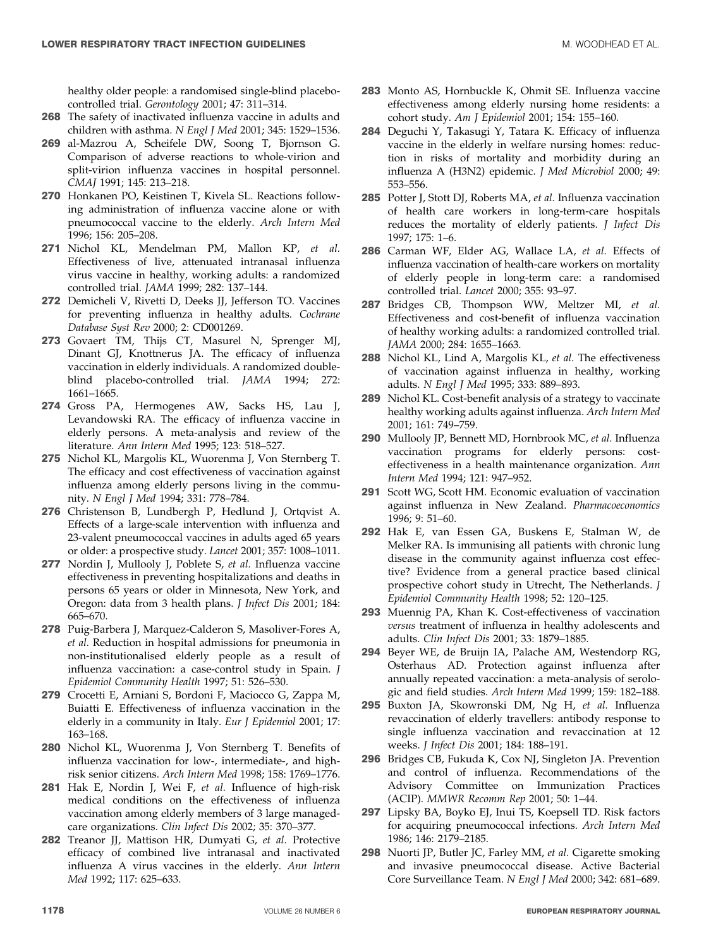healthy older people: a randomised single-blind placebocontrolled trial. Gerontology 2001; 47: 311–314.

- 268 The safety of inactivated influenza vaccine in adults and children with asthma. N Engl J Med 2001; 345: 1529–1536.
- 269 al-Mazrou A, Scheifele DW, Soong T, Bjornson G. Comparison of adverse reactions to whole-virion and split-virion influenza vaccines in hospital personnel. CMAJ 1991; 145: 213–218.
- 270 Honkanen PO, Keistinen T, Kivela SL. Reactions following administration of influenza vaccine alone or with pneumococcal vaccine to the elderly. Arch Intern Med 1996; 156: 205–208.
- 271 Nichol KL, Mendelman PM, Mallon KP, et al. Effectiveness of live, attenuated intranasal influenza virus vaccine in healthy, working adults: a randomized controlled trial. JAMA 1999; 282: 137–144.
- 272 Demicheli V, Rivetti D, Deeks JJ, Jefferson TO. Vaccines for preventing influenza in healthy adults. Cochrane Database Syst Rev 2000; 2: CD001269.
- 273 Govaert TM, Thijs CT, Masurel N, Sprenger MJ, Dinant GJ, Knottnerus JA. The efficacy of influenza vaccination in elderly individuals. A randomized doubleblind placebo-controlled trial. JAMA 1994; 272: 1661–1665.
- 274 Gross PA, Hermogenes AW, Sacks HS, Lau J, Levandowski RA. The efficacy of influenza vaccine in elderly persons. A meta-analysis and review of the literature. Ann Intern Med 1995; 123: 518–527.
- 275 Nichol KL, Margolis KL, Wuorenma J, Von Sternberg T. The efficacy and cost effectiveness of vaccination against influenza among elderly persons living in the community. N Engl J Med 1994; 331: 778–784.
- 276 Christenson B, Lundbergh P, Hedlund J, Ortqvist A. Effects of a large-scale intervention with influenza and 23-valent pneumococcal vaccines in adults aged 65 years or older: a prospective study. Lancet 2001; 357: 1008–1011.
- 277 Nordin J, Mullooly J, Poblete S, et al. Influenza vaccine effectiveness in preventing hospitalizations and deaths in persons 65 years or older in Minnesota, New York, and Oregon: data from 3 health plans. J Infect Dis 2001; 184: 665–670.
- 278 Puig-Barbera J, Marquez-Calderon S, Masoliver-Fores A, et al. Reduction in hospital admissions for pneumonia in non-institutionalised elderly people as a result of influenza vaccination: a case-control study in Spain. J Epidemiol Community Health 1997; 51: 526–530.
- 279 Crocetti E, Arniani S, Bordoni F, Maciocco G, Zappa M, Buiatti E. Effectiveness of influenza vaccination in the elderly in a community in Italy. Eur J Epidemiol 2001; 17: 163–168.
- 280 Nichol KL, Wuorenma J, Von Sternberg T. Benefits of influenza vaccination for low-, intermediate-, and highrisk senior citizens. Arch Intern Med 1998; 158: 1769–1776.
- 281 Hak E, Nordin J, Wei F, et al. Influence of high-risk medical conditions on the effectiveness of influenza vaccination among elderly members of 3 large managedcare organizations. Clin Infect Dis 2002; 35: 370–377.
- 282 Treanor JJ, Mattison HR, Dumyati G, et al. Protective efficacy of combined live intranasal and inactivated influenza A virus vaccines in the elderly. Ann Intern Med 1992; 117: 625–633.
- 283 Monto AS, Hornbuckle K, Ohmit SE. Influenza vaccine effectiveness among elderly nursing home residents: a cohort study. Am J Epidemiol 2001; 154: 155–160.
- 284 Deguchi Y, Takasugi Y, Tatara K. Efficacy of influenza vaccine in the elderly in welfare nursing homes: reduction in risks of mortality and morbidity during an influenza A (H3N2) epidemic. J Med Microbiol 2000; 49: 553–556.
- 285 Potter J, Stott DJ, Roberts MA, et al. Influenza vaccination of health care workers in long-term-care hospitals reduces the mortality of elderly patients. J Infect Dis 1997; 175: 1–6.
- 286 Carman WF, Elder AG, Wallace LA, et al. Effects of influenza vaccination of health-care workers on mortality of elderly people in long-term care: a randomised controlled trial. Lancet 2000; 355: 93–97.
- 287 Bridges CB, Thompson WW, Meltzer MI, et al. Effectiveness and cost-benefit of influenza vaccination of healthy working adults: a randomized controlled trial. JAMA 2000; 284: 1655–1663.
- 288 Nichol KL, Lind A, Margolis KL, et al. The effectiveness of vaccination against influenza in healthy, working adults. N Engl J Med 1995; 333: 889–893.
- 289 Nichol KL. Cost-benefit analysis of a strategy to vaccinate healthy working adults against influenza. Arch Intern Med 2001; 161: 749–759.
- 290 Mullooly JP, Bennett MD, Hornbrook MC, et al. Influenza vaccination programs for elderly persons: costeffectiveness in a health maintenance organization. Ann Intern Med 1994; 121: 947–952.
- 291 Scott WG, Scott HM. Economic evaluation of vaccination against influenza in New Zealand. Pharmacoeconomics 1996; 9: 51–60.
- 292 Hak E, van Essen GA, Buskens E, Stalman W, de Melker RA. Is immunising all patients with chronic lung disease in the community against influenza cost effective? Evidence from a general practice based clinical prospective cohort study in Utrecht, The Netherlands. J Epidemiol Community Health 1998; 52: 120–125.
- 293 Muennig PA, Khan K. Cost-effectiveness of vaccination versus treatment of influenza in healthy adolescents and adults. Clin Infect Dis 2001; 33: 1879–1885.
- 294 Beyer WE, de Bruijn IA, Palache AM, Westendorp RG, Osterhaus AD. Protection against influenza after annually repeated vaccination: a meta-analysis of serologic and field studies. Arch Intern Med 1999; 159: 182–188.
- 295 Buxton JA, Skowronski DM, Ng H, et al. Influenza revaccination of elderly travellers: antibody response to single influenza vaccination and revaccination at 12 weeks. J Infect Dis 2001; 184: 188–191.
- 296 Bridges CB, Fukuda K, Cox NJ, Singleton JA. Prevention and control of influenza. Recommendations of the Advisory Committee on Immunization Practices (ACIP). MMWR Recomm Rep 2001; 50: 1–44.
- 297 Lipsky BA, Boyko EJ, Inui TS, Koepsell TD. Risk factors for acquiring pneumococcal infections. Arch Intern Med 1986; 146: 2179–2185.
- 298 Nuorti JP, Butler JC, Farley MM, et al. Cigarette smoking and invasive pneumococcal disease. Active Bacterial Core Surveillance Team. N Engl J Med 2000; 342: 681–689.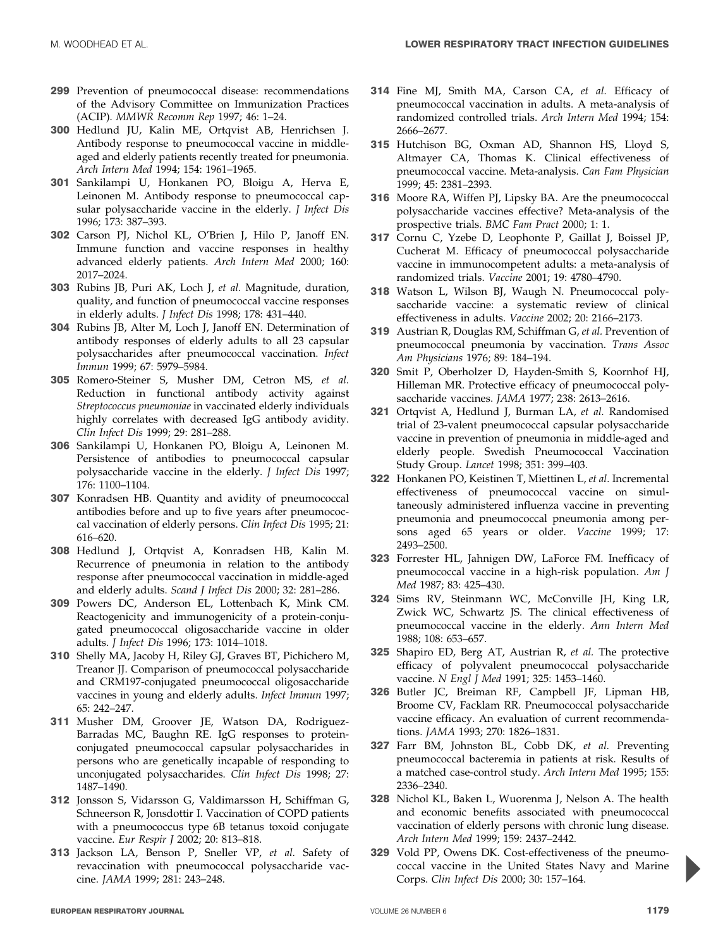- 299 Prevention of pneumococcal disease: recommendations of the Advisory Committee on Immunization Practices (ACIP). MMWR Recomm Rep 1997; 46: 1–24.
- 300 Hedlund JU, Kalin ME, Ortqvist AB, Henrichsen J. Antibody response to pneumococcal vaccine in middleaged and elderly patients recently treated for pneumonia. Arch Intern Med 1994; 154: 1961–1965.
- 301 Sankilampi U, Honkanen PO, Bloigu A, Herva E, Leinonen M. Antibody response to pneumococcal capsular polysaccharide vaccine in the elderly. *J Infect Dis* 1996; 173: 387–393.
- 302 Carson PJ, Nichol KL, O'Brien J, Hilo P, Janoff EN. Immune function and vaccine responses in healthy advanced elderly patients. Arch Intern Med 2000; 160: 2017–2024.
- 303 Rubins JB, Puri AK, Loch J, et al. Magnitude, duration, quality, and function of pneumococcal vaccine responses in elderly adults. J Infect Dis 1998; 178: 431–440.
- 304 Rubins JB, Alter M, Loch J, Janoff EN. Determination of antibody responses of elderly adults to all 23 capsular polysaccharides after pneumococcal vaccination. Infect Immun 1999; 67: 5979–5984.
- 305 Romero-Steiner S, Musher DM, Cetron MS, et al. Reduction in functional antibody activity against Streptococcus pneumoniae in vaccinated elderly individuals highly correlates with decreased IgG antibody avidity. Clin Infect Dis 1999; 29: 281–288.
- 306 Sankilampi U, Honkanen PO, Bloigu A, Leinonen M. Persistence of antibodies to pneumococcal capsular polysaccharide vaccine in the elderly. J Infect Dis 1997; 176: 1100–1104.
- 307 Konradsen HB. Quantity and avidity of pneumococcal antibodies before and up to five years after pneumococcal vaccination of elderly persons. Clin Infect Dis 1995; 21: 616–620.
- 308 Hedlund J, Ortqvist A, Konradsen HB, Kalin M. Recurrence of pneumonia in relation to the antibody response after pneumococcal vaccination in middle-aged and elderly adults. Scand J Infect Dis 2000; 32: 281–286.
- 309 Powers DC, Anderson EL, Lottenbach K, Mink CM. Reactogenicity and immunogenicity of a protein-conjugated pneumococcal oligosaccharide vaccine in older adults. J Infect Dis 1996; 173: 1014–1018.
- 310 Shelly MA, Jacoby H, Riley GJ, Graves BT, Pichichero M, Treanor JJ. Comparison of pneumococcal polysaccharide and CRM197-conjugated pneumococcal oligosaccharide vaccines in young and elderly adults. Infect Immun 1997; 65: 242–247.
- 311 Musher DM, Groover JE, Watson DA, Rodriguez-Barradas MC, Baughn RE. IgG responses to proteinconjugated pneumococcal capsular polysaccharides in persons who are genetically incapable of responding to unconjugated polysaccharides. Clin Infect Dis 1998; 27: 1487–1490.
- 312 Jonsson S, Vidarsson G, Valdimarsson H, Schiffman G, Schneerson R, Jonsdottir I. Vaccination of COPD patients with a pneumococcus type 6B tetanus toxoid conjugate vaccine. Eur Respir J 2002; 20: 813–818.
- 313 Jackson LA, Benson P, Sneller VP, et al. Safety of revaccination with pneumococcal polysaccharide vaccine. JAMA 1999; 281: 243–248.
- 314 Fine MJ, Smith MA, Carson CA, et al. Efficacy of pneumococcal vaccination in adults. A meta-analysis of randomized controlled trials. Arch Intern Med 1994; 154: 2666–2677.
- 315 Hutchison BG, Oxman AD, Shannon HS, Lloyd S, Altmayer CA, Thomas K. Clinical effectiveness of pneumococcal vaccine. Meta-analysis. Can Fam Physician 1999; 45: 2381–2393.
- 316 Moore RA, Wiffen PJ, Lipsky BA. Are the pneumococcal polysaccharide vaccines effective? Meta-analysis of the prospective trials. BMC Fam Pract 2000; 1: 1.
- 317 Cornu C, Yzebe D, Leophonte P, Gaillat J, Boissel JP, Cucherat M. Efficacy of pneumococcal polysaccharide vaccine in immunocompetent adults: a meta-analysis of randomized trials. Vaccine 2001; 19: 4780–4790.
- 318 Watson L, Wilson BJ, Waugh N. Pneumococcal polysaccharide vaccine: a systematic review of clinical effectiveness in adults. Vaccine 2002; 20: 2166–2173.
- 319 Austrian R, Douglas RM, Schiffman G, et al. Prevention of pneumococcal pneumonia by vaccination. Trans Assoc Am Physicians 1976; 89: 184–194.
- 320 Smit P, Oberholzer D, Hayden-Smith S, Koornhof HJ, Hilleman MR. Protective efficacy of pneumococcal polysaccharide vaccines. JAMA 1977; 238: 2613–2616.
- 321 Ortqvist A, Hedlund J, Burman LA, et al. Randomised trial of 23-valent pneumococcal capsular polysaccharide vaccine in prevention of pneumonia in middle-aged and elderly people. Swedish Pneumococcal Vaccination Study Group. Lancet 1998; 351: 399–403.
- 322 Honkanen PO, Keistinen T, Miettinen L, et al. Incremental effectiveness of pneumococcal vaccine on simultaneously administered influenza vaccine in preventing pneumonia and pneumococcal pneumonia among persons aged 65 years or older. Vaccine 1999; 17: 2493–2500.
- 323 Forrester HL, Jahnigen DW, LaForce FM. Inefficacy of pneumococcal vaccine in a high-risk population. Am J Med 1987; 83: 425–430.
- 324 Sims RV, Steinmann WC, McConville JH, King LR, Zwick WC, Schwartz JS. The clinical effectiveness of pneumococcal vaccine in the elderly. Ann Intern Med 1988; 108: 653–657.
- 325 Shapiro ED, Berg AT, Austrian R, et al. The protective efficacy of polyvalent pneumococcal polysaccharide vaccine. N Engl J Med 1991; 325: 1453-1460.
- 326 Butler JC, Breiman RF, Campbell JF, Lipman HB, Broome CV, Facklam RR. Pneumococcal polysaccharide vaccine efficacy. An evaluation of current recommendations. JAMA 1993; 270: 1826–1831.
- 327 Farr BM, Johnston BL, Cobb DK, et al. Preventing pneumococcal bacteremia in patients at risk. Results of a matched case-control study. Arch Intern Med 1995; 155: 2336–2340.
- 328 Nichol KL, Baken L, Wuorenma J, Nelson A. The health and economic benefits associated with pneumococcal vaccination of elderly persons with chronic lung disease. Arch Intern Med 1999; 159: 2437–2442.
- 329 Vold PP, Owens DK. Cost-effectiveness of the pneumococcal vaccine in the United States Navy and Marine Corps. Clin Infect Dis 2000; 30: 157–164.